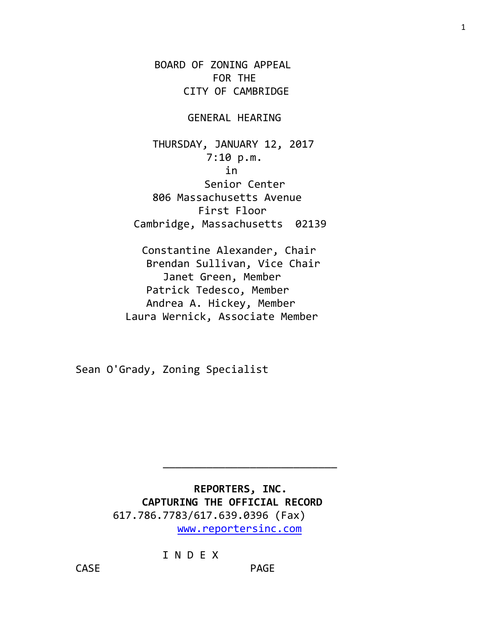BOARD OF ZONING APPEAL FOR THE CITY OF CAMBRIDGE

## GENERAL HEARING

 THURSDAY, JANUARY 12, 2017 7:10 p.m. in Senior Center 806 Massachusetts Avenue First Floor Cambridge, Massachusetts 02139

 Constantine Alexander, Chair Brendan Sullivan, Vice Chair Janet Green, Member Patrick Tedesco, Member Andrea A. Hickey, Member Laura Wernick, Associate Member

Sean O'Grady, Zoning Specialist

 **REPORTERS, INC. CAPTURING THE OFFICIAL RECORD** 617.786.7783/617.639.0396 (Fax) [www.reportersinc.com](http://www.reportersinc.com/)

I N D E X

CASE PAGE

\_\_\_\_\_\_\_\_\_\_\_\_\_\_\_\_\_\_\_\_\_\_\_\_\_\_\_\_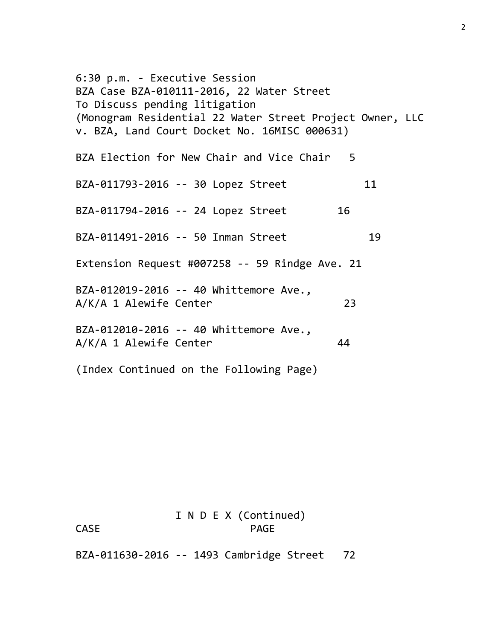6:30 p.m. - Executive Session BZA Case BZA-010111-2016, 22 Water Street To Discuss pending litigation (Monogram Residential 22 Water Street Project Owner, LLC v. BZA, Land Court Docket No. 16MISC 000631) BZA Election for New Chair and Vice Chair 5 BZA-011793-2016 -- 30 Lopez Street 11 BZA-011794-2016 -- 24 Lopez Street 16 BZA-011491-2016 -- 50 Inman Street 19 Extension Request #007258 -- 59 Rindge Ave. 21 BZA-012019-2016 -- 40 Whittemore Ave., A/K/A 1 Alewife Center 23 BZA-012010-2016 -- 40 Whittemore Ave., A/K/A 1 Alewife Center 44 (Index Continued on the Following Page)

# I N D E X (Continued) CASE PAGE

BZA-011630-2016 -- 1493 Cambridge Street 72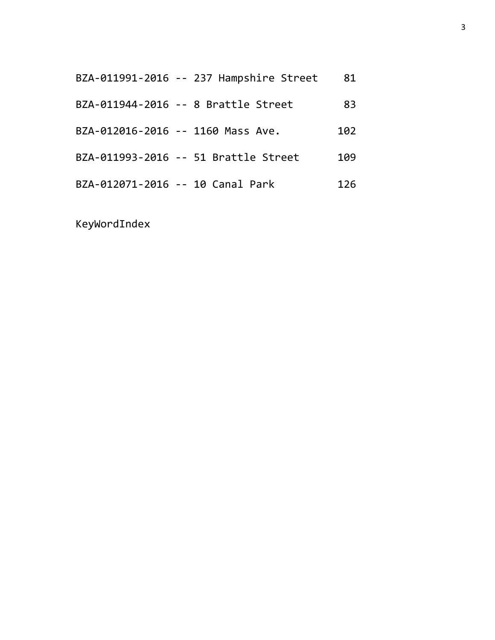| BZA-011991-2016 -- 237 Hampshire Street | 81  |
|-----------------------------------------|-----|
| BZA-011944-2016 -- 8 Brattle Street     | 83  |
| BZA-012016-2016 -- 1160 Mass Ave.       | 102 |
| BZA-011993-2016 -- 51 Brattle Street    | 109 |
| BZA-012071-2016 -- 10 Canal Park        | 126 |

KeyWordIndex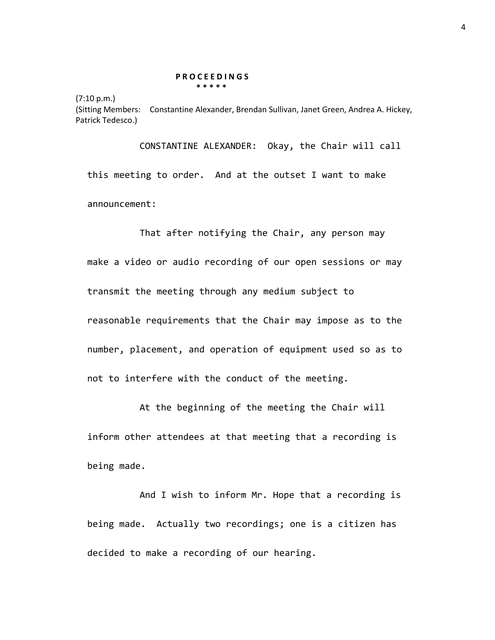#### **P R O C E E D I N G S \* \* \* \* \***

(7:10 p.m.) (Sitting Members: Constantine Alexander, Brendan Sullivan, Janet Green, Andrea A. Hickey, Patrick Tedesco.)

CONSTANTINE ALEXANDER: Okay, the Chair will call this meeting to order. And at the outset I want to make announcement:

That after notifying the Chair, any person may make a video or audio recording of our open sessions or may transmit the meeting through any medium subject to reasonable requirements that the Chair may impose as to the number, placement, and operation of equipment used so as to not to interfere with the conduct of the meeting.

At the beginning of the meeting the Chair will inform other attendees at that meeting that a recording is being made.

And I wish to inform Mr. Hope that a recording is being made. Actually two recordings; one is a citizen has decided to make a recording of our hearing.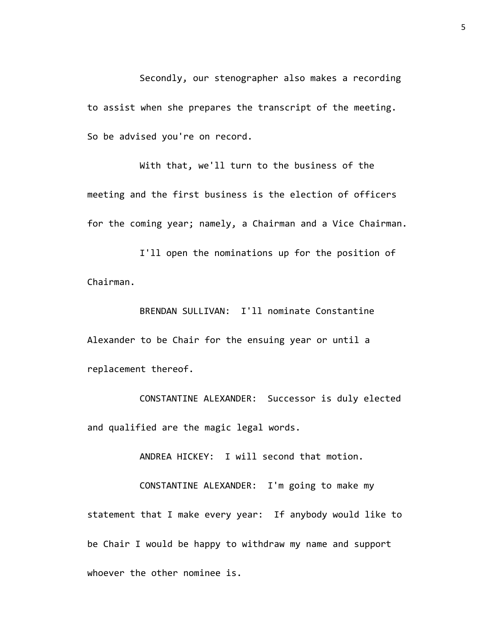Secondly, our stenographer also makes a recording to assist when she prepares the transcript of the meeting. So be advised you're on record.

With that, we'll turn to the business of the meeting and the first business is the election of officers for the coming year; namely, a Chairman and a Vice Chairman.

I'll open the nominations up for the position of Chairman.

BRENDAN SULLIVAN: I'll nominate Constantine Alexander to be Chair for the ensuing year or until a replacement thereof.

CONSTANTINE ALEXANDER: Successor is duly elected and qualified are the magic legal words.

ANDREA HICKEY: I will second that motion.

CONSTANTINE ALEXANDER: I'm going to make my statement that I make every year: If anybody would like to be Chair I would be happy to withdraw my name and support whoever the other nominee is.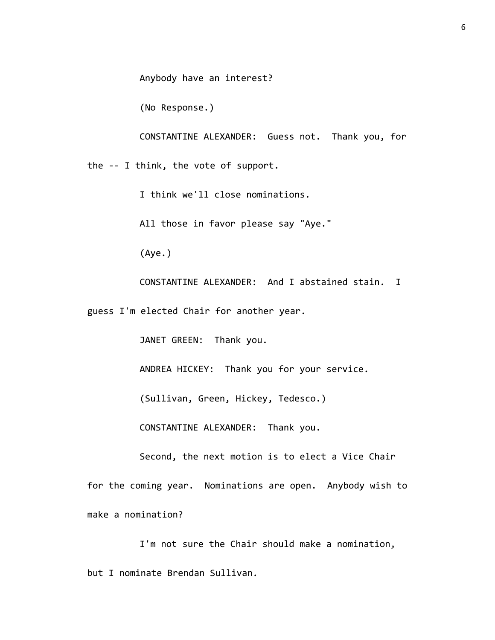Anybody have an interest?

(No Response.)

CONSTANTINE ALEXANDER: Guess not. Thank you, for the -- I think, the vote of support.

I think we'll close nominations.

All those in favor please say "Aye."

(Aye.)

CONSTANTINE ALEXANDER: And I abstained stain. I

guess I'm elected Chair for another year.

JANET GREEN: Thank you.

ANDREA HICKEY: Thank you for your service.

(Sullivan, Green, Hickey, Tedesco.)

CONSTANTINE ALEXANDER: Thank you.

Second, the next motion is to elect a Vice Chair

for the coming year. Nominations are open. Anybody wish to make a nomination?

I'm not sure the Chair should make a nomination, but I nominate Brendan Sullivan.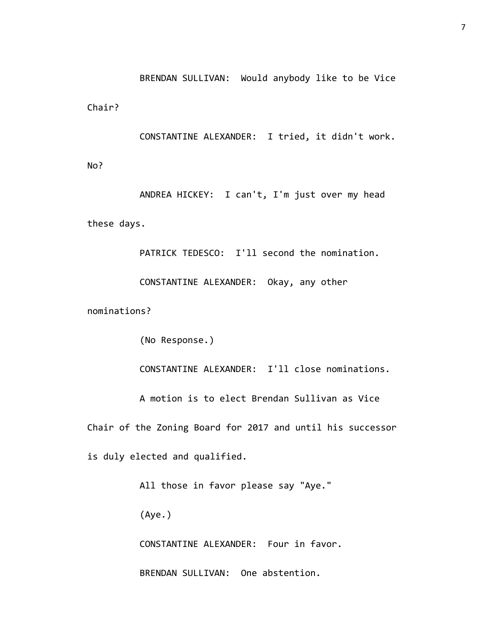BRENDAN SULLIVAN: Would anybody like to be Vice

Chair?

CONSTANTINE ALEXANDER: I tried, it didn't work.

No?

ANDREA HICKEY: I can't, I'm just over my head these days.

PATRICK TEDESCO: I'll second the nomination.

CONSTANTINE ALEXANDER: Okay, any other

nominations?

(No Response.)

CONSTANTINE ALEXANDER: I'll close nominations.

A motion is to elect Brendan Sullivan as Vice

Chair of the Zoning Board for 2017 and until his successor

is duly elected and qualified.

All those in favor please say "Aye."

(Aye.)

CONSTANTINE ALEXANDER: Four in favor.

BRENDAN SULLIVAN: One abstention.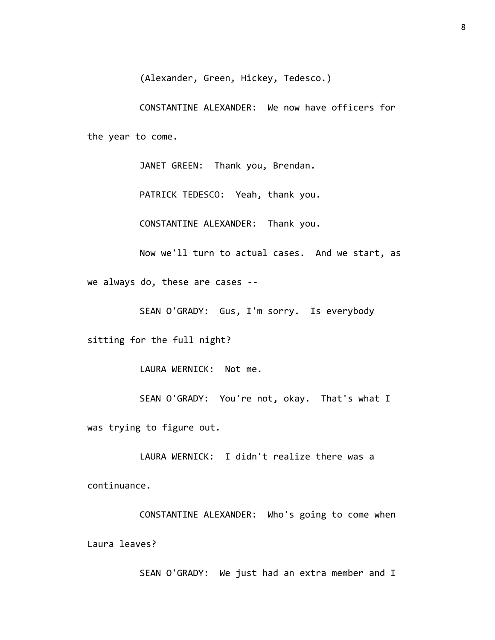(Alexander, Green, Hickey, Tedesco.)

CONSTANTINE ALEXANDER: We now have officers for the year to come.

JANET GREEN: Thank you, Brendan.

PATRICK TEDESCO: Yeah, thank you.

CONSTANTINE ALEXANDER: Thank you.

Now we'll turn to actual cases. And we start, as

we always do, these are cases --

SEAN O'GRADY: Gus, I'm sorry. Is everybody

sitting for the full night?

LAURA WERNICK: Not me.

SEAN O'GRADY: You're not, okay. That's what I

was trying to figure out.

LAURA WERNICK: I didn't realize there was a continuance.

CONSTANTINE ALEXANDER: Who's going to come when Laura leaves?

SEAN O'GRADY: We just had an extra member and I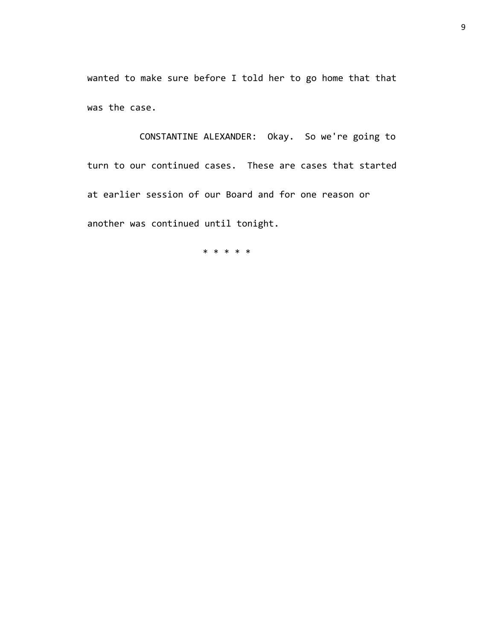wanted to make sure before I told her to go home that that was the case.

CONSTANTINE ALEXANDER: Okay. So we're going to turn to our continued cases. These are cases that started at earlier session of our Board and for one reason or another was continued until tonight.

\* \* \* \* \*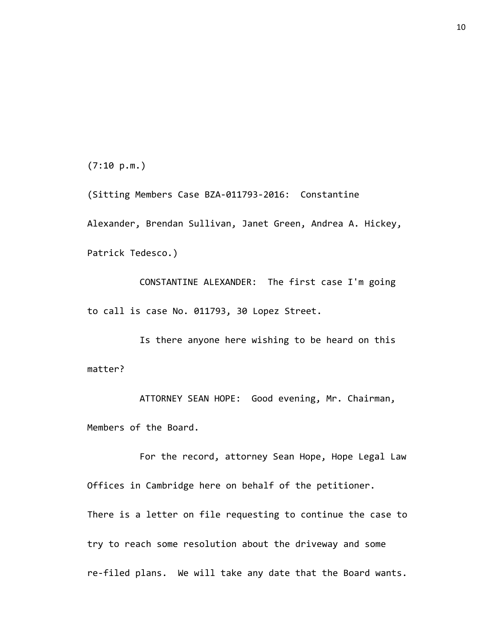(7:10 p.m.)

(Sitting Members Case BZA-011793-2016: Constantine Alexander, Brendan Sullivan, Janet Green, Andrea A. Hickey, Patrick Tedesco.)

CONSTANTINE ALEXANDER: The first case I'm going to call is case No. 011793, 30 Lopez Street.

Is there anyone here wishing to be heard on this matter?

ATTORNEY SEAN HOPE: Good evening, Mr. Chairman, Members of the Board.

For the record, attorney Sean Hope, Hope Legal Law Offices in Cambridge here on behalf of the petitioner. There is a letter on file requesting to continue the case to try to reach some resolution about the driveway and some re-filed plans. We will take any date that the Board wants.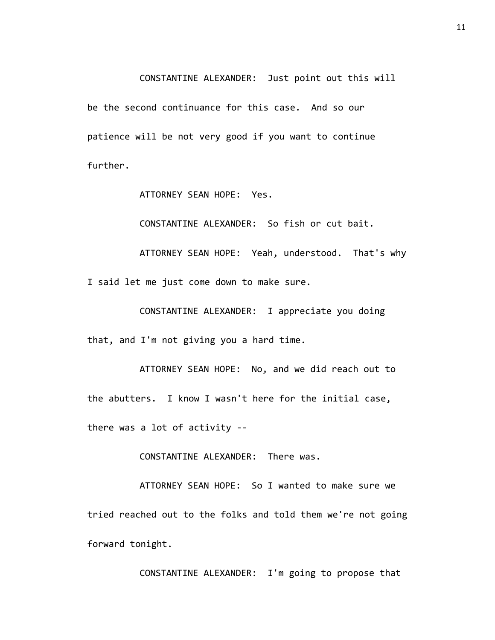CONSTANTINE ALEXANDER: Just point out this will be the second continuance for this case. And so our patience will be not very good if you want to continue further.

ATTORNEY SEAN HOPE: Yes.

CONSTANTINE ALEXANDER: So fish or cut bait.

ATTORNEY SEAN HOPE: Yeah, understood. That's why I said let me just come down to make sure.

CONSTANTINE ALEXANDER: I appreciate you doing that, and I'm not giving you a hard time.

ATTORNEY SEAN HOPE: No, and we did reach out to the abutters. I know I wasn't here for the initial case, there was a lot of activity --

CONSTANTINE ALEXANDER: There was.

ATTORNEY SEAN HOPE: So I wanted to make sure we tried reached out to the folks and told them we're not going forward tonight.

CONSTANTINE ALEXANDER: I'm going to propose that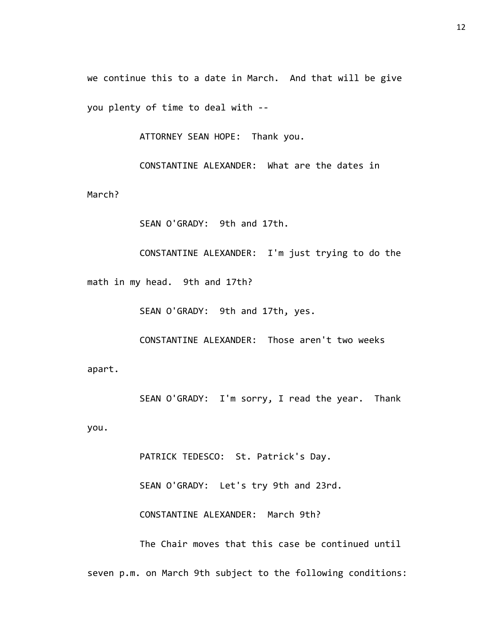we continue this to a date in March. And that will be give you plenty of time to deal with --

ATTORNEY SEAN HOPE: Thank you.

CONSTANTINE ALEXANDER: What are the dates in

March?

SEAN O'GRADY: 9th and 17th.

CONSTANTINE ALEXANDER: I'm just trying to do the math in my head. 9th and 17th?

SEAN O'GRADY: 9th and 17th, yes.

CONSTANTINE ALEXANDER: Those aren't two weeks apart.

SEAN O'GRADY: I'm sorry, I read the year. Thank

you.

PATRICK TEDESCO: St. Patrick's Day. SEAN O'GRADY: Let's try 9th and 23rd. CONSTANTINE ALEXANDER: March 9th? The Chair moves that this case be continued until seven p.m. on March 9th subject to the following conditions: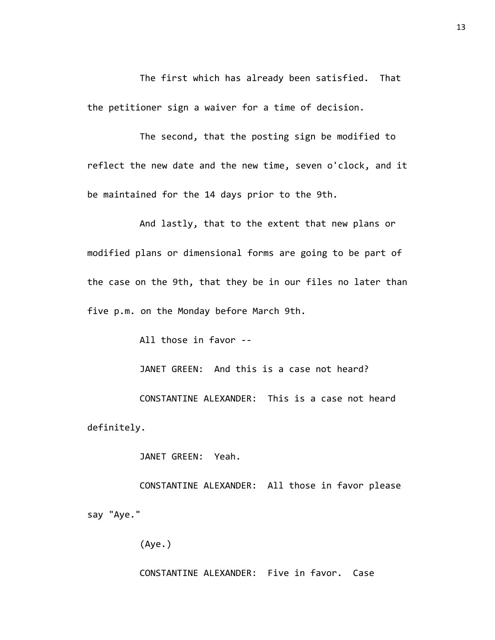The first which has already been satisfied. That the petitioner sign a waiver for a time of decision.

The second, that the posting sign be modified to reflect the new date and the new time, seven o'clock, and it be maintained for the 14 days prior to the 9th.

And lastly, that to the extent that new plans or modified plans or dimensional forms are going to be part of the case on the 9th, that they be in our files no later than five p.m. on the Monday before March 9th.

All those in favor --

JANET GREEN: And this is a case not heard?

CONSTANTINE ALEXANDER: This is a case not heard definitely.

JANET GREEN: Yeah.

CONSTANTINE ALEXANDER: All those in favor please say "Aye."

(Aye.)

CONSTANTINE ALEXANDER: Five in favor. Case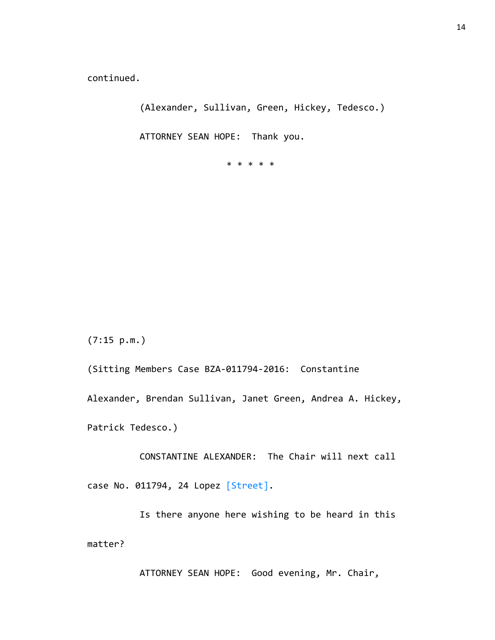continued.

(Alexander, Sullivan, Green, Hickey, Tedesco.)

ATTORNEY SEAN HOPE: Thank you.

\* \* \* \* \*

(7:15 p.m.)

(Sitting Members Case BZA-011794-2016: Constantine Alexander, Brendan Sullivan, Janet Green, Andrea A. Hickey, Patrick Tedesco.)

CONSTANTINE ALEXANDER: The Chair will next call case No. 011794, 24 Lopez [Street].

Is there anyone here wishing to be heard in this matter?

ATTORNEY SEAN HOPE: Good evening, Mr. Chair,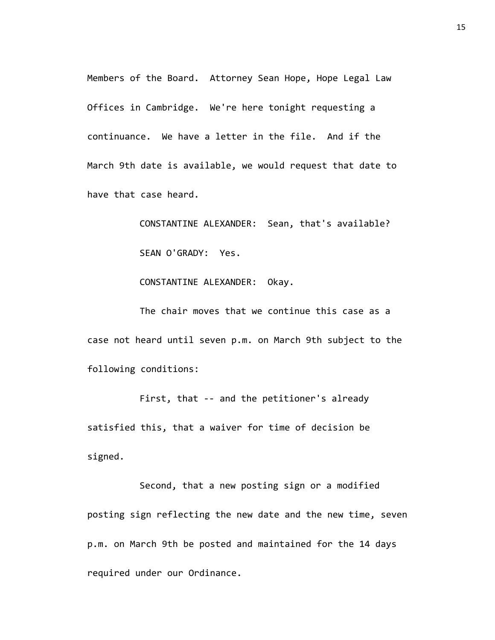Members of the Board. Attorney Sean Hope, Hope Legal Law Offices in Cambridge. We're here tonight requesting a continuance. We have a letter in the file. And if the March 9th date is available, we would request that date to have that case heard.

> CONSTANTINE ALEXANDER: Sean, that's available? SEAN O'GRADY: Yes.

CONSTANTINE ALEXANDER: Okay.

The chair moves that we continue this case as a case not heard until seven p.m. on March 9th subject to the following conditions:

First, that -- and the petitioner's already satisfied this, that a waiver for time of decision be signed.

Second, that a new posting sign or a modified posting sign reflecting the new date and the new time, seven p.m. on March 9th be posted and maintained for the 14 days required under our Ordinance.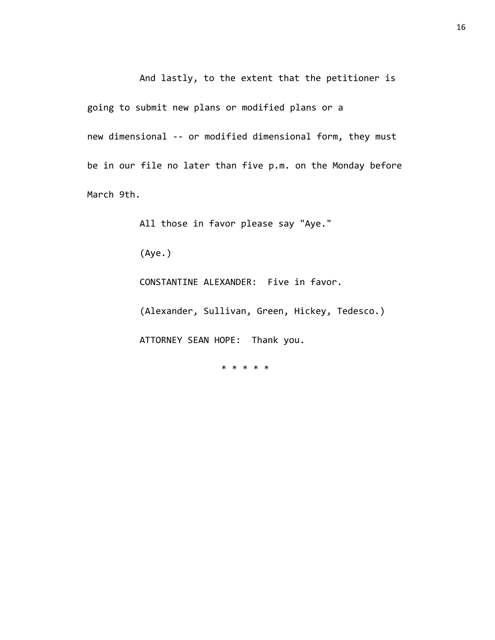And lastly, to the extent that the petitioner is going to submit new plans or modified plans or a new dimensional -- or modified dimensional form, they must be in our file no later than five p.m. on the Monday before March 9th.

All those in favor please say "Aye."

(Aye.)

CONSTANTINE ALEXANDER: Five in favor.

(Alexander, Sullivan, Green, Hickey, Tedesco.) ATTORNEY SEAN HOPE: Thank you.

\* \* \* \* \*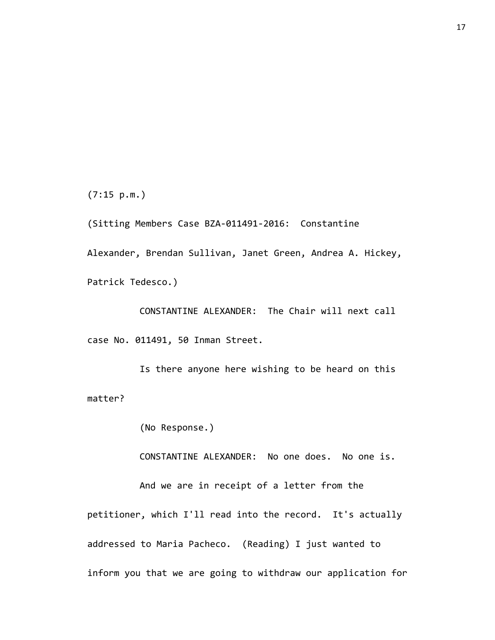(7:15 p.m.)

(Sitting Members Case BZA-011491-2016: Constantine Alexander, Brendan Sullivan, Janet Green, Andrea A. Hickey, Patrick Tedesco.)

CONSTANTINE ALEXANDER: The Chair will next call case No. 011491, 50 Inman Street.

Is there anyone here wishing to be heard on this matter?

(No Response.)

CONSTANTINE ALEXANDER: No one does. No one is.

And we are in receipt of a letter from the petitioner, which I'll read into the record. It's actually addressed to Maria Pacheco. (Reading) I just wanted to inform you that we are going to withdraw our application for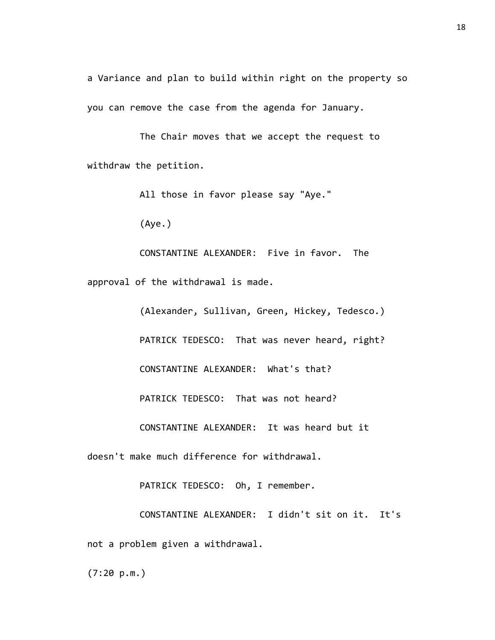a Variance and plan to build within right on the property so you can remove the case from the agenda for January.

The Chair moves that we accept the request to withdraw the petition.

All those in favor please say "Aye."

(Aye.)

CONSTANTINE ALEXANDER: Five in favor. The approval of the withdrawal is made.

(Alexander, Sullivan, Green, Hickey, Tedesco.) PATRICK TEDESCO: That was never heard, right? CONSTANTINE ALEXANDER: What's that? PATRICK TEDESCO: That was not heard? CONSTANTINE ALEXANDER: It was heard but it doesn't make much difference for withdrawal.

PATRICK TEDESCO: Oh, I remember.

CONSTANTINE ALEXANDER: I didn't sit on it. It's not a problem given a withdrawal.

(7:20 p.m.)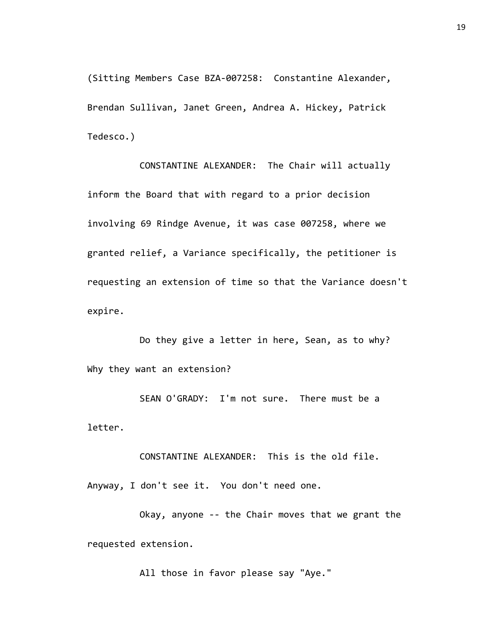(Sitting Members Case BZA-007258: Constantine Alexander, Brendan Sullivan, Janet Green, Andrea A. Hickey, Patrick Tedesco.)

CONSTANTINE ALEXANDER: The Chair will actually inform the Board that with regard to a prior decision involving 69 Rindge Avenue, it was case 007258, where we granted relief, a Variance specifically, the petitioner is requesting an extension of time so that the Variance doesn't expire.

Do they give a letter in here, Sean, as to why? Why they want an extension?

SEAN O'GRADY: I'm not sure. There must be a letter.

CONSTANTINE ALEXANDER: This is the old file.

Anyway, I don't see it. You don't need one.

Okay, anyone -- the Chair moves that we grant the requested extension.

All those in favor please say "Aye."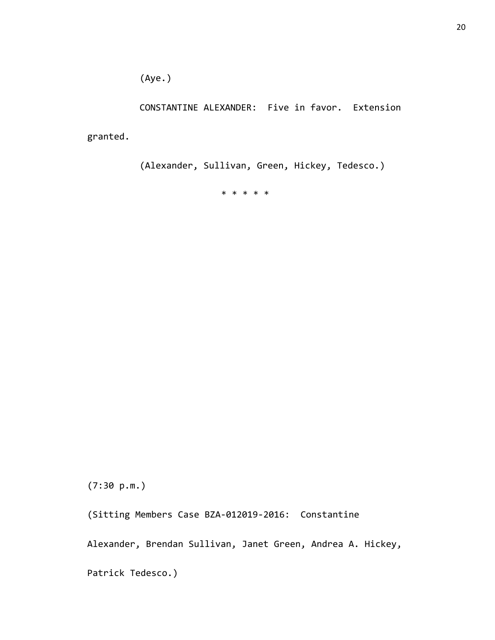(Aye.)

CONSTANTINE ALEXANDER: Five in favor. Extension

granted.

(Alexander, Sullivan, Green, Hickey, Tedesco.)

\* \* \* \* \*

(7:30 p.m.)

(Sitting Members Case BZA-012019-2016: Constantine

Alexander, Brendan Sullivan, Janet Green, Andrea A. Hickey,

Patrick Tedesco.)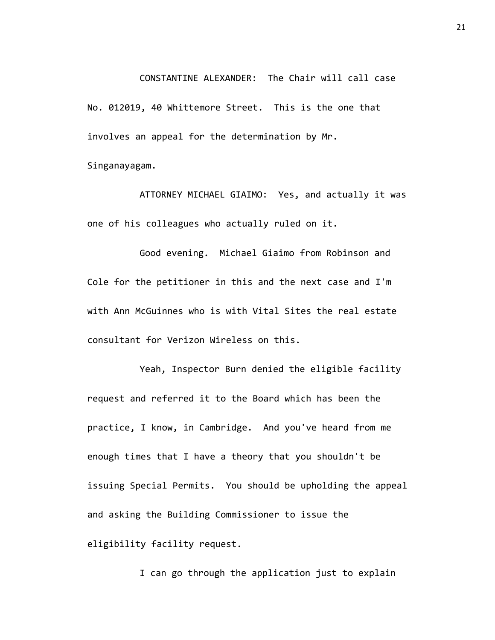CONSTANTINE ALEXANDER: The Chair will call case No. 012019, 40 Whittemore Street. This is the one that involves an appeal for the determination by Mr. Singanayagam.

ATTORNEY MICHAEL GIAIMO: Yes, and actually it was one of his colleagues who actually ruled on it.

Good evening. Michael Giaimo from Robinson and Cole for the petitioner in this and the next case and I'm with Ann McGuinnes who is with Vital Sites the real estate consultant for Verizon Wireless on this.

Yeah, Inspector Burn denied the eligible facility request and referred it to the Board which has been the practice, I know, in Cambridge. And you've heard from me enough times that I have a theory that you shouldn't be issuing Special Permits. You should be upholding the appeal and asking the Building Commissioner to issue the eligibility facility request.

I can go through the application just to explain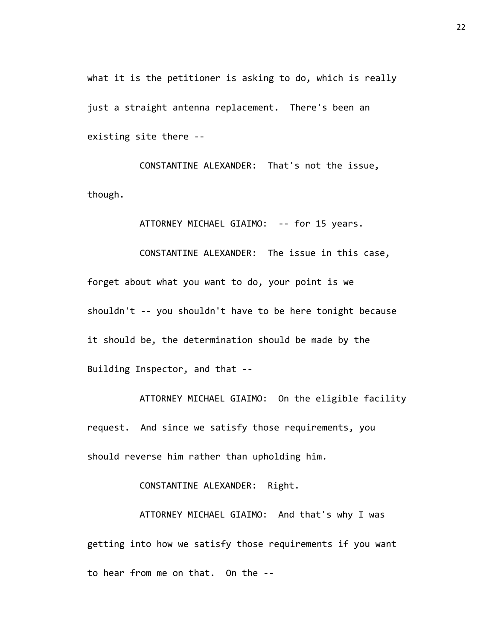what it is the petitioner is asking to do, which is really just a straight antenna replacement. There's been an existing site there --

CONSTANTINE ALEXANDER: That's not the issue, though.

ATTORNEY MICHAEL GIAIMO: -- for 15 years.

CONSTANTINE ALEXANDER: The issue in this case, forget about what you want to do, your point is we shouldn't -- you shouldn't have to be here tonight because it should be, the determination should be made by the Building Inspector, and that --

ATTORNEY MICHAEL GIAIMO: On the eligible facility request. And since we satisfy those requirements, you should reverse him rather than upholding him.

CONSTANTINE ALEXANDER: Right.

ATTORNEY MICHAEL GIAIMO: And that's why I was getting into how we satisfy those requirements if you want to hear from me on that. On the --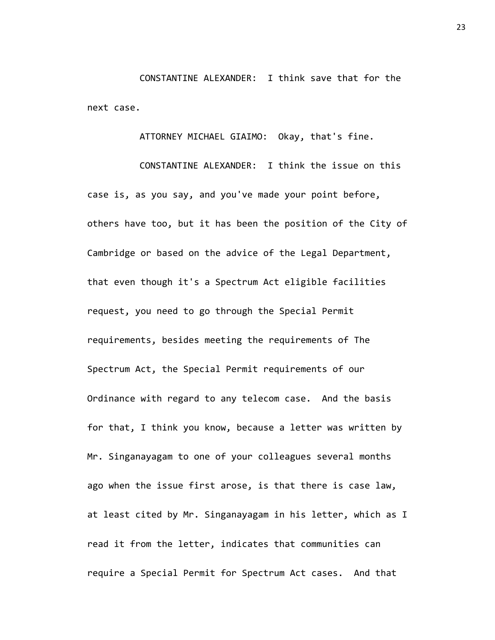CONSTANTINE ALEXANDER: I think save that for the next case.

ATTORNEY MICHAEL GIAIMO: Okay, that's fine.

CONSTANTINE ALEXANDER: I think the issue on this case is, as you say, and you've made your point before, others have too, but it has been the position of the City of Cambridge or based on the advice of the Legal Department, that even though it's a Spectrum Act eligible facilities request, you need to go through the Special Permit requirements, besides meeting the requirements of The Spectrum Act, the Special Permit requirements of our Ordinance with regard to any telecom case. And the basis for that, I think you know, because a letter was written by Mr. Singanayagam to one of your colleagues several months ago when the issue first arose, is that there is case law, at least cited by Mr. Singanayagam in his letter, which as I read it from the letter, indicates that communities can require a Special Permit for Spectrum Act cases. And that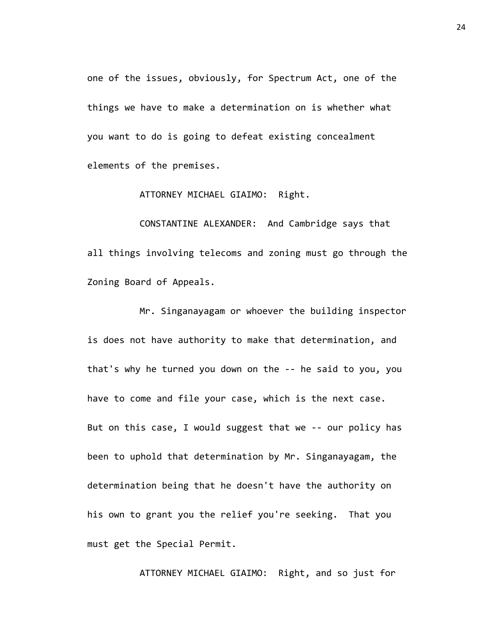one of the issues, obviously, for Spectrum Act, one of the things we have to make a determination on is whether what you want to do is going to defeat existing concealment elements of the premises.

ATTORNEY MICHAEL GIAIMO: Right.

CONSTANTINE ALEXANDER: And Cambridge says that all things involving telecoms and zoning must go through the Zoning Board of Appeals.

Mr. Singanayagam or whoever the building inspector is does not have authority to make that determination, and that's why he turned you down on the -- he said to you, you have to come and file your case, which is the next case. But on this case, I would suggest that we -- our policy has been to uphold that determination by Mr. Singanayagam, the determination being that he doesn't have the authority on his own to grant you the relief you're seeking. That you must get the Special Permit.

ATTORNEY MICHAEL GIAIMO: Right, and so just for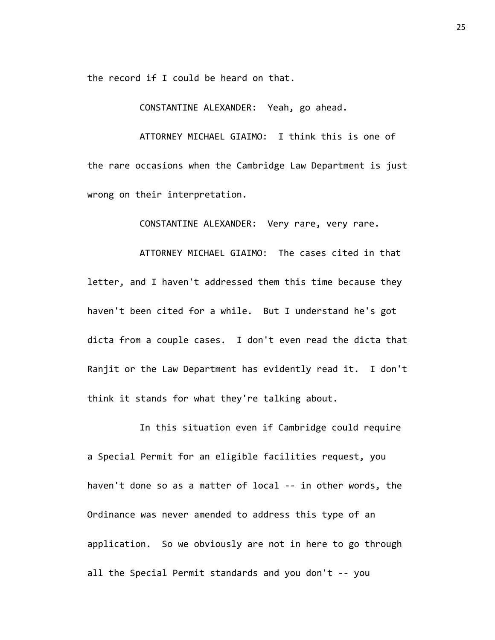the record if I could be heard on that.

CONSTANTINE ALEXANDER: Yeah, go ahead.

ATTORNEY MICHAEL GIAIMO: I think this is one of the rare occasions when the Cambridge Law Department is just wrong on their interpretation.

CONSTANTINE ALEXANDER: Very rare, very rare.

ATTORNEY MICHAEL GIAIMO: The cases cited in that letter, and I haven't addressed them this time because they haven't been cited for a while. But I understand he's got dicta from a couple cases. I don't even read the dicta that Ranjit or the Law Department has evidently read it. I don't think it stands for what they're talking about.

In this situation even if Cambridge could require a Special Permit for an eligible facilities request, you haven't done so as a matter of local -- in other words, the Ordinance was never amended to address this type of an application. So we obviously are not in here to go through all the Special Permit standards and you don't -- you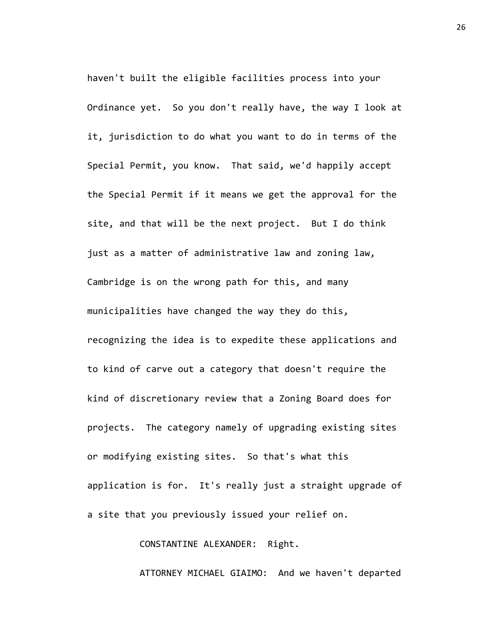haven't built the eligible facilities process into your Ordinance yet. So you don't really have, the way I look at it, jurisdiction to do what you want to do in terms of the Special Permit, you know. That said, we'd happily accept the Special Permit if it means we get the approval for the site, and that will be the next project. But I do think just as a matter of administrative law and zoning law, Cambridge is on the wrong path for this, and many municipalities have changed the way they do this, recognizing the idea is to expedite these applications and to kind of carve out a category that doesn't require the kind of discretionary review that a Zoning Board does for projects. The category namely of upgrading existing sites or modifying existing sites. So that's what this application is for. It's really just a straight upgrade of a site that you previously issued your relief on.

CONSTANTINE ALEXANDER: Right.

ATTORNEY MICHAEL GIAIMO: And we haven't departed

26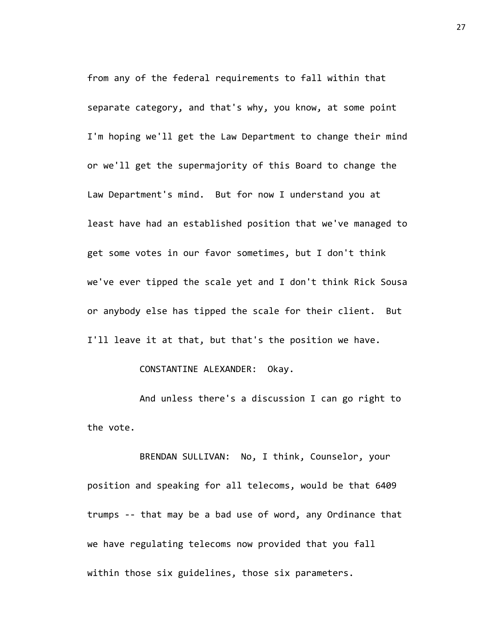from any of the federal requirements to fall within that separate category, and that's why, you know, at some point I'm hoping we'll get the Law Department to change their mind or we'll get the supermajority of this Board to change the Law Department's mind. But for now I understand you at least have had an established position that we've managed to get some votes in our favor sometimes, but I don't think we've ever tipped the scale yet and I don't think Rick Sousa or anybody else has tipped the scale for their client. But I'll leave it at that, but that's the position we have.

### CONSTANTINE ALEXANDER: Okay.

And unless there's a discussion I can go right to the vote.

BRENDAN SULLIVAN: No, I think, Counselor, your position and speaking for all telecoms, would be that 6409 trumps -- that may be a bad use of word, any Ordinance that we have regulating telecoms now provided that you fall within those six guidelines, those six parameters.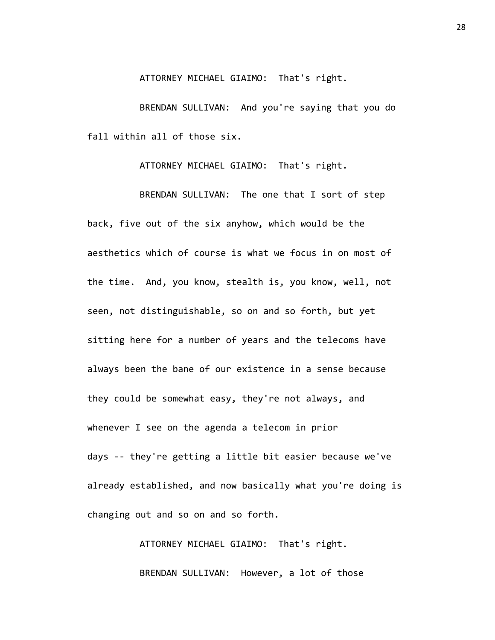ATTORNEY MICHAEL GIAIMO: That's right.

BRENDAN SULLIVAN: And you're saying that you do fall within all of those six.

ATTORNEY MICHAEL GIAIMO: That's right.

BRENDAN SULLIVAN: The one that I sort of step back, five out of the six anyhow, which would be the aesthetics which of course is what we focus in on most of the time. And, you know, stealth is, you know, well, not seen, not distinguishable, so on and so forth, but yet sitting here for a number of years and the telecoms have always been the bane of our existence in a sense because they could be somewhat easy, they're not always, and whenever I see on the agenda a telecom in prior days -- they're getting a little bit easier because we've already established, and now basically what you're doing is changing out and so on and so forth.

> ATTORNEY MICHAEL GIAIMO: That's right. BRENDAN SULLIVAN: However, a lot of those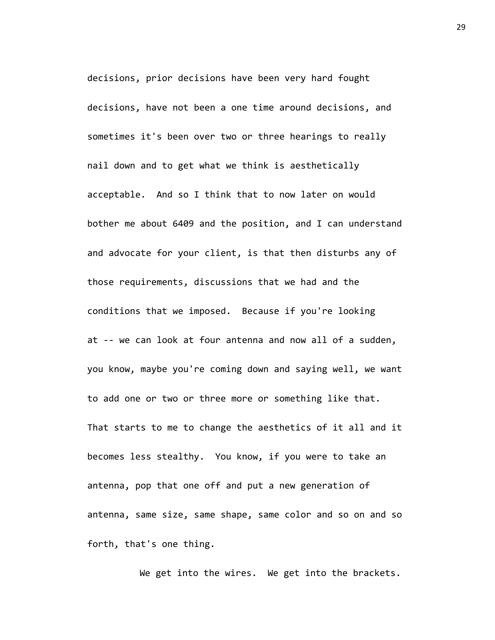decisions, prior decisions have been very hard fought decisions, have not been a one time around decisions, and sometimes it's been over two or three hearings to really nail down and to get what we think is aesthetically acceptable. And so I think that to now later on would bother me about 6409 and the position, and I can understand and advocate for your client, is that then disturbs any of those requirements, discussions that we had and the conditions that we imposed. Because if you're looking at -- we can look at four antenna and now all of a sudden, you know, maybe you're coming down and saying well, we want to add one or two or three more or something like that. That starts to me to change the aesthetics of it all and it becomes less stealthy. You know, if you were to take an antenna, pop that one off and put a new generation of antenna, same size, same shape, same color and so on and so forth, that's one thing.

We get into the wires. We get into the brackets.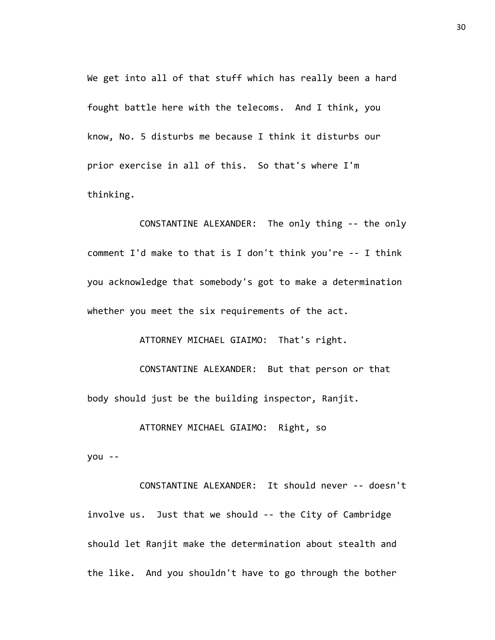We get into all of that stuff which has really been a hard fought battle here with the telecoms. And I think, you know, No. 5 disturbs me because I think it disturbs our prior exercise in all of this. So that's where I'm thinking.

CONSTANTINE ALEXANDER: The only thing -- the only comment I'd make to that is I don't think you're -- I think you acknowledge that somebody's got to make a determination whether you meet the six requirements of the act.

ATTORNEY MICHAEL GIAIMO: That's right.

CONSTANTINE ALEXANDER: But that person or that body should just be the building inspector, Ranjit.

ATTORNEY MICHAEL GIAIMO: Right, so

you --

CONSTANTINE ALEXANDER: It should never -- doesn't involve us. Just that we should -- the City of Cambridge should let Ranjit make the determination about stealth and the like. And you shouldn't have to go through the bother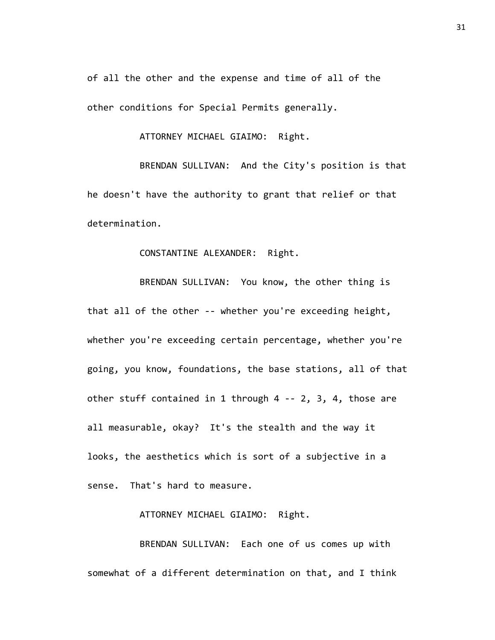of all the other and the expense and time of all of the other conditions for Special Permits generally.

ATTORNEY MICHAEL GIAIMO: Right.

BRENDAN SULLIVAN: And the City's position is that he doesn't have the authority to grant that relief or that determination.

## CONSTANTINE ALEXANDER: Right.

BRENDAN SULLIVAN: You know, the other thing is that all of the other -- whether you're exceeding height, whether you're exceeding certain percentage, whether you're going, you know, foundations, the base stations, all of that other stuff contained in 1 through 4 -- 2, 3, 4, those are all measurable, okay? It's the stealth and the way it looks, the aesthetics which is sort of a subjective in a sense. That's hard to measure.

ATTORNEY MICHAEL GIAIMO: Right.

BRENDAN SULLIVAN: Each one of us comes up with somewhat of a different determination on that, and I think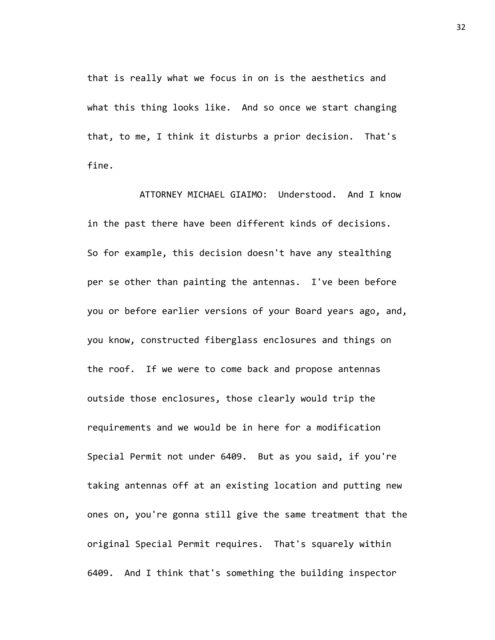that is really what we focus in on is the aesthetics and what this thing looks like. And so once we start changing that, to me, I think it disturbs a prior decision. That's fine.

ATTORNEY MICHAEL GIAIMO: Understood. And I know in the past there have been different kinds of decisions. So for example, this decision doesn't have any stealthing per se other than painting the antennas. I've been before you or before earlier versions of your Board years ago, and, you know, constructed fiberglass enclosures and things on the roof. If we were to come back and propose antennas outside those enclosures, those clearly would trip the requirements and we would be in here for a modification Special Permit not under 6409. But as you said, if you're taking antennas off at an existing location and putting new ones on, you're gonna still give the same treatment that the original Special Permit requires. That's squarely within 6409. And I think that's something the building inspector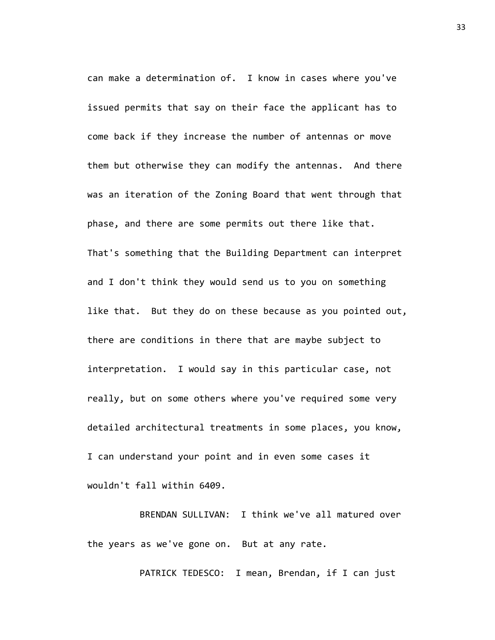can make a determination of. I know in cases where you've issued permits that say on their face the applicant has to come back if they increase the number of antennas or move them but otherwise they can modify the antennas. And there was an iteration of the Zoning Board that went through that phase, and there are some permits out there like that. That's something that the Building Department can interpret and I don't think they would send us to you on something like that. But they do on these because as you pointed out, there are conditions in there that are maybe subject to interpretation. I would say in this particular case, not really, but on some others where you've required some very detailed architectural treatments in some places, you know, I can understand your point and in even some cases it wouldn't fall within 6409.

BRENDAN SULLIVAN: I think we've all matured over the years as we've gone on. But at any rate.

PATRICK TEDESCO: I mean, Brendan, if I can just

33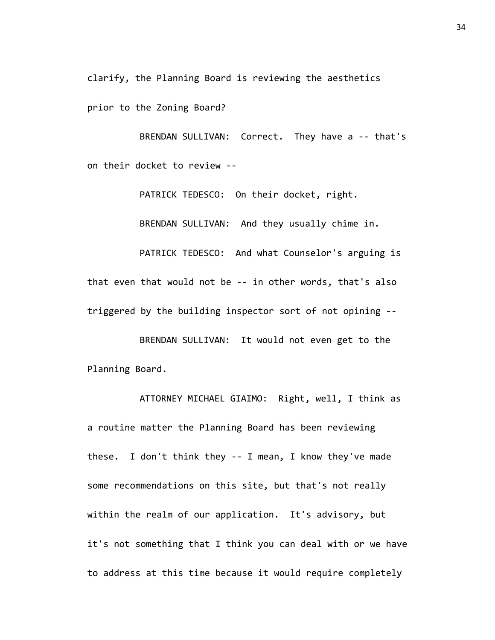clarify, the Planning Board is reviewing the aesthetics

prior to the Zoning Board?

BRENDAN SULLIVAN: Correct. They have a -- that's on their docket to review --

> PATRICK TEDESCO: On their docket, right. BRENDAN SULLIVAN: And they usually chime in.

PATRICK TEDESCO: And what Counselor's arguing is that even that would not be -- in other words, that's also triggered by the building inspector sort of not opining --

BRENDAN SULLIVAN: It would not even get to the Planning Board.

ATTORNEY MICHAEL GIAIMO: Right, well, I think as a routine matter the Planning Board has been reviewing these. I don't think they -- I mean, I know they've made some recommendations on this site, but that's not really within the realm of our application. It's advisory, but it's not something that I think you can deal with or we have to address at this time because it would require completely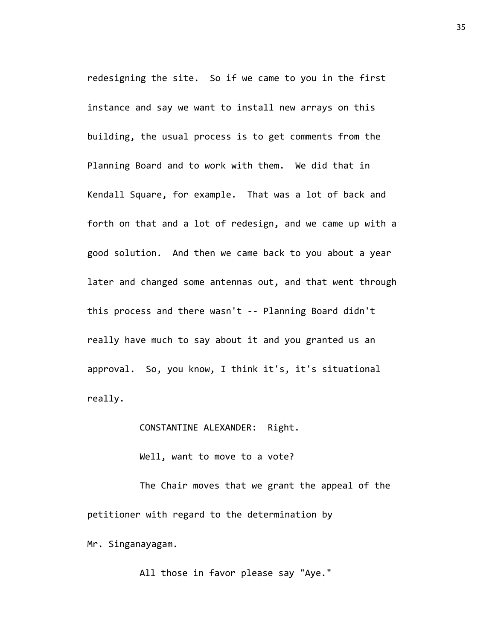redesigning the site. So if we came to you in the first instance and say we want to install new arrays on this building, the usual process is to get comments from the Planning Board and to work with them. We did that in Kendall Square, for example. That was a lot of back and forth on that and a lot of redesign, and we came up with a good solution. And then we came back to you about a year later and changed some antennas out, and that went through this process and there wasn't -- Planning Board didn't really have much to say about it and you granted us an approval. So, you know, I think it's, it's situational really.

CONSTANTINE ALEXANDER: Right.

Well, want to move to a vote?

The Chair moves that we grant the appeal of the petitioner with regard to the determination by Mr. Singanayagam.

All those in favor please say "Aye."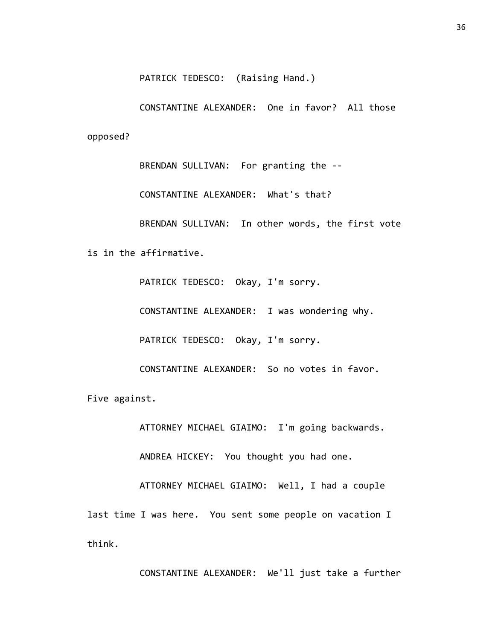PATRICK TEDESCO: (Raising Hand.)

CONSTANTINE ALEXANDER: One in favor? All those opposed?

BRENDAN SULLIVAN: For granting the -- CONSTANTINE ALEXANDER: What's that? BRENDAN SULLIVAN: In other words, the first vote is in the affirmative.

> PATRICK TEDESCO: Okay, I'm sorry. CONSTANTINE ALEXANDER: I was wondering why. PATRICK TEDESCO: Okay, I'm sorry.

CONSTANTINE ALEXANDER: So no votes in favor.

Five against.

ATTORNEY MICHAEL GIAIMO: I'm going backwards.

ANDREA HICKEY: You thought you had one.

ATTORNEY MICHAEL GIAIMO: Well, I had a couple last time I was here. You sent some people on vacation I think.

CONSTANTINE ALEXANDER: We'll just take a further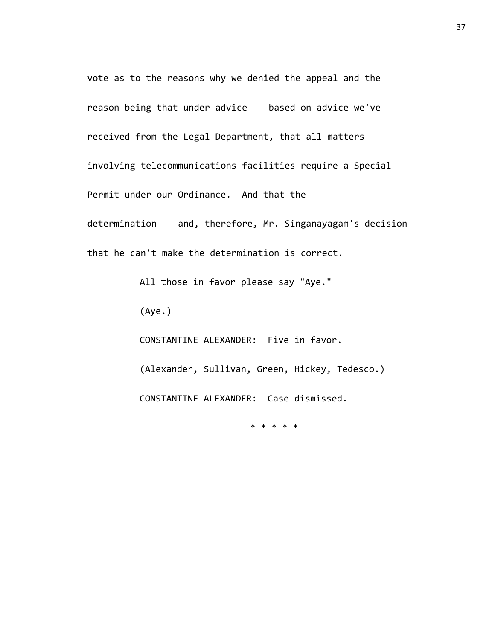vote as to the reasons why we denied the appeal and the reason being that under advice -- based on advice we've received from the Legal Department, that all matters involving telecommunications facilities require a Special Permit under our Ordinance. And that the determination -- and, therefore, Mr. Singanayagam's decision that he can't make the determination is correct.

All those in favor please say "Aye."

(Aye.)

CONSTANTINE ALEXANDER: Five in favor.

(Alexander, Sullivan, Green, Hickey, Tedesco.)

CONSTANTINE ALEXANDER: Case dismissed.

\* \* \* \* \*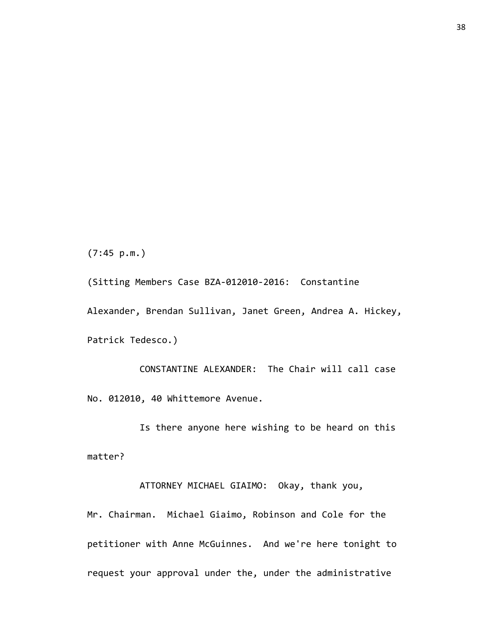(7:45 p.m.)

(Sitting Members Case BZA-012010-2016: Constantine Alexander, Brendan Sullivan, Janet Green, Andrea A. Hickey, Patrick Tedesco.)

CONSTANTINE ALEXANDER: The Chair will call case No. 012010, 40 Whittemore Avenue.

Is there anyone here wishing to be heard on this matter?

ATTORNEY MICHAEL GIAIMO: Okay, thank you,

Mr. Chairman. Michael Giaimo, Robinson and Cole for the petitioner with Anne McGuinnes. And we're here tonight to request your approval under the, under the administrative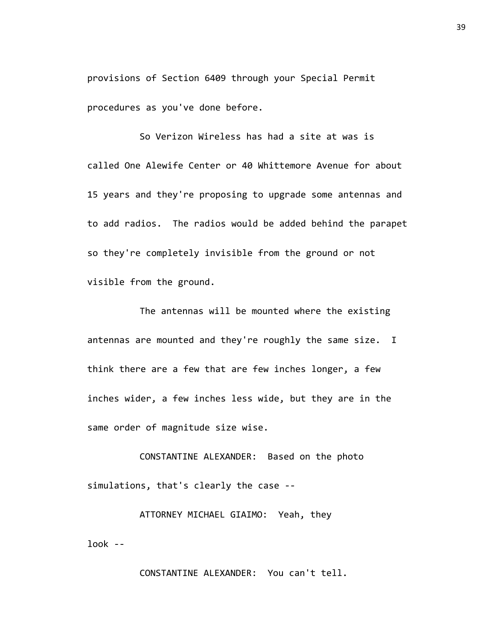provisions of Section 6409 through your Special Permit procedures as you've done before.

So Verizon Wireless has had a site at was is called One Alewife Center or 40 Whittemore Avenue for about 15 years and they're proposing to upgrade some antennas and to add radios. The radios would be added behind the parapet so they're completely invisible from the ground or not visible from the ground.

The antennas will be mounted where the existing antennas are mounted and they're roughly the same size. I think there are a few that are few inches longer, a few inches wider, a few inches less wide, but they are in the same order of magnitude size wise.

CONSTANTINE ALEXANDER: Based on the photo simulations, that's clearly the case --

ATTORNEY MICHAEL GIAIMO: Yeah, they look --

CONSTANTINE ALEXANDER: You can't tell.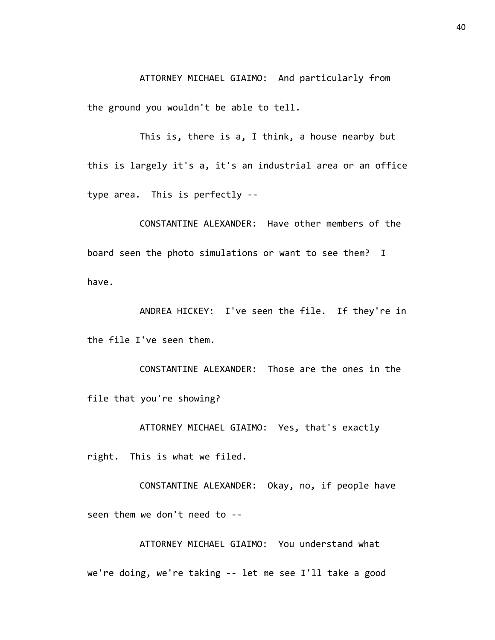ATTORNEY MICHAEL GIAIMO: And particularly from the ground you wouldn't be able to tell.

This is, there is a, I think, a house nearby but this is largely it's a, it's an industrial area or an office type area. This is perfectly --

CONSTANTINE ALEXANDER: Have other members of the board seen the photo simulations or want to see them? I have.

ANDREA HICKEY: I've seen the file. If they're in the file I've seen them.

CONSTANTINE ALEXANDER: Those are the ones in the file that you're showing?

ATTORNEY MICHAEL GIAIMO: Yes, that's exactly

right. This is what we filed.

CONSTANTINE ALEXANDER: Okay, no, if people have seen them we don't need to --

ATTORNEY MICHAEL GIAIMO: You understand what we're doing, we're taking -- let me see I'll take a good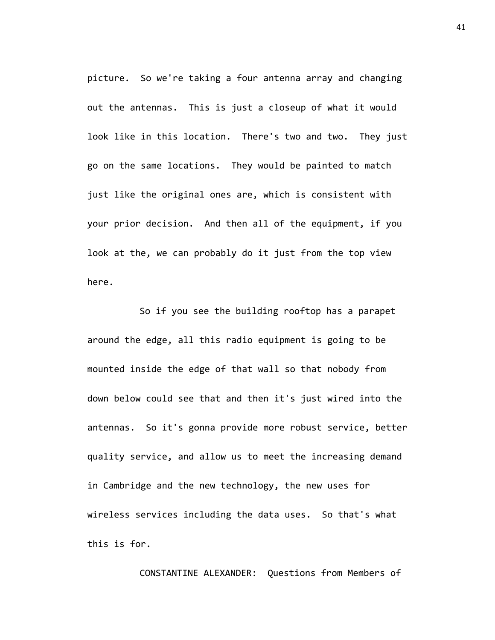picture. So we're taking a four antenna array and changing out the antennas. This is just a closeup of what it would look like in this location. There's two and two. They just go on the same locations. They would be painted to match just like the original ones are, which is consistent with your prior decision. And then all of the equipment, if you look at the, we can probably do it just from the top view here.

So if you see the building rooftop has a parapet around the edge, all this radio equipment is going to be mounted inside the edge of that wall so that nobody from down below could see that and then it's just wired into the antennas. So it's gonna provide more robust service, better quality service, and allow us to meet the increasing demand in Cambridge and the new technology, the new uses for wireless services including the data uses. So that's what this is for.

CONSTANTINE ALEXANDER: Questions from Members of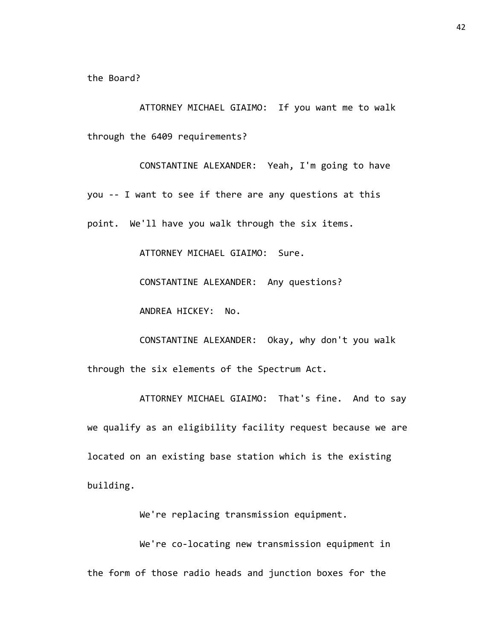the Board?

ATTORNEY MICHAEL GIAIMO: If you want me to walk through the 6409 requirements?

CONSTANTINE ALEXANDER: Yeah, I'm going to have you -- I want to see if there are any questions at this point. We'll have you walk through the six items.

ATTORNEY MICHAEL GIAIMO: Sure.

CONSTANTINE ALEXANDER: Any questions?

ANDREA HICKEY: No.

CONSTANTINE ALEXANDER: Okay, why don't you walk through the six elements of the Spectrum Act.

ATTORNEY MICHAEL GIAIMO: That's fine. And to say we qualify as an eligibility facility request because we are located on an existing base station which is the existing building.

We're replacing transmission equipment.

We're co-locating new transmission equipment in the form of those radio heads and junction boxes for the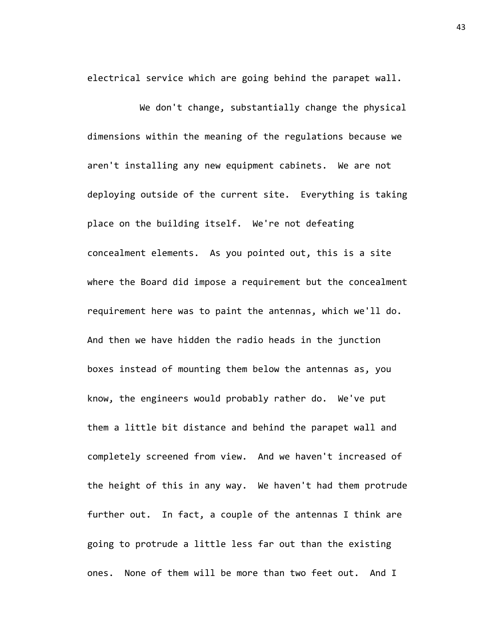electrical service which are going behind the parapet wall.

We don't change, substantially change the physical dimensions within the meaning of the regulations because we aren't installing any new equipment cabinets. We are not deploying outside of the current site. Everything is taking place on the building itself. We're not defeating concealment elements. As you pointed out, this is a site where the Board did impose a requirement but the concealment requirement here was to paint the antennas, which we'll do. And then we have hidden the radio heads in the junction boxes instead of mounting them below the antennas as, you know, the engineers would probably rather do. We've put them a little bit distance and behind the parapet wall and completely screened from view. And we haven't increased of the height of this in any way. We haven't had them protrude further out. In fact, a couple of the antennas I think are going to protrude a little less far out than the existing ones. None of them will be more than two feet out. And I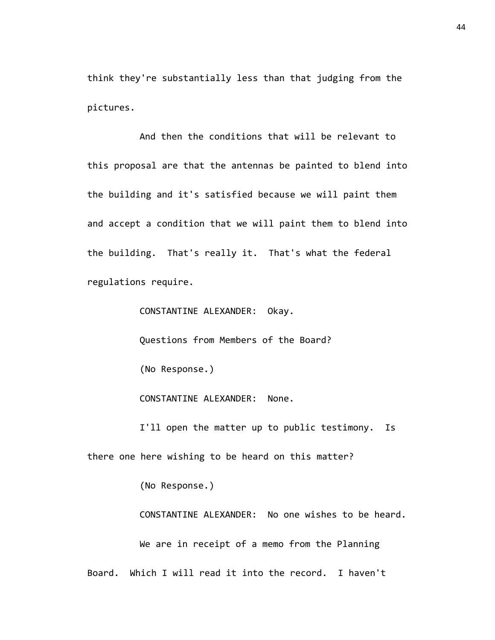think they're substantially less than that judging from the pictures.

And then the conditions that will be relevant to this proposal are that the antennas be painted to blend into the building and it's satisfied because we will paint them and accept a condition that we will paint them to blend into the building. That's really it. That's what the federal regulations require.

CONSTANTINE ALEXANDER: Okay. Questions from Members of the Board? (No Response.) CONSTANTINE ALEXANDER: None. I'll open the matter up to public testimony. Is

there one here wishing to be heard on this matter?

(No Response.)

CONSTANTINE ALEXANDER: No one wishes to be heard. We are in receipt of a memo from the Planning Board. Which I will read it into the record. I haven't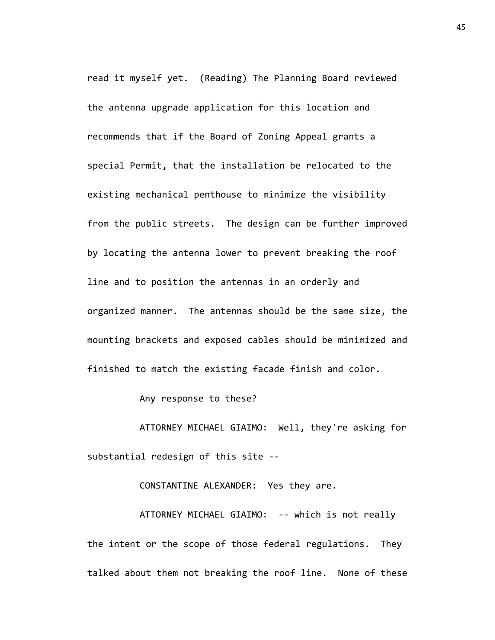read it myself yet. (Reading) The Planning Board reviewed the antenna upgrade application for this location and recommends that if the Board of Zoning Appeal grants a special Permit, that the installation be relocated to the existing mechanical penthouse to minimize the visibility from the public streets. The design can be further improved by locating the antenna lower to prevent breaking the roof line and to position the antennas in an orderly and organized manner. The antennas should be the same size, the mounting brackets and exposed cables should be minimized and finished to match the existing facade finish and color.

Any response to these?

ATTORNEY MICHAEL GIAIMO: Well, they're asking for substantial redesign of this site --

CONSTANTINE ALEXANDER: Yes they are.

ATTORNEY MICHAEL GIAIMO: -- which is not really the intent or the scope of those federal regulations. They talked about them not breaking the roof line. None of these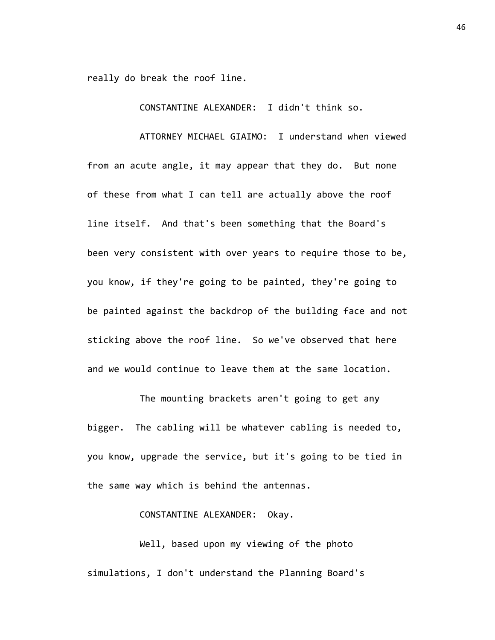really do break the roof line.

CONSTANTINE ALEXANDER: I didn't think so.

ATTORNEY MICHAEL GIAIMO: I understand when viewed from an acute angle, it may appear that they do. But none of these from what I can tell are actually above the roof line itself. And that's been something that the Board's been very consistent with over years to require those to be, you know, if they're going to be painted, they're going to be painted against the backdrop of the building face and not sticking above the roof line. So we've observed that here and we would continue to leave them at the same location.

The mounting brackets aren't going to get any bigger. The cabling will be whatever cabling is needed to, you know, upgrade the service, but it's going to be tied in the same way which is behind the antennas.

## CONSTANTINE ALEXANDER: Okay.

Well, based upon my viewing of the photo simulations, I don't understand the Planning Board's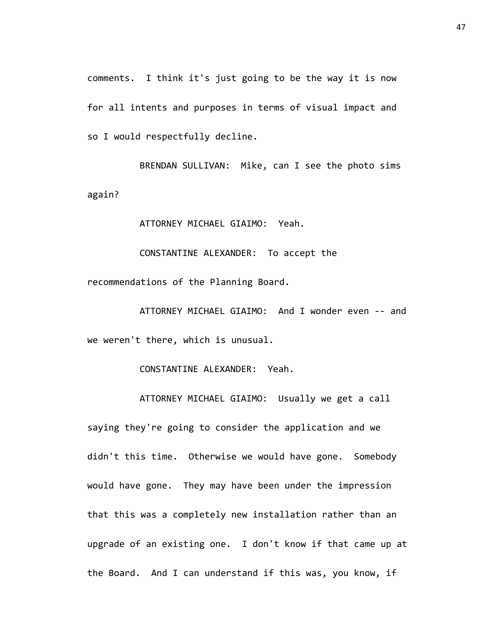comments. I think it's just going to be the way it is now for all intents and purposes in terms of visual impact and so I would respectfully decline.

BRENDAN SULLIVAN: Mike, can I see the photo sims again?

ATTORNEY MICHAEL GIAIMO: Yeah.

CONSTANTINE ALEXANDER: To accept the recommendations of the Planning Board.

ATTORNEY MICHAEL GIAIMO: And I wonder even -- and we weren't there, which is unusual.

CONSTANTINE ALEXANDER: Yeah.

ATTORNEY MICHAEL GIAIMO: Usually we get a call saying they're going to consider the application and we didn't this time. Otherwise we would have gone. Somebody would have gone. They may have been under the impression that this was a completely new installation rather than an upgrade of an existing one. I don't know if that came up at the Board. And I can understand if this was, you know, if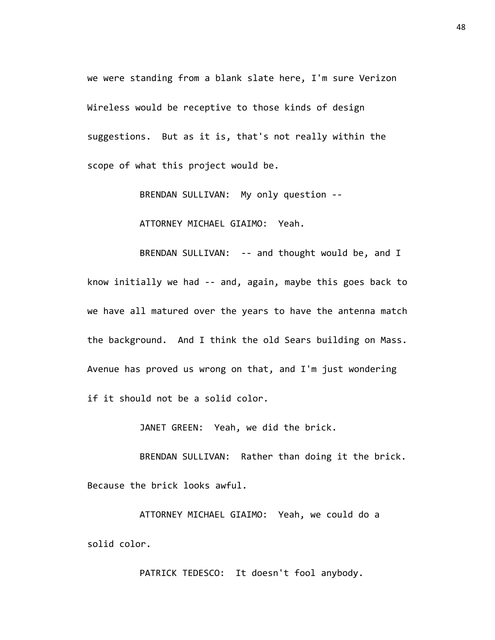we were standing from a blank slate here, I'm sure Verizon Wireless would be receptive to those kinds of design suggestions. But as it is, that's not really within the scope of what this project would be.

BRENDAN SULLIVAN: My only question --

ATTORNEY MICHAEL GIAIMO: Yeah.

BRENDAN SULLIVAN: -- and thought would be, and I know initially we had -- and, again, maybe this goes back to we have all matured over the years to have the antenna match the background. And I think the old Sears building on Mass. Avenue has proved us wrong on that, and I'm just wondering if it should not be a solid color.

JANET GREEN: Yeah, we did the brick.

BRENDAN SULLIVAN: Rather than doing it the brick. Because the brick looks awful.

ATTORNEY MICHAEL GIAIMO: Yeah, we could do a solid color.

PATRICK TEDESCO: It doesn't fool anybody.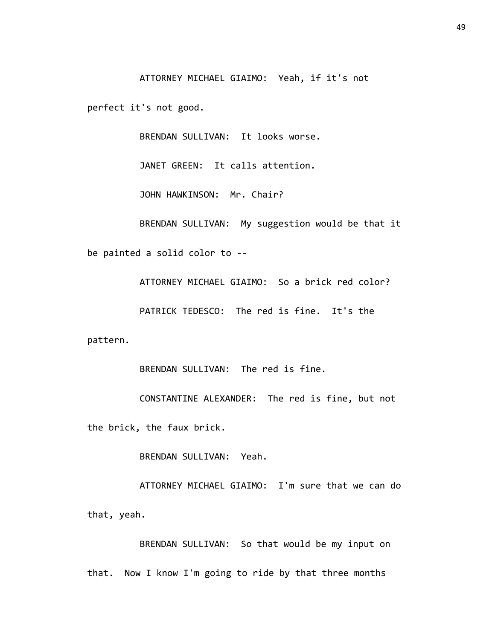ATTORNEY MICHAEL GIAIMO: Yeah, if it's not

perfect it's not good.

BRENDAN SULLIVAN: It looks worse.

JANET GREEN: It calls attention.

JOHN HAWKINSON: Mr. Chair?

BRENDAN SULLIVAN: My suggestion would be that it be painted a solid color to --

ATTORNEY MICHAEL GIAIMO: So a brick red color?

PATRICK TEDESCO: The red is fine. It's the

pattern.

BRENDAN SULLIVAN: The red is fine.

CONSTANTINE ALEXANDER: The red is fine, but not the brick, the faux brick.

BRENDAN SULLIVAN: Yeah.

ATTORNEY MICHAEL GIAIMO: I'm sure that we can do that, yeah.

BRENDAN SULLIVAN: So that would be my input on that. Now I know I'm going to ride by that three months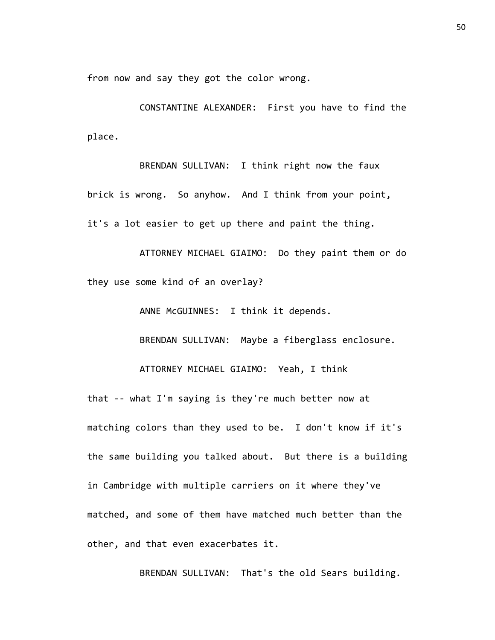from now and say they got the color wrong.

CONSTANTINE ALEXANDER: First you have to find the place.

BRENDAN SULLIVAN: I think right now the faux brick is wrong. So anyhow. And I think from your point, it's a lot easier to get up there and paint the thing.

ATTORNEY MICHAEL GIAIMO: Do they paint them or do they use some kind of an overlay?

ANNE McGUINNES: I think it depends.

BRENDAN SULLIVAN: Maybe a fiberglass enclosure.

ATTORNEY MICHAEL GIAIMO: Yeah, I think

that -- what I'm saying is they're much better now at matching colors than they used to be. I don't know if it's the same building you talked about. But there is a building in Cambridge with multiple carriers on it where they've matched, and some of them have matched much better than the other, and that even exacerbates it.

BRENDAN SULLIVAN: That's the old Sears building.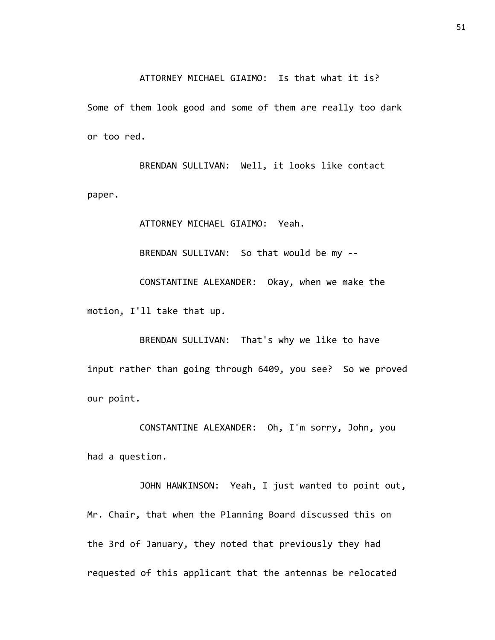ATTORNEY MICHAEL GIAIMO: Is that what it is?

Some of them look good and some of them are really too dark or too red.

BRENDAN SULLIVAN: Well, it looks like contact paper.

ATTORNEY MICHAEL GIAIMO: Yeah.

BRENDAN SULLIVAN: So that would be my --

CONSTANTINE ALEXANDER: Okay, when we make the motion, I'll take that up.

BRENDAN SULLIVAN: That's why we like to have input rather than going through 6409, you see? So we proved our point.

CONSTANTINE ALEXANDER: Oh, I'm sorry, John, you had a question.

JOHN HAWKINSON: Yeah, I just wanted to point out, Mr. Chair, that when the Planning Board discussed this on the 3rd of January, they noted that previously they had requested of this applicant that the antennas be relocated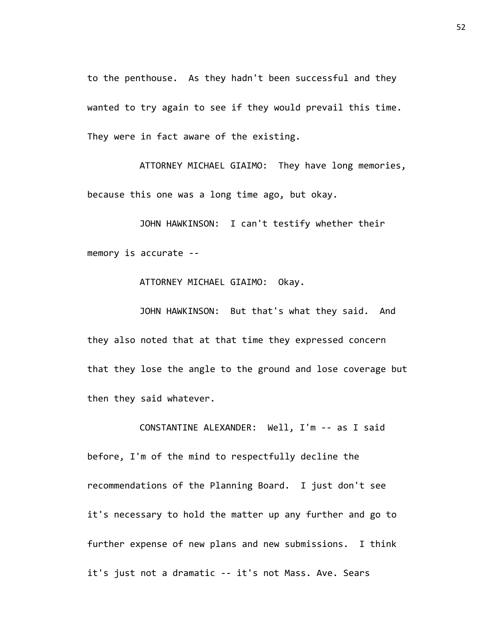to the penthouse. As they hadn't been successful and they wanted to try again to see if they would prevail this time. They were in fact aware of the existing.

ATTORNEY MICHAEL GIAIMO: They have long memories, because this one was a long time ago, but okay.

JOHN HAWKINSON: I can't testify whether their memory is accurate --

ATTORNEY MICHAEL GIAIMO: Okay.

JOHN HAWKINSON: But that's what they said. And they also noted that at that time they expressed concern that they lose the angle to the ground and lose coverage but then they said whatever.

CONSTANTINE ALEXANDER: Well, I'm -- as I said before, I'm of the mind to respectfully decline the recommendations of the Planning Board. I just don't see it's necessary to hold the matter up any further and go to further expense of new plans and new submissions. I think it's just not a dramatic -- it's not Mass. Ave. Sears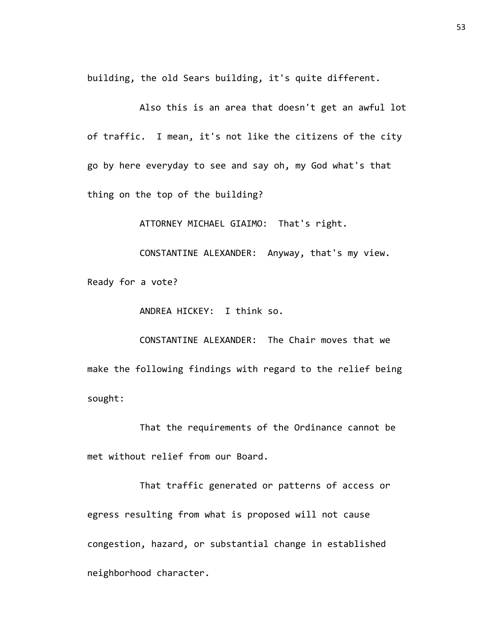building, the old Sears building, it's quite different.

Also this is an area that doesn't get an awful lot of traffic. I mean, it's not like the citizens of the city go by here everyday to see and say oh, my God what's that thing on the top of the building?

ATTORNEY MICHAEL GIAIMO: That's right.

CONSTANTINE ALEXANDER: Anyway, that's my view.

Ready for a vote?

ANDREA HICKEY: I think so.

CONSTANTINE ALEXANDER: The Chair moves that we make the following findings with regard to the relief being sought:

That the requirements of the Ordinance cannot be met without relief from our Board.

That traffic generated or patterns of access or egress resulting from what is proposed will not cause congestion, hazard, or substantial change in established neighborhood character.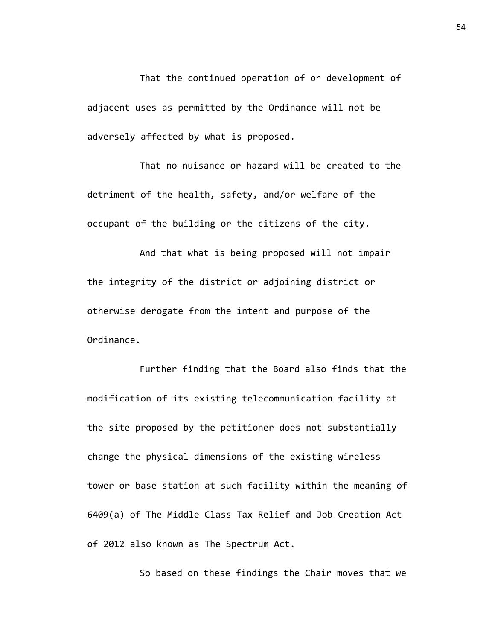That the continued operation of or development of adjacent uses as permitted by the Ordinance will not be adversely affected by what is proposed.

That no nuisance or hazard will be created to the detriment of the health, safety, and/or welfare of the occupant of the building or the citizens of the city.

And that what is being proposed will not impair the integrity of the district or adjoining district or otherwise derogate from the intent and purpose of the Ordinance.

Further finding that the Board also finds that the modification of its existing telecommunication facility at the site proposed by the petitioner does not substantially change the physical dimensions of the existing wireless tower or base station at such facility within the meaning of 6409(a) of The Middle Class Tax Relief and Job Creation Act of 2012 also known as The Spectrum Act.

So based on these findings the Chair moves that we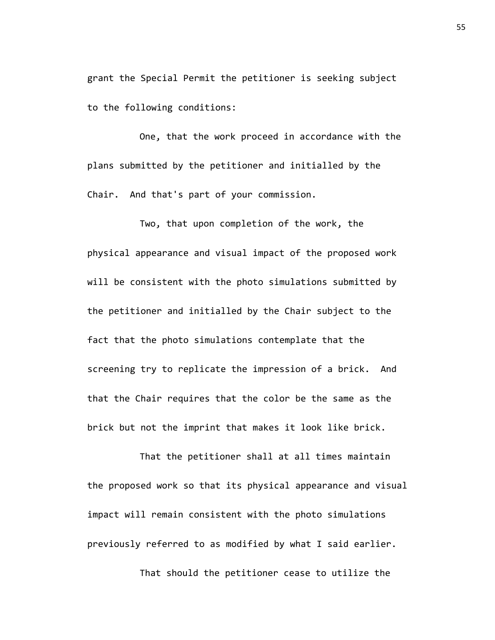grant the Special Permit the petitioner is seeking subject to the following conditions:

One, that the work proceed in accordance with the plans submitted by the petitioner and initialled by the Chair. And that's part of your commission.

Two, that upon completion of the work, the physical appearance and visual impact of the proposed work will be consistent with the photo simulations submitted by the petitioner and initialled by the Chair subject to the fact that the photo simulations contemplate that the screening try to replicate the impression of a brick. And that the Chair requires that the color be the same as the brick but not the imprint that makes it look like brick.

That the petitioner shall at all times maintain the proposed work so that its physical appearance and visual impact will remain consistent with the photo simulations previously referred to as modified by what I said earlier.

That should the petitioner cease to utilize the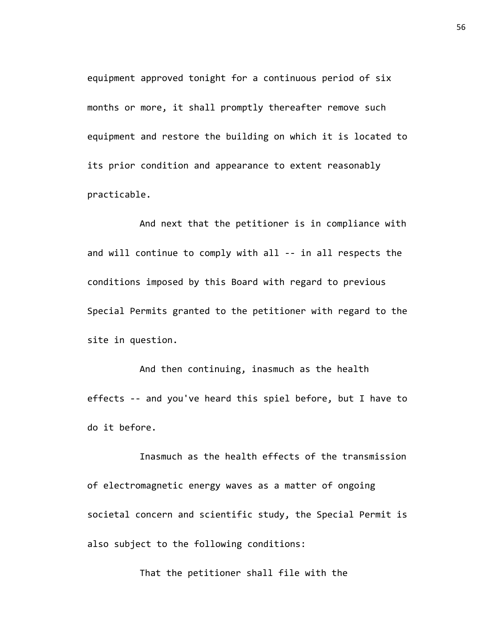equipment approved tonight for a continuous period of six months or more, it shall promptly thereafter remove such equipment and restore the building on which it is located to its prior condition and appearance to extent reasonably practicable.

And next that the petitioner is in compliance with and will continue to comply with all -- in all respects the conditions imposed by this Board with regard to previous Special Permits granted to the petitioner with regard to the site in question.

And then continuing, inasmuch as the health effects -- and you've heard this spiel before, but I have to do it before.

Inasmuch as the health effects of the transmission of electromagnetic energy waves as a matter of ongoing societal concern and scientific study, the Special Permit is also subject to the following conditions:

That the petitioner shall file with the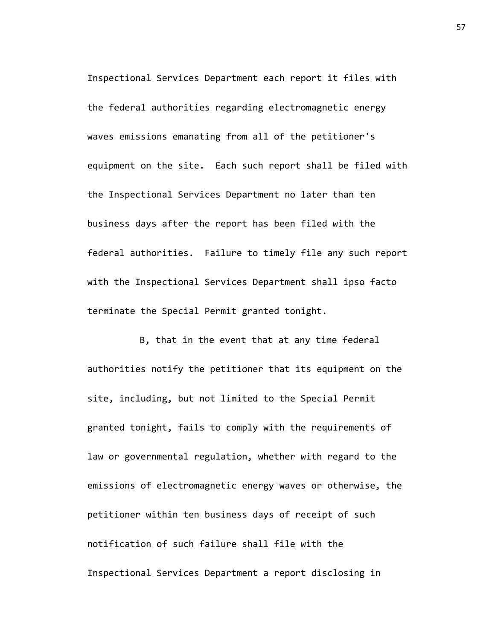Inspectional Services Department each report it files with the federal authorities regarding electromagnetic energy waves emissions emanating from all of the petitioner's equipment on the site. Each such report shall be filed with the Inspectional Services Department no later than ten business days after the report has been filed with the federal authorities. Failure to timely file any such report with the Inspectional Services Department shall ipso facto terminate the Special Permit granted tonight.

B, that in the event that at any time federal authorities notify the petitioner that its equipment on the site, including, but not limited to the Special Permit granted tonight, fails to comply with the requirements of law or governmental regulation, whether with regard to the emissions of electromagnetic energy waves or otherwise, the petitioner within ten business days of receipt of such notification of such failure shall file with the Inspectional Services Department a report disclosing in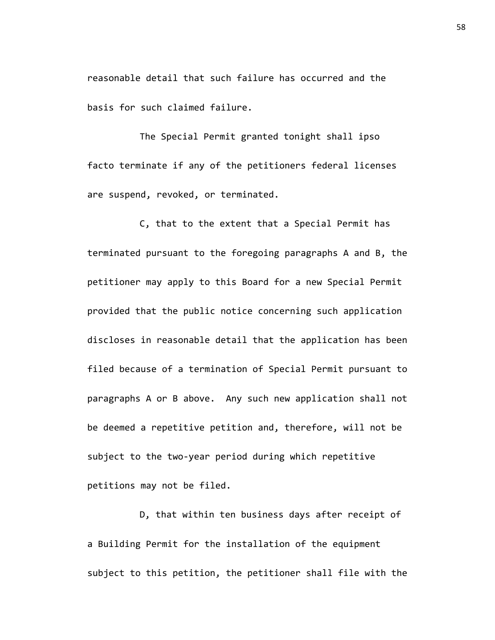reasonable detail that such failure has occurred and the basis for such claimed failure.

The Special Permit granted tonight shall ipso facto terminate if any of the petitioners federal licenses are suspend, revoked, or terminated.

C, that to the extent that a Special Permit has terminated pursuant to the foregoing paragraphs A and B, the petitioner may apply to this Board for a new Special Permit provided that the public notice concerning such application discloses in reasonable detail that the application has been filed because of a termination of Special Permit pursuant to paragraphs A or B above. Any such new application shall not be deemed a repetitive petition and, therefore, will not be subject to the two-year period during which repetitive petitions may not be filed.

D, that within ten business days after receipt of a Building Permit for the installation of the equipment subject to this petition, the petitioner shall file with the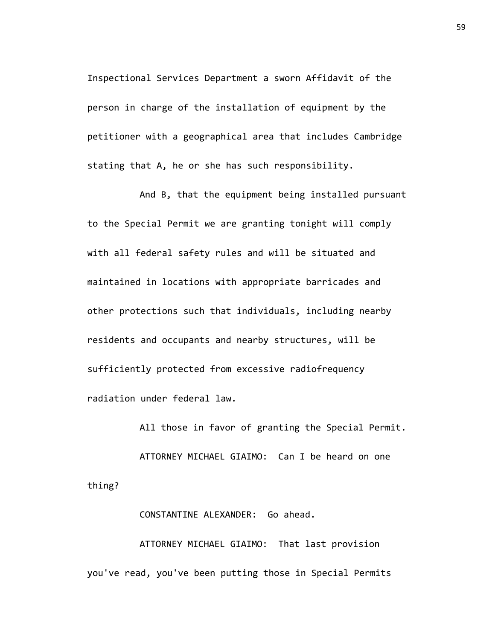Inspectional Services Department a sworn Affidavit of the person in charge of the installation of equipment by the petitioner with a geographical area that includes Cambridge stating that A, he or she has such responsibility.

And B, that the equipment being installed pursuant to the Special Permit we are granting tonight will comply with all federal safety rules and will be situated and maintained in locations with appropriate barricades and other protections such that individuals, including nearby residents and occupants and nearby structures, will be sufficiently protected from excessive radiofrequency radiation under federal law.

All those in favor of granting the Special Permit.

ATTORNEY MICHAEL GIAIMO: Can I be heard on one thing?

## CONSTANTINE ALEXANDER: Go ahead.

ATTORNEY MICHAEL GIAIMO: That last provision you've read, you've been putting those in Special Permits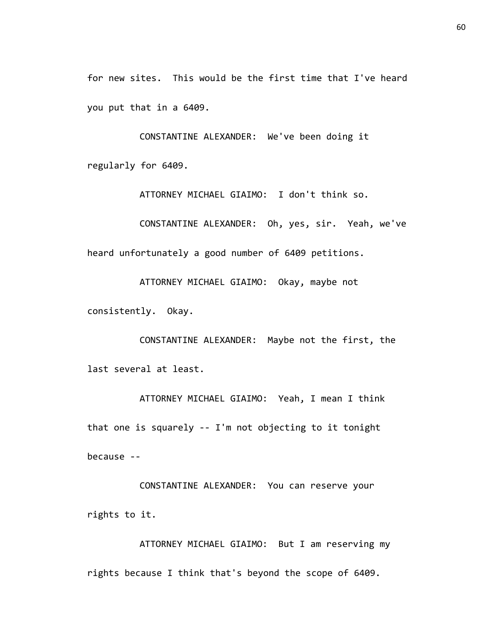for new sites. This would be the first time that I've heard you put that in a 6409.

CONSTANTINE ALEXANDER: We've been doing it regularly for 6409.

ATTORNEY MICHAEL GIAIMO: I don't think so.

CONSTANTINE ALEXANDER: Oh, yes, sir. Yeah, we've heard unfortunately a good number of 6409 petitions.

ATTORNEY MICHAEL GIAIMO: Okay, maybe not consistently. Okay.

CONSTANTINE ALEXANDER: Maybe not the first, the last several at least.

ATTORNEY MICHAEL GIAIMO: Yeah, I mean I think that one is squarely -- I'm not objecting to it tonight because --

CONSTANTINE ALEXANDER: You can reserve your rights to it.

ATTORNEY MICHAEL GIAIMO: But I am reserving my rights because I think that's beyond the scope of 6409.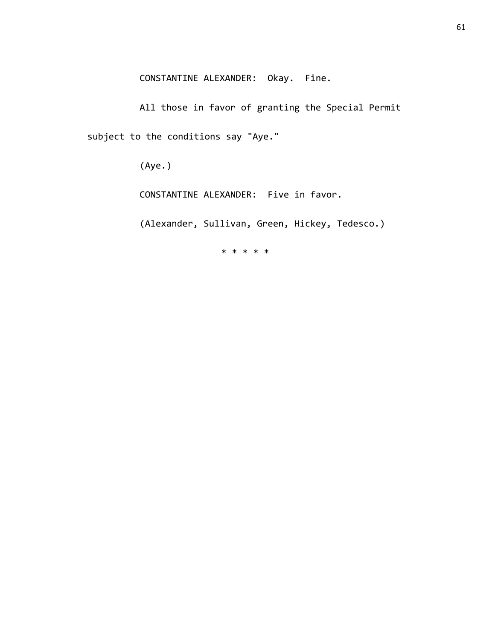CONSTANTINE ALEXANDER: Okay. Fine.

All those in favor of granting the Special Permit subject to the conditions say "Aye."

(Aye.)

CONSTANTINE ALEXANDER: Five in favor.

(Alexander, Sullivan, Green, Hickey, Tedesco.)

\* \* \* \* \*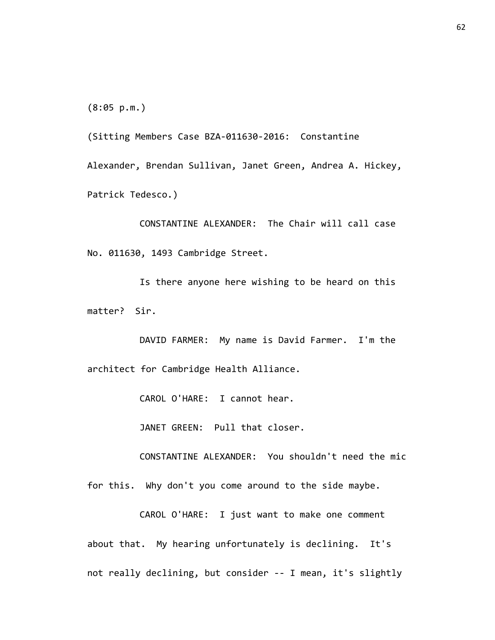(8:05 p.m.)

(Sitting Members Case BZA-011630-2016: Constantine Alexander, Brendan Sullivan, Janet Green, Andrea A. Hickey, Patrick Tedesco.)

CONSTANTINE ALEXANDER: The Chair will call case No. 011630, 1493 Cambridge Street.

Is there anyone here wishing to be heard on this matter? Sir.

DAVID FARMER: My name is David Farmer. I'm the architect for Cambridge Health Alliance.

CAROL O'HARE: I cannot hear.

JANET GREEN: Pull that closer.

CONSTANTINE ALEXANDER: You shouldn't need the mic

for this. Why don't you come around to the side maybe.

CAROL O'HARE: I just want to make one comment about that. My hearing unfortunately is declining. It's not really declining, but consider -- I mean, it's slightly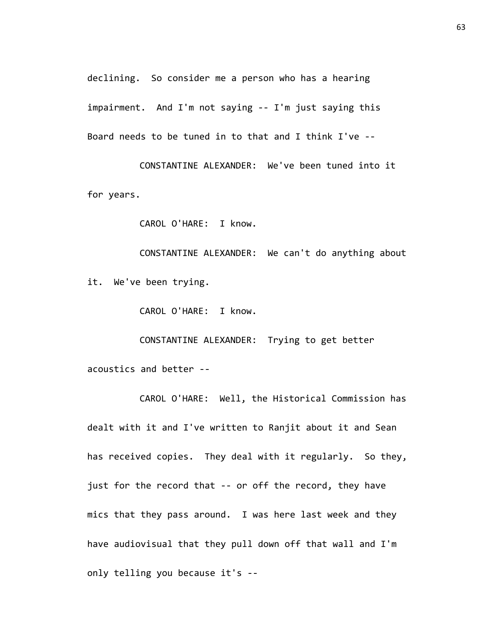declining. So consider me a person who has a hearing impairment. And I'm not saying -- I'm just saying this Board needs to be tuned in to that and I think I've --

CONSTANTINE ALEXANDER: We've been tuned into it for years.

CAROL O'HARE: I know.

CONSTANTINE ALEXANDER: We can't do anything about it. We've been trying.

CAROL O'HARE: I know.

CONSTANTINE ALEXANDER: Trying to get better acoustics and better --

CAROL O'HARE: Well, the Historical Commission has dealt with it and I've written to Ranjit about it and Sean has received copies. They deal with it regularly. So they, just for the record that -- or off the record, they have mics that they pass around. I was here last week and they have audiovisual that they pull down off that wall and I'm only telling you because it's --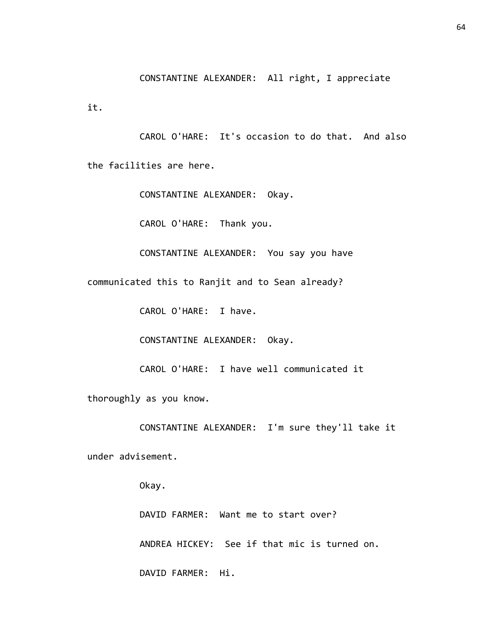CONSTANTINE ALEXANDER: All right, I appreciate

it.

CAROL O'HARE: It's occasion to do that. And also the facilities are here.

CONSTANTINE ALEXANDER: Okay.

CAROL O'HARE: Thank you.

CONSTANTINE ALEXANDER: You say you have

communicated this to Ranjit and to Sean already?

CAROL O'HARE: I have.

CONSTANTINE ALEXANDER: Okay.

CAROL O'HARE: I have well communicated it

thoroughly as you know.

CONSTANTINE ALEXANDER: I'm sure they'll take it

under advisement.

Okay.

DAVID FARMER: Want me to start over? ANDREA HICKEY: See if that mic is turned on. DAVID FARMER: Hi.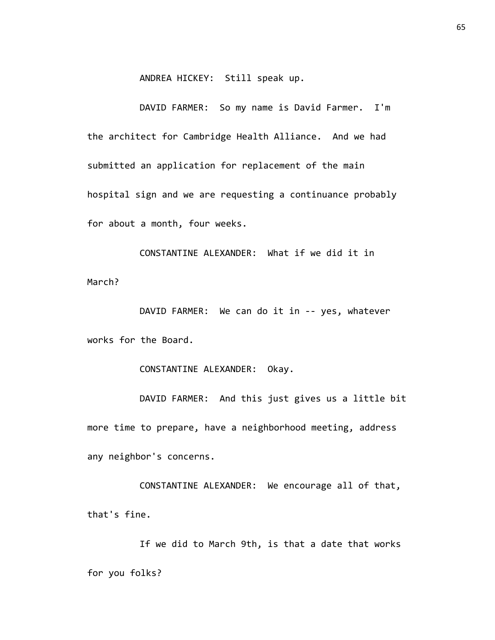ANDREA HICKEY: Still speak up.

DAVID FARMER: So my name is David Farmer. I'm the architect for Cambridge Health Alliance. And we had submitted an application for replacement of the main hospital sign and we are requesting a continuance probably for about a month, four weeks.

CONSTANTINE ALEXANDER: What if we did it in March?

DAVID FARMER: We can do it in -- yes, whatever works for the Board.

CONSTANTINE ALEXANDER: Okay.

DAVID FARMER: And this just gives us a little bit more time to prepare, have a neighborhood meeting, address any neighbor's concerns.

CONSTANTINE ALEXANDER: We encourage all of that, that's fine.

If we did to March 9th, is that a date that works for you folks?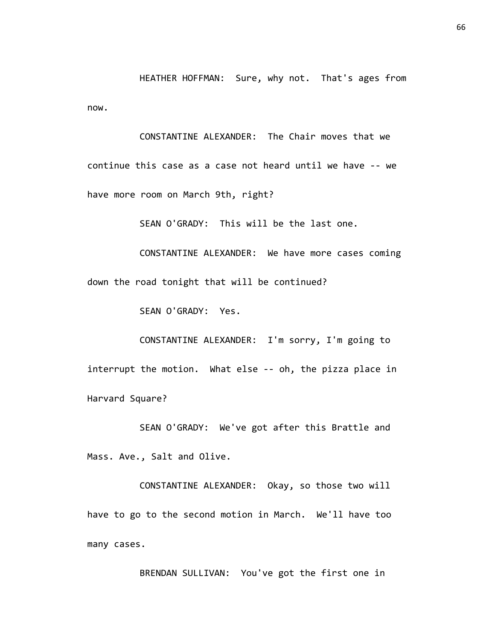HEATHER HOFFMAN: Sure, why not. That's ages from now.

CONSTANTINE ALEXANDER: The Chair moves that we continue this case as a case not heard until we have -- we have more room on March 9th, right?

SEAN O'GRADY: This will be the last one.

CONSTANTINE ALEXANDER: We have more cases coming down the road tonight that will be continued?

SEAN O'GRADY: Yes.

CONSTANTINE ALEXANDER: I'm sorry, I'm going to interrupt the motion. What else -- oh, the pizza place in Harvard Square?

SEAN O'GRADY: We've got after this Brattle and Mass. Ave., Salt and Olive.

CONSTANTINE ALEXANDER: Okay, so those two will have to go to the second motion in March. We'll have too many cases.

BRENDAN SULLIVAN: You've got the first one in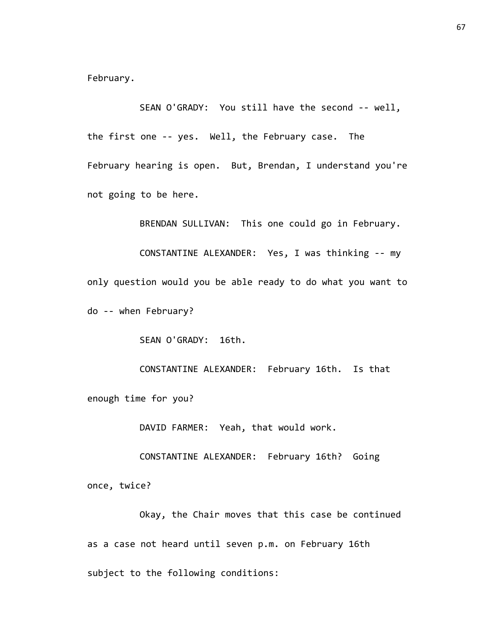February.

SEAN O'GRADY: You still have the second -- well, the first one -- yes. Well, the February case. The February hearing is open. But, Brendan, I understand you're not going to be here.

BRENDAN SULLIVAN: This one could go in February. CONSTANTINE ALEXANDER: Yes, I was thinking -- my only question would you be able ready to do what you want to do -- when February?

SEAN O'GRADY: 16th.

CONSTANTINE ALEXANDER: February 16th. Is that enough time for you?

DAVID FARMER: Yeah, that would work.

CONSTANTINE ALEXANDER: February 16th? Going once, twice?

Okay, the Chair moves that this case be continued as a case not heard until seven p.m. on February 16th subject to the following conditions: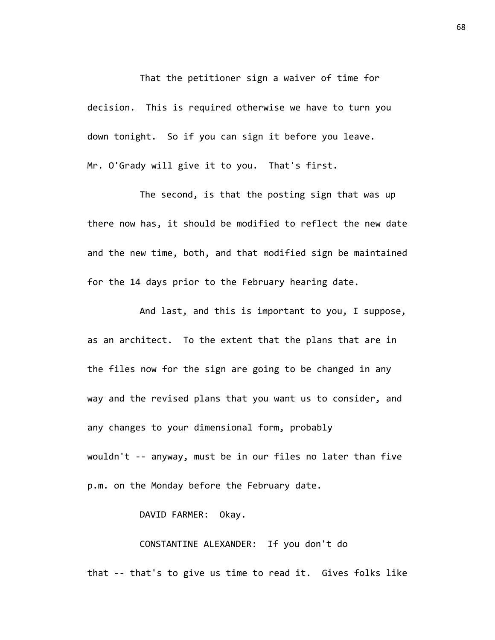That the petitioner sign a waiver of time for decision. This is required otherwise we have to turn you down tonight. So if you can sign it before you leave. Mr. O'Grady will give it to you. That's first.

The second, is that the posting sign that was up there now has, it should be modified to reflect the new date and the new time, both, and that modified sign be maintained for the 14 days prior to the February hearing date.

And last, and this is important to you, I suppose, as an architect. To the extent that the plans that are in the files now for the sign are going to be changed in any way and the revised plans that you want us to consider, and any changes to your dimensional form, probably wouldn't -- anyway, must be in our files no later than five p.m. on the Monday before the February date.

## DAVID FARMER: Okay.

CONSTANTINE ALEXANDER: If you don't do that -- that's to give us time to read it. Gives folks like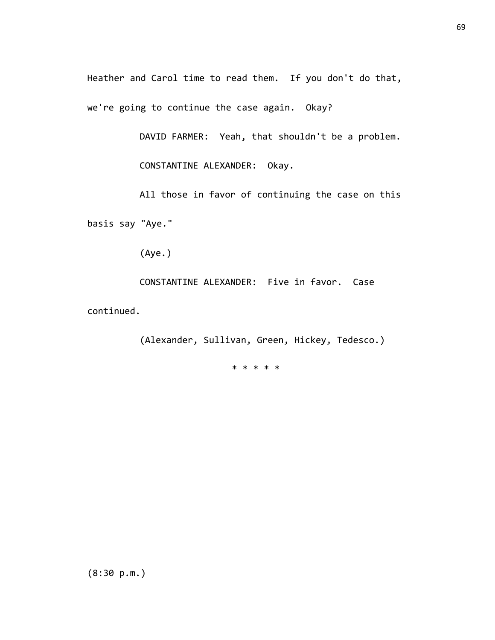Heather and Carol time to read them. If you don't do that, we're going to continue the case again. Okay?

DAVID FARMER: Yeah, that shouldn't be a problem.

CONSTANTINE ALEXANDER: Okay.

All those in favor of continuing the case on this basis say "Aye."

(Aye.)

CONSTANTINE ALEXANDER: Five in favor. Case

continued.

(Alexander, Sullivan, Green, Hickey, Tedesco.)

\* \* \* \* \*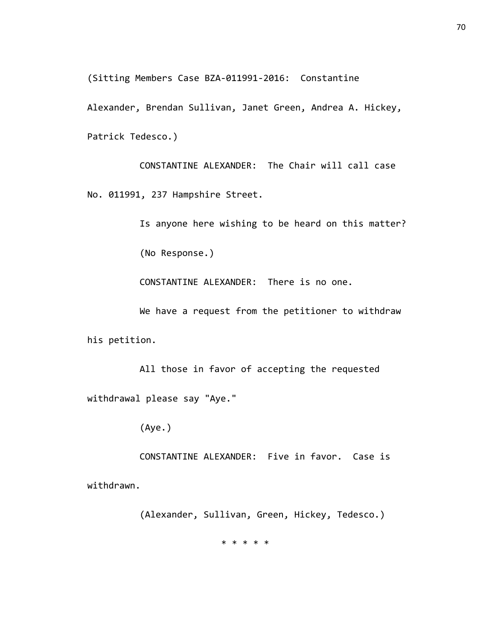(Sitting Members Case BZA-011991-2016: Constantine

Alexander, Brendan Sullivan, Janet Green, Andrea A. Hickey, Patrick Tedesco.)

CONSTANTINE ALEXANDER: The Chair will call case No. 011991, 237 Hampshire Street.

Is anyone here wishing to be heard on this matter?

(No Response.)

CONSTANTINE ALEXANDER: There is no one.

We have a request from the petitioner to withdraw his petition.

All those in favor of accepting the requested withdrawal please say "Aye."

(Aye.)

CONSTANTINE ALEXANDER: Five in favor. Case is

withdrawn.

(Alexander, Sullivan, Green, Hickey, Tedesco.)

\* \* \* \* \*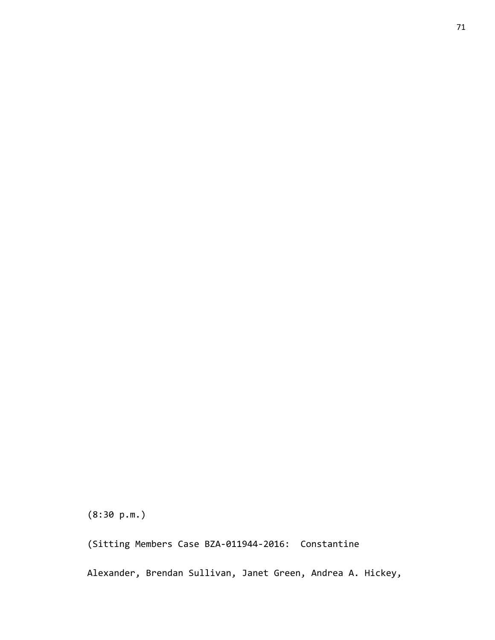(8:30 p.m.)

(Sitting Members Case BZA-011944-2016: Constantine

Alexander, Brendan Sullivan, Janet Green, Andrea A. Hickey,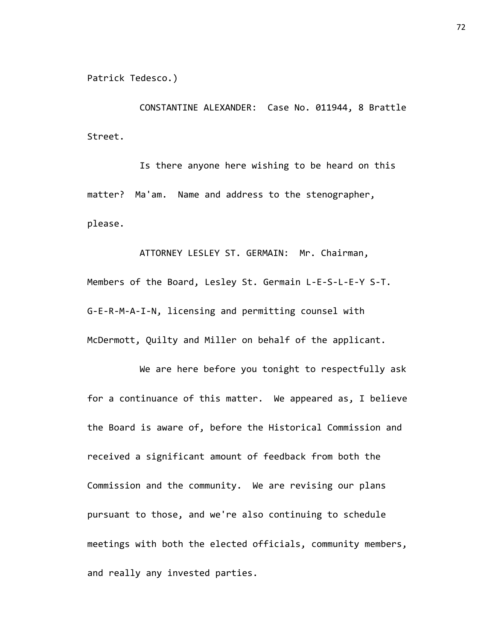Patrick Tedesco.)

CONSTANTINE ALEXANDER: Case No. 011944, 8 Brattle Street.

Is there anyone here wishing to be heard on this matter? Ma'am. Name and address to the stenographer, please.

ATTORNEY LESLEY ST. GERMAIN: Mr. Chairman, Members of the Board, Lesley St. Germain L-E-S-L-E-Y S-T. G-E-R-M-A-I-N, licensing and permitting counsel with McDermott, Quilty and Miller on behalf of the applicant.

We are here before you tonight to respectfully ask for a continuance of this matter. We appeared as, I believe the Board is aware of, before the Historical Commission and received a significant amount of feedback from both the Commission and the community. We are revising our plans pursuant to those, and we're also continuing to schedule meetings with both the elected officials, community members, and really any invested parties.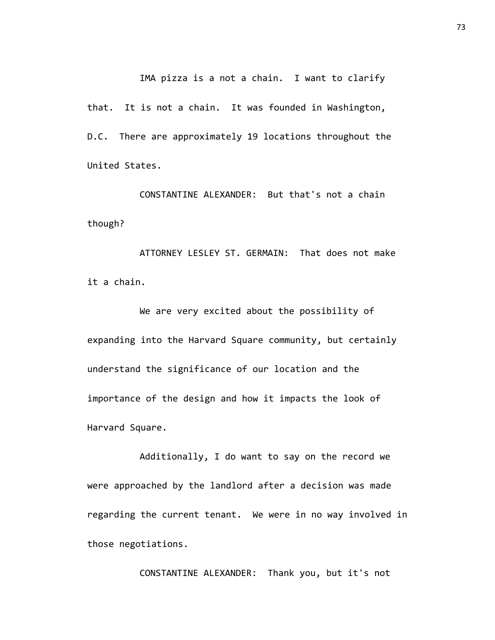IMA pizza is a not a chain. I want to clarify

that. It is not a chain. It was founded in Washington, D.C. There are approximately 19 locations throughout the United States.

CONSTANTINE ALEXANDER: But that's not a chain though?

ATTORNEY LESLEY ST. GERMAIN: That does not make it a chain.

We are very excited about the possibility of expanding into the Harvard Square community, but certainly understand the significance of our location and the importance of the design and how it impacts the look of Harvard Square.

Additionally, I do want to say on the record we were approached by the landlord after a decision was made regarding the current tenant. We were in no way involved in those negotiations.

CONSTANTINE ALEXANDER: Thank you, but it's not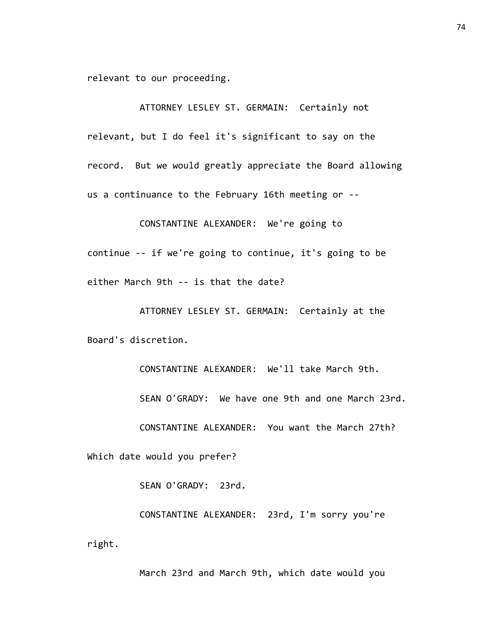relevant to our proceeding.

ATTORNEY LESLEY ST. GERMAIN: Certainly not relevant, but I do feel it's significant to say on the record. But we would greatly appreciate the Board allowing us a continuance to the February 16th meeting or --

CONSTANTINE ALEXANDER: We're going to continue -- if we're going to continue, it's going to be either March 9th -- is that the date?

ATTORNEY LESLEY ST. GERMAIN: Certainly at the Board's discretion.

> CONSTANTINE ALEXANDER: We'll take March 9th. SEAN O'GRADY: We have one 9th and one March 23rd.

CONSTANTINE ALEXANDER: You want the March 27th?

Which date would you prefer?

SEAN O'GRADY: 23rd.

CONSTANTINE ALEXANDER: 23rd, I'm sorry you're right.

March 23rd and March 9th, which date would you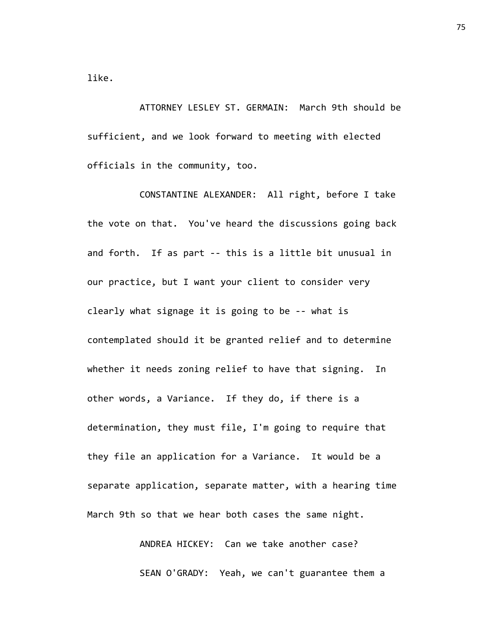like.

ATTORNEY LESLEY ST. GERMAIN: March 9th should be sufficient, and we look forward to meeting with elected officials in the community, too.

CONSTANTINE ALEXANDER: All right, before I take the vote on that. You've heard the discussions going back and forth. If as part -- this is a little bit unusual in our practice, but I want your client to consider very clearly what signage it is going to be -- what is contemplated should it be granted relief and to determine whether it needs zoning relief to have that signing. In other words, a Variance. If they do, if there is a determination, they must file, I'm going to require that they file an application for a Variance. It would be a separate application, separate matter, with a hearing time March 9th so that we hear both cases the same night.

> ANDREA HICKEY: Can we take another case? SEAN O'GRADY: Yeah, we can't guarantee them a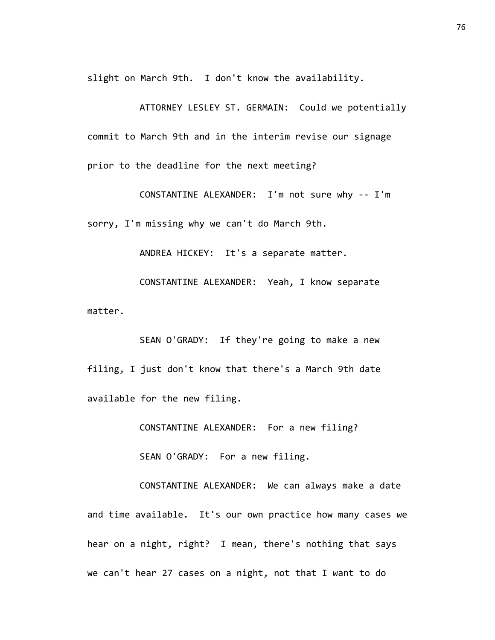slight on March 9th. I don't know the availability.

ATTORNEY LESLEY ST. GERMAIN: Could we potentially commit to March 9th and in the interim revise our signage prior to the deadline for the next meeting?

CONSTANTINE ALEXANDER: I'm not sure why -- I'm sorry, I'm missing why we can't do March 9th.

ANDREA HICKEY: It's a separate matter.

CONSTANTINE ALEXANDER: Yeah, I know separate matter.

SEAN O'GRADY: If they're going to make a new filing, I just don't know that there's a March 9th date available for the new filing.

CONSTANTINE ALEXANDER: For a new filing?

SEAN O'GRADY: For a new filing.

CONSTANTINE ALEXANDER: We can always make a date and time available. It's our own practice how many cases we hear on a night, right? I mean, there's nothing that says we can't hear 27 cases on a night, not that I want to do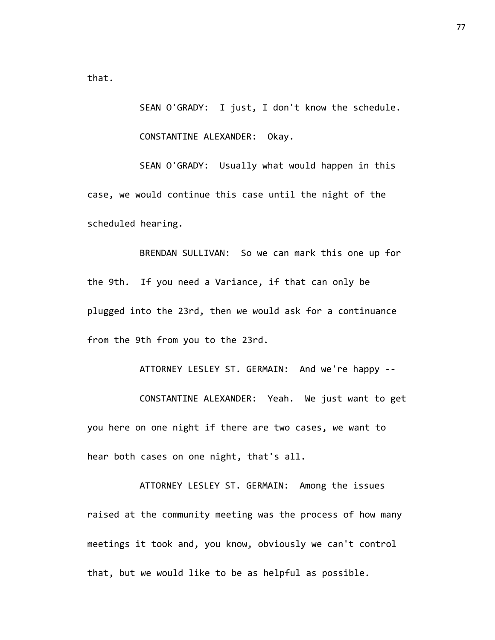that.

SEAN O'GRADY: I just, I don't know the schedule.

CONSTANTINE ALEXANDER: Okay.

SEAN O'GRADY: Usually what would happen in this case, we would continue this case until the night of the scheduled hearing.

BRENDAN SULLIVAN: So we can mark this one up for the 9th. If you need a Variance, if that can only be plugged into the 23rd, then we would ask for a continuance from the 9th from you to the 23rd.

ATTORNEY LESLEY ST. GERMAIN: And we're happy -- CONSTANTINE ALEXANDER: Yeah. We just want to get you here on one night if there are two cases, we want to hear both cases on one night, that's all.

ATTORNEY LESLEY ST. GERMAIN: Among the issues raised at the community meeting was the process of how many meetings it took and, you know, obviously we can't control that, but we would like to be as helpful as possible.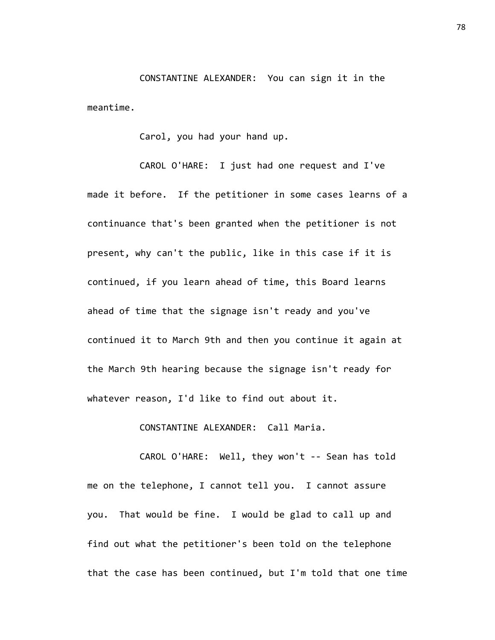CONSTANTINE ALEXANDER: You can sign it in the meantime.

Carol, you had your hand up.

CAROL O'HARE: I just had one request and I've made it before. If the petitioner in some cases learns of a continuance that's been granted when the petitioner is not present, why can't the public, like in this case if it is continued, if you learn ahead of time, this Board learns ahead of time that the signage isn't ready and you've continued it to March 9th and then you continue it again at the March 9th hearing because the signage isn't ready for whatever reason, I'd like to find out about it.

CONSTANTINE ALEXANDER: Call Maria.

CAROL O'HARE: Well, they won't -- Sean has told me on the telephone, I cannot tell you. I cannot assure you. That would be fine. I would be glad to call up and find out what the petitioner's been told on the telephone that the case has been continued, but I'm told that one time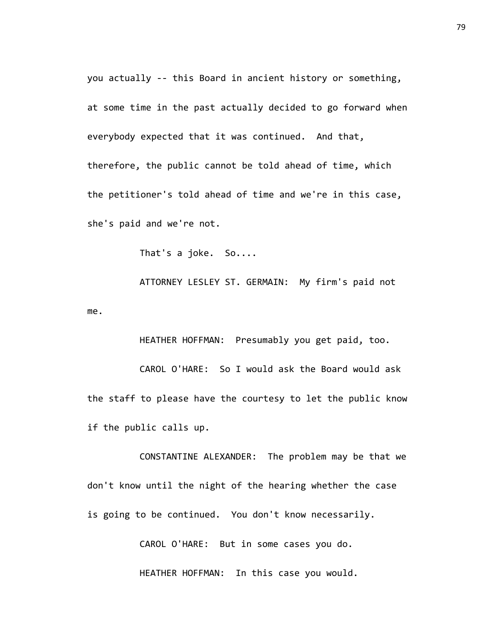you actually -- this Board in ancient history or something, at some time in the past actually decided to go forward when everybody expected that it was continued. And that, therefore, the public cannot be told ahead of time, which the petitioner's told ahead of time and we're in this case, she's paid and we're not.

That's a joke. So....

ATTORNEY LESLEY ST. GERMAIN: My firm's paid not me.

HEATHER HOFFMAN: Presumably you get paid, too. CAROL O'HARE: So I would ask the Board would ask the staff to please have the courtesy to let the public know if the public calls up.

CONSTANTINE ALEXANDER: The problem may be that we don't know until the night of the hearing whether the case is going to be continued. You don't know necessarily.

CAROL O'HARE: But in some cases you do.

HEATHER HOFFMAN: In this case you would.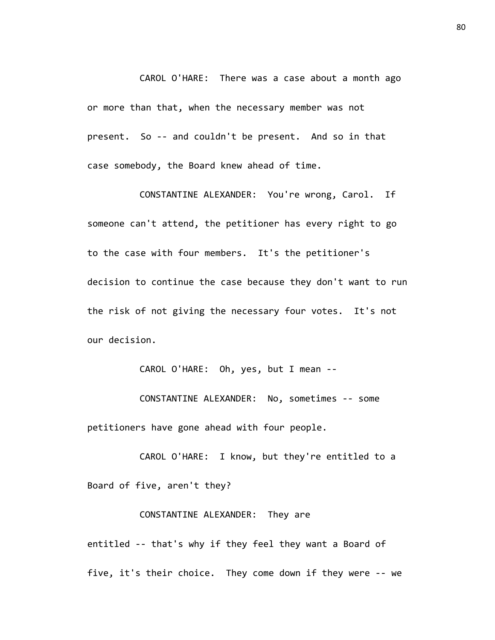CAROL O'HARE: There was a case about a month ago or more than that, when the necessary member was not present. So -- and couldn't be present. And so in that case somebody, the Board knew ahead of time.

CONSTANTINE ALEXANDER: You're wrong, Carol. If someone can't attend, the petitioner has every right to go to the case with four members. It's the petitioner's decision to continue the case because they don't want to run the risk of not giving the necessary four votes. It's not our decision.

CAROL O'HARE: Oh, yes, but I mean --

CONSTANTINE ALEXANDER: No, sometimes -- some petitioners have gone ahead with four people.

CAROL O'HARE: I know, but they're entitled to a Board of five, aren't they?

## CONSTANTINE ALEXANDER: They are

entitled -- that's why if they feel they want a Board of five, it's their choice. They come down if they were -- we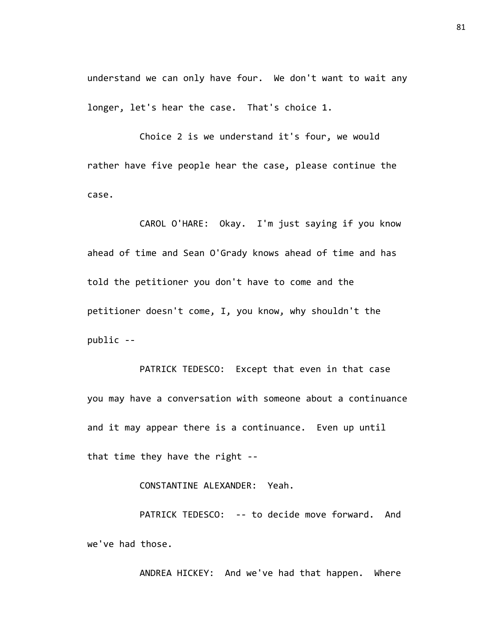understand we can only have four. We don't want to wait any longer, let's hear the case. That's choice 1.

Choice 2 is we understand it's four, we would rather have five people hear the case, please continue the case.

CAROL O'HARE: Okay. I'm just saying if you know ahead of time and Sean O'Grady knows ahead of time and has told the petitioner you don't have to come and the petitioner doesn't come, I, you know, why shouldn't the public --

PATRICK TEDESCO: Except that even in that case you may have a conversation with someone about a continuance and it may appear there is a continuance. Even up until that time they have the right --

CONSTANTINE ALEXANDER: Yeah.

PATRICK TEDESCO: -- to decide move forward. And we've had those.

ANDREA HICKEY: And we've had that happen. Where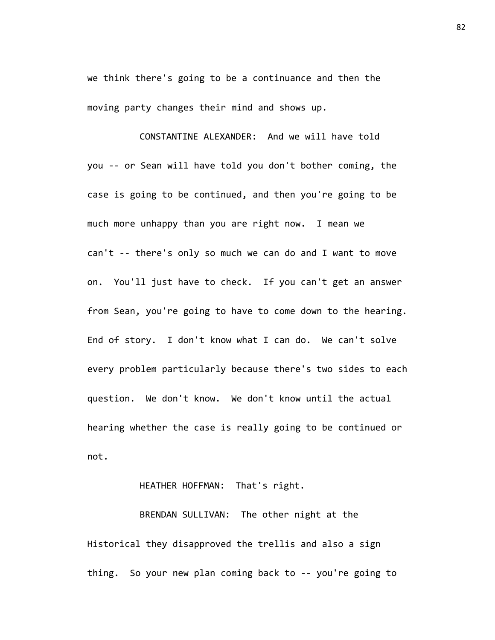we think there's going to be a continuance and then the moving party changes their mind and shows up.

CONSTANTINE ALEXANDER: And we will have told you -- or Sean will have told you don't bother coming, the case is going to be continued, and then you're going to be much more unhappy than you are right now. I mean we can't -- there's only so much we can do and I want to move on. You'll just have to check. If you can't get an answer from Sean, you're going to have to come down to the hearing. End of story. I don't know what I can do. We can't solve every problem particularly because there's two sides to each question. We don't know. We don't know until the actual hearing whether the case is really going to be continued or not.

## HEATHER HOFFMAN: That's right.

BRENDAN SULLIVAN: The other night at the Historical they disapproved the trellis and also a sign thing. So your new plan coming back to -- you're going to 82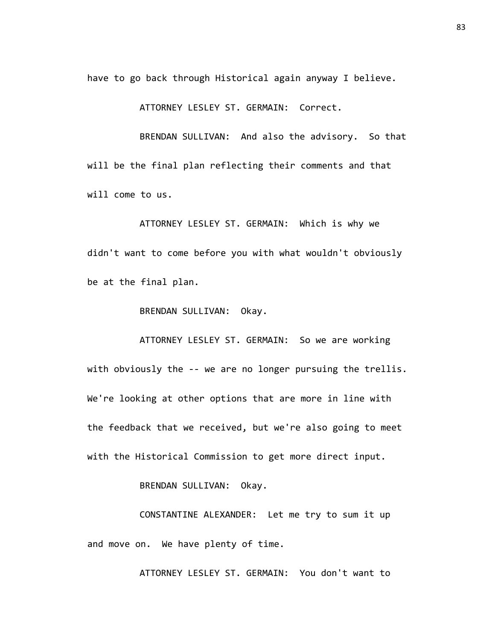have to go back through Historical again anyway I believe.

ATTORNEY LESLEY ST. GERMAIN: Correct.

BRENDAN SULLIVAN: And also the advisory. So that will be the final plan reflecting their comments and that will come to us.

ATTORNEY LESLEY ST. GERMAIN: Which is why we didn't want to come before you with what wouldn't obviously be at the final plan.

BRENDAN SULLIVAN: Okay.

ATTORNEY LESLEY ST. GERMAIN: So we are working with obviously the -- we are no longer pursuing the trellis. We're looking at other options that are more in line with the feedback that we received, but we're also going to meet with the Historical Commission to get more direct input.

BRENDAN SULLIVAN: Okay.

CONSTANTINE ALEXANDER: Let me try to sum it up and move on. We have plenty of time.

ATTORNEY LESLEY ST. GERMAIN: You don't want to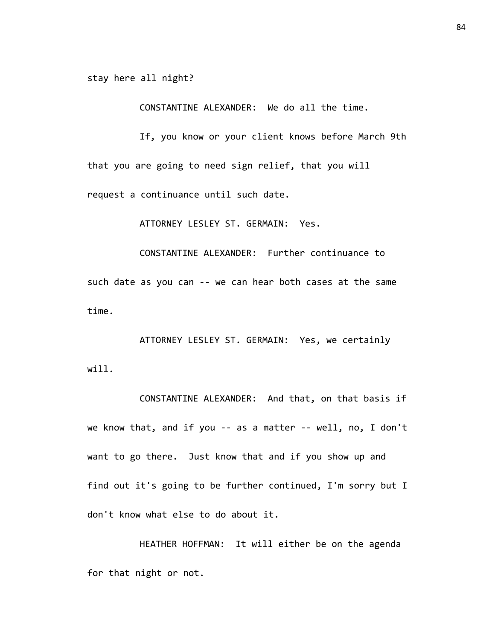stay here all night?

CONSTANTINE ALEXANDER: We do all the time.

If, you know or your client knows before March 9th that you are going to need sign relief, that you will request a continuance until such date.

ATTORNEY LESLEY ST. GERMAIN: Yes.

CONSTANTINE ALEXANDER: Further continuance to such date as you can -- we can hear both cases at the same time.

ATTORNEY LESLEY ST. GERMAIN: Yes, we certainly will.

CONSTANTINE ALEXANDER: And that, on that basis if we know that, and if you -- as a matter -- well, no, I don't want to go there. Just know that and if you show up and find out it's going to be further continued, I'm sorry but I don't know what else to do about it.

HEATHER HOFFMAN: It will either be on the agenda for that night or not.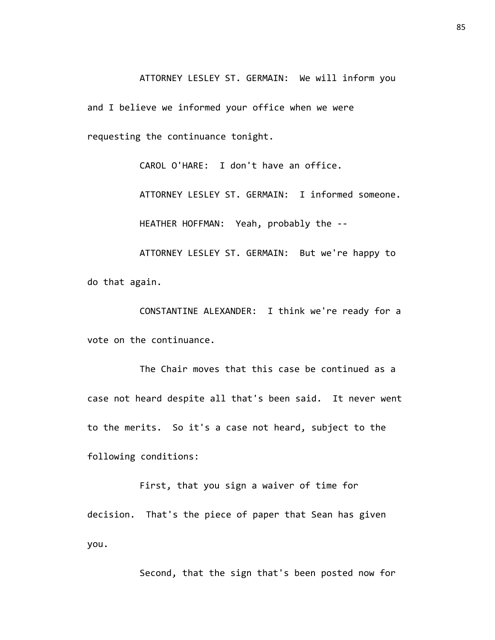ATTORNEY LESLEY ST. GERMAIN: We will inform you and I believe we informed your office when we were requesting the continuance tonight.

> CAROL O'HARE: I don't have an office. ATTORNEY LESLEY ST. GERMAIN: I informed someone. HEATHER HOFFMAN: Yeah, probably the --

ATTORNEY LESLEY ST. GERMAIN: But we're happy to do that again.

CONSTANTINE ALEXANDER: I think we're ready for a vote on the continuance.

The Chair moves that this case be continued as a case not heard despite all that's been said. It never went to the merits. So it's a case not heard, subject to the following conditions:

First, that you sign a waiver of time for decision. That's the piece of paper that Sean has given you.

Second, that the sign that's been posted now for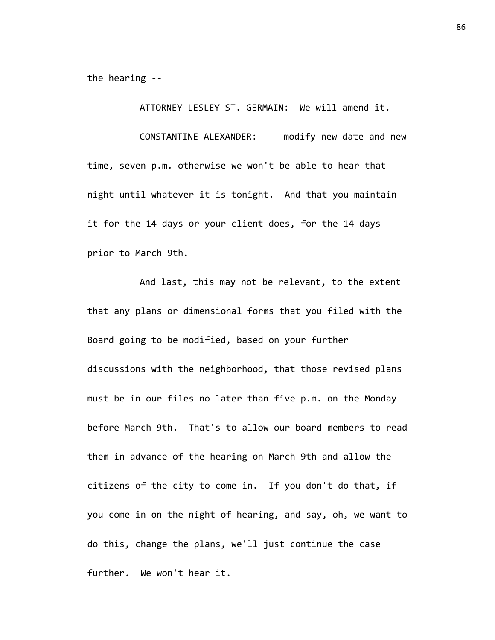the hearing --

ATTORNEY LESLEY ST. GERMAIN: We will amend it.

CONSTANTINE ALEXANDER: -- modify new date and new time, seven p.m. otherwise we won't be able to hear that night until whatever it is tonight. And that you maintain it for the 14 days or your client does, for the 14 days prior to March 9th.

And last, this may not be relevant, to the extent that any plans or dimensional forms that you filed with the Board going to be modified, based on your further discussions with the neighborhood, that those revised plans must be in our files no later than five p.m. on the Monday before March 9th. That's to allow our board members to read them in advance of the hearing on March 9th and allow the citizens of the city to come in. If you don't do that, if you come in on the night of hearing, and say, oh, we want to do this, change the plans, we'll just continue the case further. We won't hear it.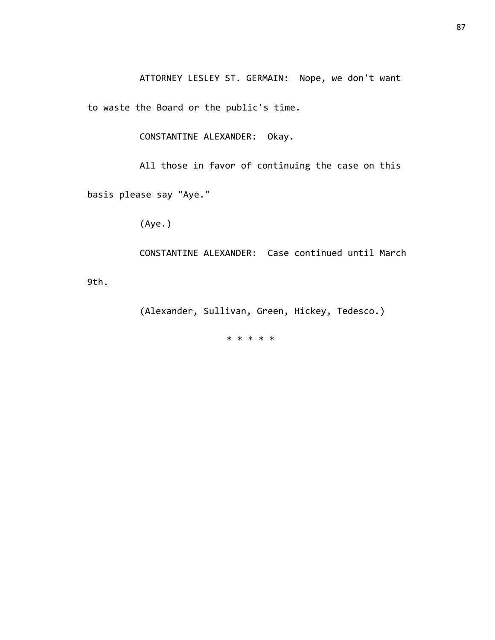ATTORNEY LESLEY ST. GERMAIN: Nope, we don't want

to waste the Board or the public's time.

CONSTANTINE ALEXANDER: Okay.

All those in favor of continuing the case on this basis please say "Aye."

(Aye.)

CONSTANTINE ALEXANDER: Case continued until March

9th.

(Alexander, Sullivan, Green, Hickey, Tedesco.)

\* \* \* \* \*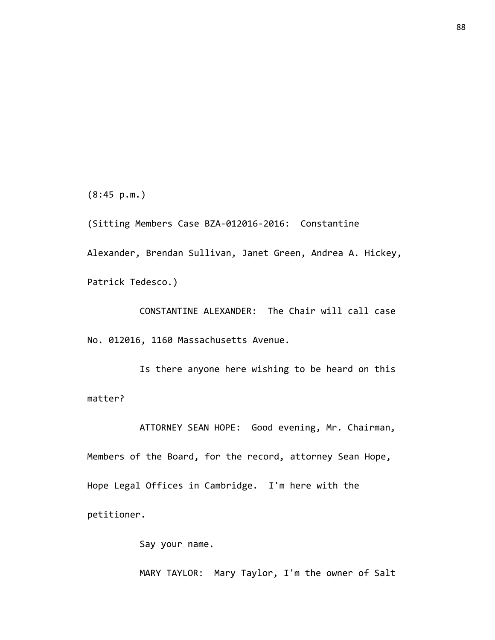(8:45 p.m.)

(Sitting Members Case BZA-012016-2016: Constantine Alexander, Brendan Sullivan, Janet Green, Andrea A. Hickey, Patrick Tedesco.)

CONSTANTINE ALEXANDER: The Chair will call case No. 012016, 1160 Massachusetts Avenue.

Is there anyone here wishing to be heard on this matter?

ATTORNEY SEAN HOPE: Good evening, Mr. Chairman, Members of the Board, for the record, attorney Sean Hope, Hope Legal Offices in Cambridge. I'm here with the petitioner.

Say your name.

MARY TAYLOR: Mary Taylor, I'm the owner of Salt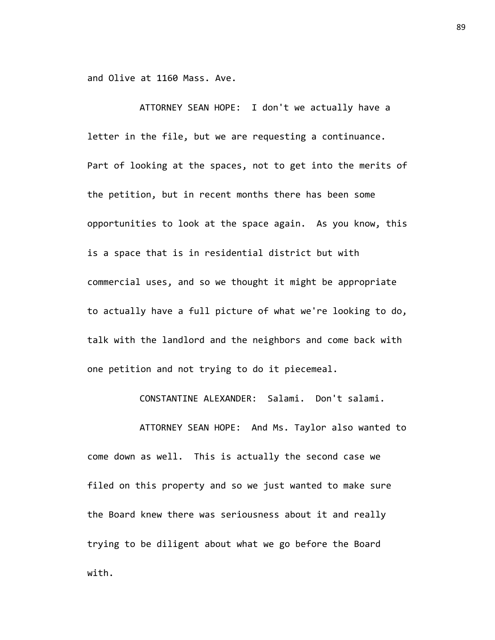and Olive at 1160 Mass. Ave.

ATTORNEY SEAN HOPE: I don't we actually have a letter in the file, but we are requesting a continuance. Part of looking at the spaces, not to get into the merits of the petition, but in recent months there has been some opportunities to look at the space again. As you know, this is a space that is in residential district but with commercial uses, and so we thought it might be appropriate to actually have a full picture of what we're looking to do, talk with the landlord and the neighbors and come back with one petition and not trying to do it piecemeal.

CONSTANTINE ALEXANDER: Salami. Don't salami.

ATTORNEY SEAN HOPE: And Ms. Taylor also wanted to come down as well. This is actually the second case we filed on this property and so we just wanted to make sure the Board knew there was seriousness about it and really trying to be diligent about what we go before the Board with.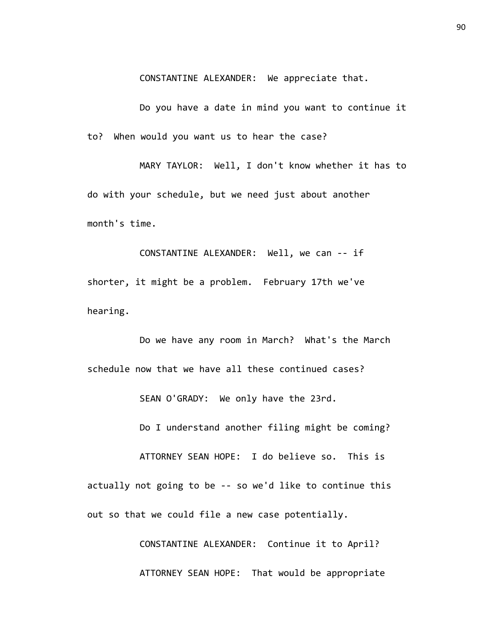CONSTANTINE ALEXANDER: We appreciate that.

Do you have a date in mind you want to continue it to? When would you want us to hear the case?

MARY TAYLOR: Well, I don't know whether it has to do with your schedule, but we need just about another month's time.

CONSTANTINE ALEXANDER: Well, we can -- if shorter, it might be a problem. February 17th we've hearing.

Do we have any room in March? What's the March schedule now that we have all these continued cases?

SEAN O'GRADY: We only have the 23rd.

Do I understand another filing might be coming?

ATTORNEY SEAN HOPE: I do believe so. This is actually not going to be -- so we'd like to continue this out so that we could file a new case potentially.

> CONSTANTINE ALEXANDER: Continue it to April? ATTORNEY SEAN HOPE: That would be appropriate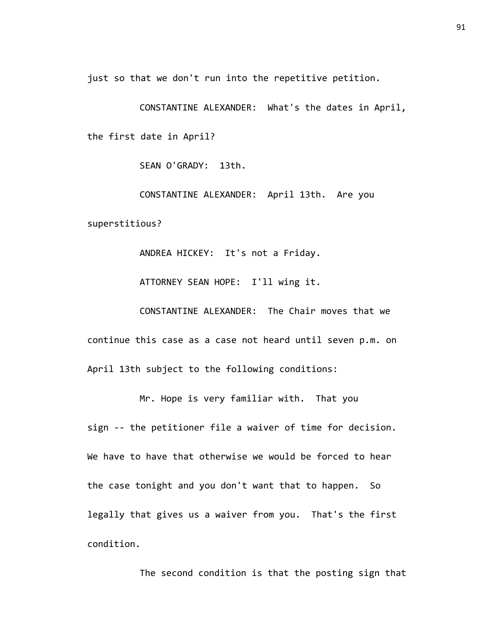just so that we don't run into the repetitive petition.

CONSTANTINE ALEXANDER: What's the dates in April, the first date in April?

SEAN O'GRADY: 13th.

CONSTANTINE ALEXANDER: April 13th. Are you superstitious?

ANDREA HICKEY: It's not a Friday.

ATTORNEY SEAN HOPE: I'll wing it.

CONSTANTINE ALEXANDER: The Chair moves that we continue this case as a case not heard until seven p.m. on April 13th subject to the following conditions:

Mr. Hope is very familiar with. That you sign -- the petitioner file a waiver of time for decision. We have to have that otherwise we would be forced to hear the case tonight and you don't want that to happen. So legally that gives us a waiver from you. That's the first condition.

The second condition is that the posting sign that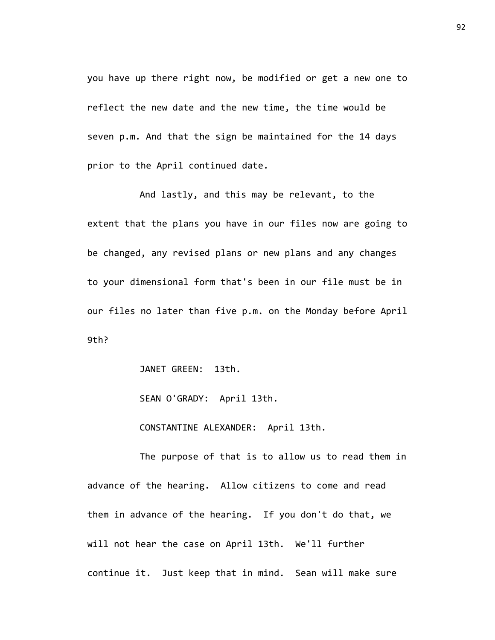you have up there right now, be modified or get a new one to reflect the new date and the new time, the time would be seven p.m. And that the sign be maintained for the 14 days prior to the April continued date.

And lastly, and this may be relevant, to the extent that the plans you have in our files now are going to be changed, any revised plans or new plans and any changes to your dimensional form that's been in our file must be in our files no later than five p.m. on the Monday before April 9th?

JANET GREEN: 13th.

SEAN O'GRADY: April 13th.

CONSTANTINE ALEXANDER: April 13th.

The purpose of that is to allow us to read them in advance of the hearing. Allow citizens to come and read them in advance of the hearing. If you don't do that, we will not hear the case on April 13th. We'll further continue it. Just keep that in mind. Sean will make sure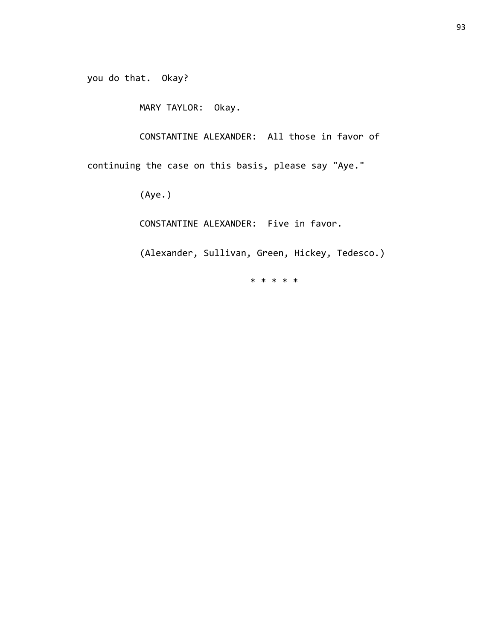you do that. Okay?

MARY TAYLOR: Okay.

CONSTANTINE ALEXANDER: All those in favor of

continuing the case on this basis, please say "Aye."

(Aye.)

CONSTANTINE ALEXANDER: Five in favor.

(Alexander, Sullivan, Green, Hickey, Tedesco.)

\* \* \* \* \*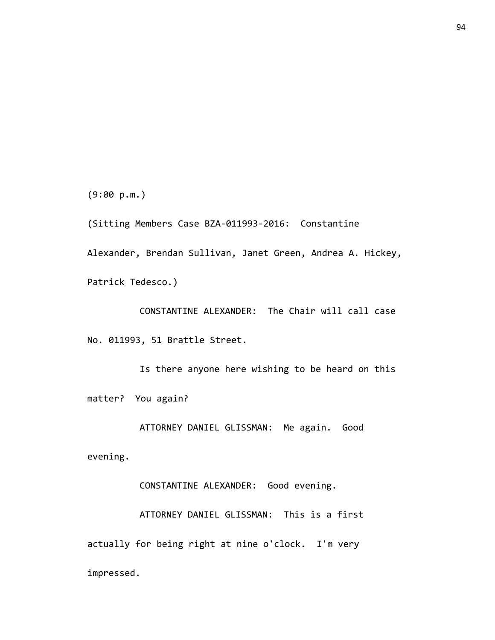(9:00 p.m.)

(Sitting Members Case BZA-011993-2016: Constantine Alexander, Brendan Sullivan, Janet Green, Andrea A. Hickey, Patrick Tedesco.)

CONSTANTINE ALEXANDER: The Chair will call case No. 011993, 51 Brattle Street.

Is there anyone here wishing to be heard on this matter? You again?

ATTORNEY DANIEL GLISSMAN: Me again. Good

evening.

CONSTANTINE ALEXANDER: Good evening.

ATTORNEY DANIEL GLISSMAN: This is a first actually for being right at nine o'clock. I'm very impressed.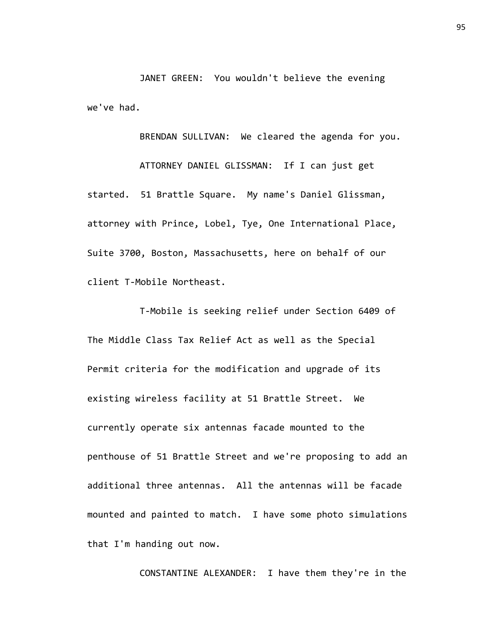JANET GREEN: You wouldn't believe the evening we've had.

BRENDAN SULLIVAN: We cleared the agenda for you.

ATTORNEY DANIEL GLISSMAN: If I can just get started. 51 Brattle Square. My name's Daniel Glissman, attorney with Prince, Lobel, Tye, One International Place, Suite 3700, Boston, Massachusetts, here on behalf of our client T-Mobile Northeast.

T-Mobile is seeking relief under Section 6409 of The Middle Class Tax Relief Act as well as the Special Permit criteria for the modification and upgrade of its existing wireless facility at 51 Brattle Street. We currently operate six antennas facade mounted to the penthouse of 51 Brattle Street and we're proposing to add an additional three antennas. All the antennas will be facade mounted and painted to match. I have some photo simulations that I'm handing out now.

CONSTANTINE ALEXANDER: I have them they're in the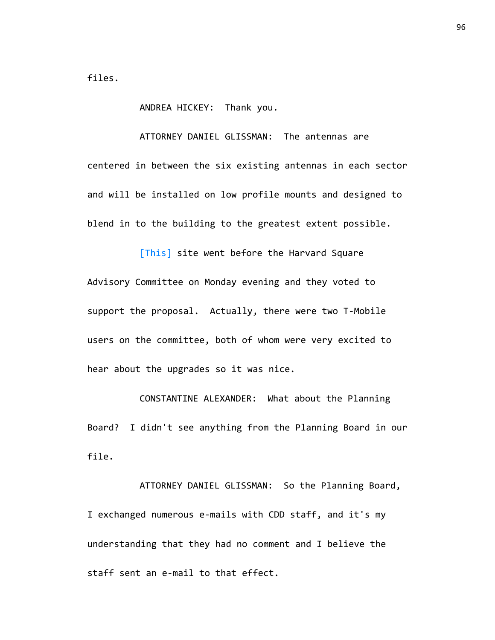files.

ANDREA HICKEY: Thank you.

ATTORNEY DANIEL GLISSMAN: The antennas are

centered in between the six existing antennas in each sector and will be installed on low profile mounts and designed to blend in to the building to the greatest extent possible.

[This] site went before the Harvard Square Advisory Committee on Monday evening and they voted to support the proposal. Actually, there were two T-Mobile users on the committee, both of whom were very excited to hear about the upgrades so it was nice.

CONSTANTINE ALEXANDER: What about the Planning Board? I didn't see anything from the Planning Board in our file.

ATTORNEY DANIEL GLISSMAN: So the Planning Board, I exchanged numerous e-mails with CDD staff, and it's my understanding that they had no comment and I believe the staff sent an e-mail to that effect.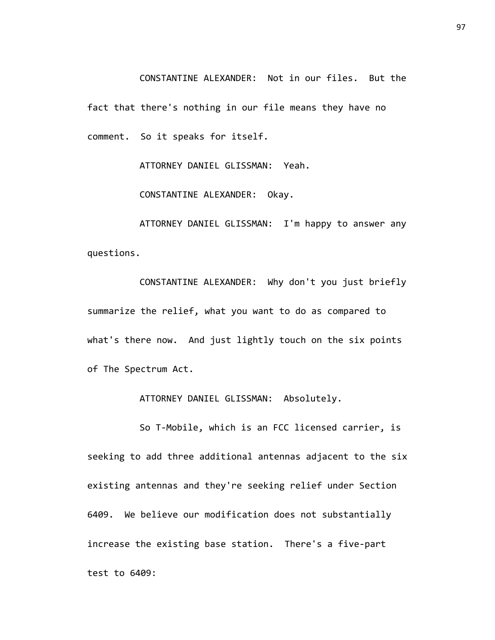CONSTANTINE ALEXANDER: Not in our files. But the fact that there's nothing in our file means they have no comment. So it speaks for itself.

ATTORNEY DANIEL GLISSMAN: Yeah.

CONSTANTINE ALEXANDER: Okay.

ATTORNEY DANIEL GLISSMAN: I'm happy to answer any questions.

CONSTANTINE ALEXANDER: Why don't you just briefly summarize the relief, what you want to do as compared to what's there now. And just lightly touch on the six points of The Spectrum Act.

ATTORNEY DANIEL GLISSMAN: Absolutely.

So T-Mobile, which is an FCC licensed carrier, is seeking to add three additional antennas adjacent to the six existing antennas and they're seeking relief under Section 6409. We believe our modification does not substantially increase the existing base station. There's a five-part test to 6409: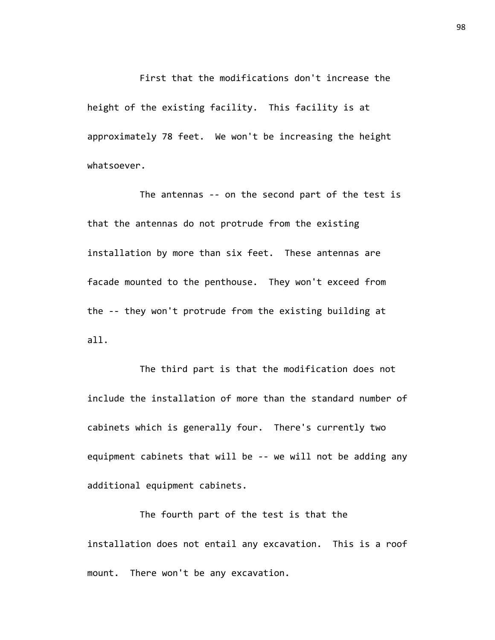First that the modifications don't increase the height of the existing facility. This facility is at approximately 78 feet. We won't be increasing the height whatsoever.

The antennas -- on the second part of the test is that the antennas do not protrude from the existing installation by more than six feet. These antennas are facade mounted to the penthouse. They won't exceed from the -- they won't protrude from the existing building at all.

The third part is that the modification does not include the installation of more than the standard number of cabinets which is generally four. There's currently two equipment cabinets that will be -- we will not be adding any additional equipment cabinets.

The fourth part of the test is that the installation does not entail any excavation. This is a roof mount. There won't be any excavation.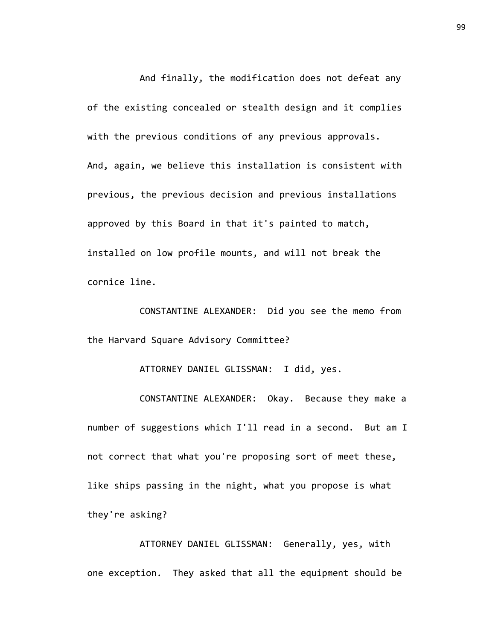And finally, the modification does not defeat any of the existing concealed or stealth design and it complies with the previous conditions of any previous approvals. And, again, we believe this installation is consistent with previous, the previous decision and previous installations approved by this Board in that it's painted to match, installed on low profile mounts, and will not break the cornice line.

CONSTANTINE ALEXANDER: Did you see the memo from the Harvard Square Advisory Committee?

ATTORNEY DANIEL GLISSMAN: I did, yes.

CONSTANTINE ALEXANDER: Okay. Because they make a number of suggestions which I'll read in a second. But am I not correct that what you're proposing sort of meet these, like ships passing in the night, what you propose is what they're asking?

ATTORNEY DANIEL GLISSMAN: Generally, yes, with one exception. They asked that all the equipment should be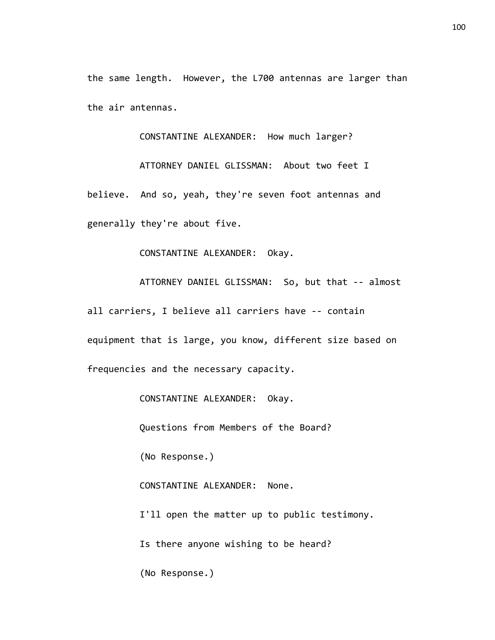the same length. However, the L700 antennas are larger than the air antennas.

CONSTANTINE ALEXANDER: How much larger?

ATTORNEY DANIEL GLISSMAN: About two feet I believe. And so, yeah, they're seven foot antennas and generally they're about five.

CONSTANTINE ALEXANDER: Okay.

ATTORNEY DANIEL GLISSMAN: So, but that -- almost all carriers, I believe all carriers have -- contain equipment that is large, you know, different size based on frequencies and the necessary capacity.

CONSTANTINE ALEXANDER: Okay.

Questions from Members of the Board?

(No Response.)

CONSTANTINE ALEXANDER: None.

I'll open the matter up to public testimony.

Is there anyone wishing to be heard?

(No Response.)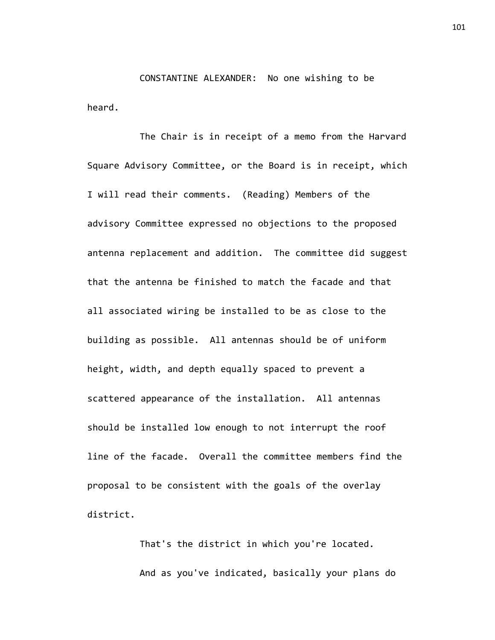CONSTANTINE ALEXANDER: No one wishing to be heard.

The Chair is in receipt of a memo from the Harvard Square Advisory Committee, or the Board is in receipt, which I will read their comments. (Reading) Members of the advisory Committee expressed no objections to the proposed antenna replacement and addition. The committee did suggest that the antenna be finished to match the facade and that all associated wiring be installed to be as close to the building as possible. All antennas should be of uniform height, width, and depth equally spaced to prevent a scattered appearance of the installation. All antennas should be installed low enough to not interrupt the roof line of the facade. Overall the committee members find the proposal to be consistent with the goals of the overlay district.

> That's the district in which you're located. And as you've indicated, basically your plans do

101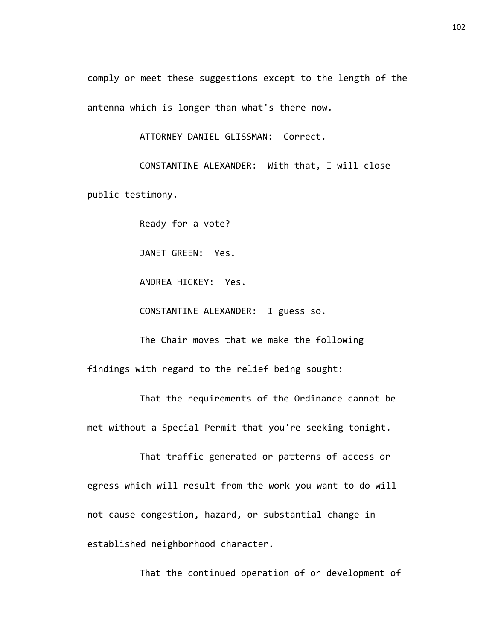comply or meet these suggestions except to the length of the antenna which is longer than what's there now.

ATTORNEY DANIEL GLISSMAN: Correct.

CONSTANTINE ALEXANDER: With that, I will close public testimony.

Ready for a vote?

JANET GREEN: Yes.

ANDREA HICKEY: Yes.

CONSTANTINE ALEXANDER: I guess so.

The Chair moves that we make the following

findings with regard to the relief being sought:

That the requirements of the Ordinance cannot be met without a Special Permit that you're seeking tonight.

That traffic generated or patterns of access or egress which will result from the work you want to do will not cause congestion, hazard, or substantial change in established neighborhood character.

That the continued operation of or development of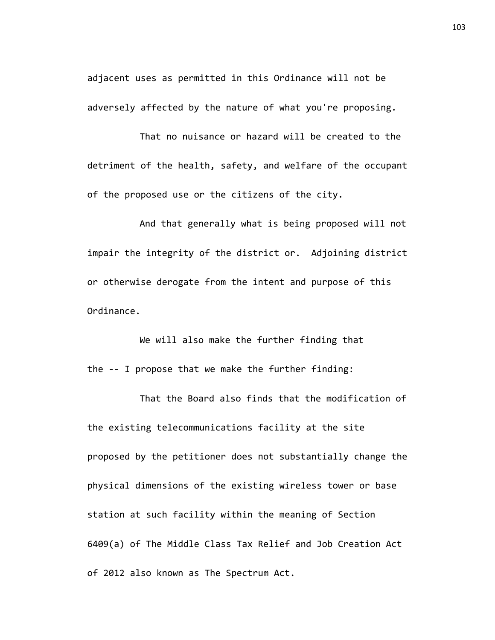adjacent uses as permitted in this Ordinance will not be adversely affected by the nature of what you're proposing.

That no nuisance or hazard will be created to the detriment of the health, safety, and welfare of the occupant of the proposed use or the citizens of the city.

And that generally what is being proposed will not impair the integrity of the district or. Adjoining district or otherwise derogate from the intent and purpose of this Ordinance.

We will also make the further finding that the -- I propose that we make the further finding:

That the Board also finds that the modification of the existing telecommunications facility at the site proposed by the petitioner does not substantially change the physical dimensions of the existing wireless tower or base station at such facility within the meaning of Section 6409(a) of The Middle Class Tax Relief and Job Creation Act of 2012 also known as The Spectrum Act.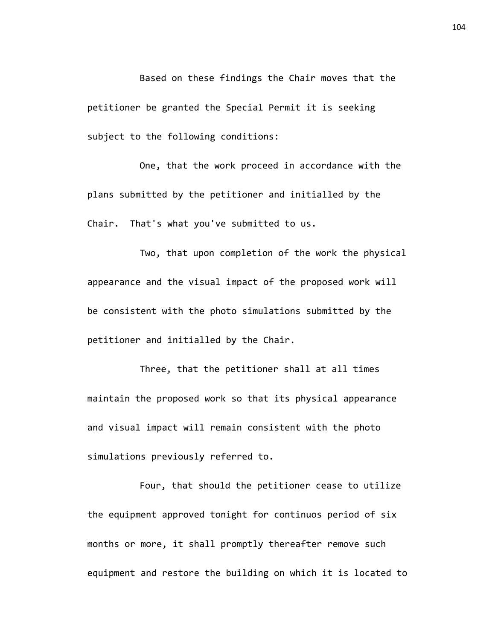Based on these findings the Chair moves that the petitioner be granted the Special Permit it is seeking subject to the following conditions:

One, that the work proceed in accordance with the plans submitted by the petitioner and initialled by the Chair. That's what you've submitted to us.

Two, that upon completion of the work the physical appearance and the visual impact of the proposed work will be consistent with the photo simulations submitted by the petitioner and initialled by the Chair.

Three, that the petitioner shall at all times maintain the proposed work so that its physical appearance and visual impact will remain consistent with the photo simulations previously referred to.

Four, that should the petitioner cease to utilize the equipment approved tonight for continuos period of six months or more, it shall promptly thereafter remove such equipment and restore the building on which it is located to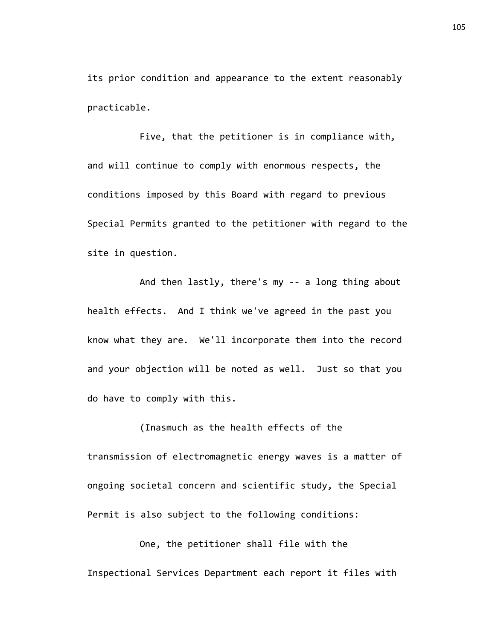its prior condition and appearance to the extent reasonably practicable.

Five, that the petitioner is in compliance with, and will continue to comply with enormous respects, the conditions imposed by this Board with regard to previous Special Permits granted to the petitioner with regard to the site in question.

And then lastly, there's my -- a long thing about health effects. And I think we've agreed in the past you know what they are. We'll incorporate them into the record and your objection will be noted as well. Just so that you do have to comply with this.

(Inasmuch as the health effects of the transmission of electromagnetic energy waves is a matter of ongoing societal concern and scientific study, the Special Permit is also subject to the following conditions:

One, the petitioner shall file with the Inspectional Services Department each report it files with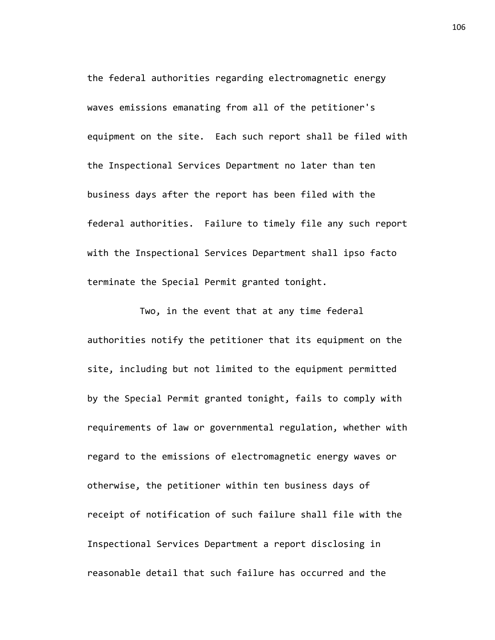the federal authorities regarding electromagnetic energy waves emissions emanating from all of the petitioner's equipment on the site. Each such report shall be filed with the Inspectional Services Department no later than ten business days after the report has been filed with the federal authorities. Failure to timely file any such report with the Inspectional Services Department shall ipso facto terminate the Special Permit granted tonight.

Two, in the event that at any time federal authorities notify the petitioner that its equipment on the site, including but not limited to the equipment permitted by the Special Permit granted tonight, fails to comply with requirements of law or governmental regulation, whether with regard to the emissions of electromagnetic energy waves or otherwise, the petitioner within ten business days of receipt of notification of such failure shall file with the Inspectional Services Department a report disclosing in reasonable detail that such failure has occurred and the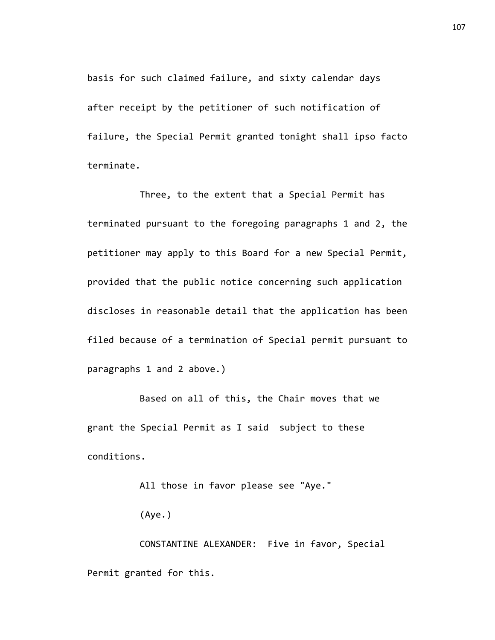basis for such claimed failure, and sixty calendar days after receipt by the petitioner of such notification of failure, the Special Permit granted tonight shall ipso facto terminate.

Three, to the extent that a Special Permit has terminated pursuant to the foregoing paragraphs 1 and 2, the petitioner may apply to this Board for a new Special Permit, provided that the public notice concerning such application discloses in reasonable detail that the application has been filed because of a termination of Special permit pursuant to paragraphs 1 and 2 above.)

Based on all of this, the Chair moves that we grant the Special Permit as I said subject to these conditions.

All those in favor please see "Aye."

(Aye.)

CONSTANTINE ALEXANDER: Five in favor, Special Permit granted for this.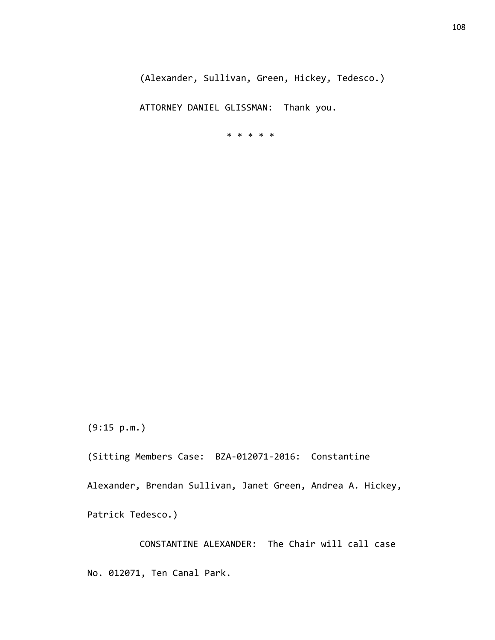ATTORNEY DANIEL GLISSMAN: Thank you.

\* \* \* \* \*

(9:15 p.m.)

(Sitting Members Case: BZA-012071-2016: Constantine

Alexander, Brendan Sullivan, Janet Green, Andrea A. Hickey,

Patrick Tedesco.)

CONSTANTINE ALEXANDER: The Chair will call case No. 012071, Ten Canal Park.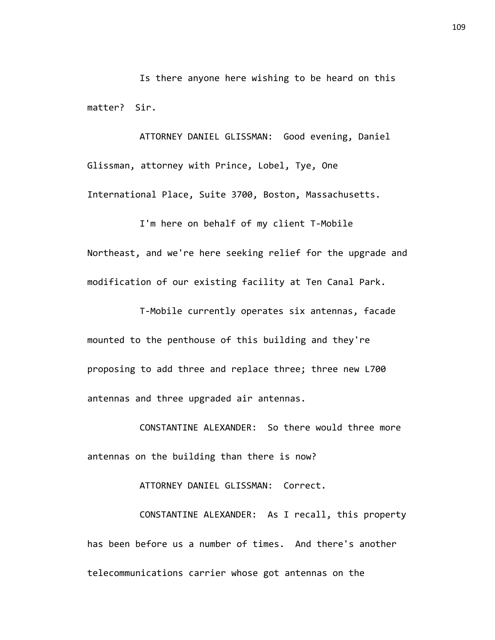Is there anyone here wishing to be heard on this matter? Sir.

ATTORNEY DANIEL GLISSMAN: Good evening, Daniel Glissman, attorney with Prince, Lobel, Tye, One International Place, Suite 3700, Boston, Massachusetts.

I'm here on behalf of my client T-Mobile Northeast, and we're here seeking relief for the upgrade and modification of our existing facility at Ten Canal Park.

T-Mobile currently operates six antennas, facade mounted to the penthouse of this building and they're proposing to add three and replace three; three new L700 antennas and three upgraded air antennas.

CONSTANTINE ALEXANDER: So there would three more antennas on the building than there is now?

ATTORNEY DANIEL GLISSMAN: Correct.

CONSTANTINE ALEXANDER: As I recall, this property has been before us a number of times. And there's another telecommunications carrier whose got antennas on the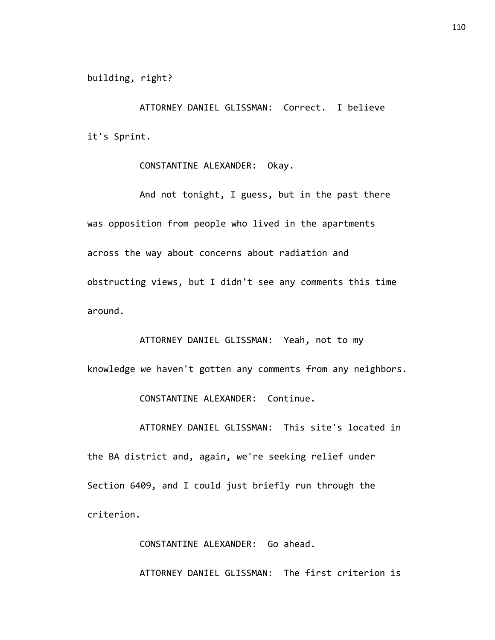ATTORNEY DANIEL GLISSMAN: Correct. I believe it's Sprint.

CONSTANTINE ALEXANDER: Okay.

And not tonight, I guess, but in the past there was opposition from people who lived in the apartments across the way about concerns about radiation and obstructing views, but I didn't see any comments this time around.

ATTORNEY DANIEL GLISSMAN: Yeah, not to my knowledge we haven't gotten any comments from any neighbors.

CONSTANTINE ALEXANDER: Continue.

ATTORNEY DANIEL GLISSMAN: This site's located in the BA district and, again, we're seeking relief under Section 6409, and I could just briefly run through the criterion.

> CONSTANTINE ALEXANDER: Go ahead. ATTORNEY DANIEL GLISSMAN: The first criterion is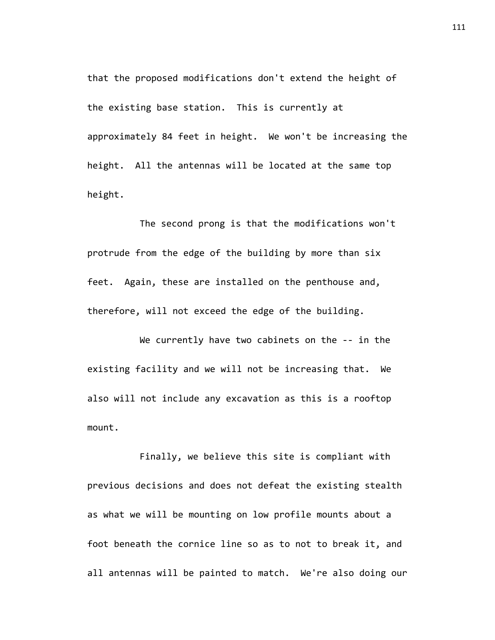that the proposed modifications don't extend the height of the existing base station. This is currently at approximately 84 feet in height. We won't be increasing the height. All the antennas will be located at the same top height.

The second prong is that the modifications won't protrude from the edge of the building by more than six feet. Again, these are installed on the penthouse and, therefore, will not exceed the edge of the building.

We currently have two cabinets on the -- in the existing facility and we will not be increasing that. We also will not include any excavation as this is a rooftop mount.

Finally, we believe this site is compliant with previous decisions and does not defeat the existing stealth as what we will be mounting on low profile mounts about a foot beneath the cornice line so as to not to break it, and all antennas will be painted to match. We're also doing our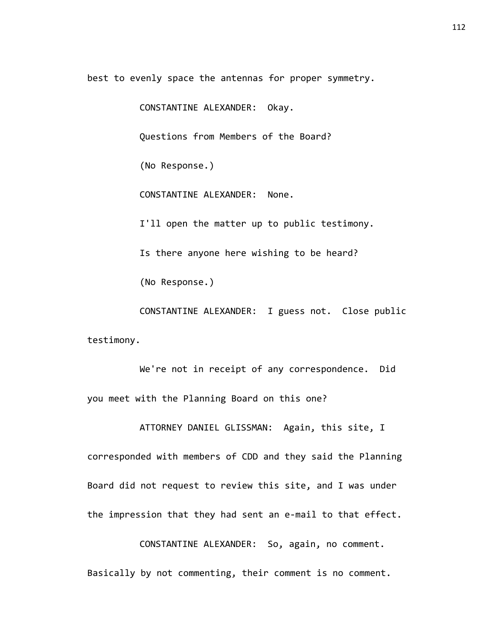best to evenly space the antennas for proper symmetry.

CONSTANTINE ALEXANDER: Okay.

Questions from Members of the Board?

(No Response.)

CONSTANTINE ALEXANDER: None.

I'll open the matter up to public testimony.

Is there anyone here wishing to be heard?

(No Response.)

CONSTANTINE ALEXANDER: I guess not. Close public testimony.

We're not in receipt of any correspondence. Did you meet with the Planning Board on this one?

ATTORNEY DANIEL GLISSMAN: Again, this site, I corresponded with members of CDD and they said the Planning Board did not request to review this site, and I was under the impression that they had sent an e-mail to that effect.

CONSTANTINE ALEXANDER: So, again, no comment. Basically by not commenting, their comment is no comment.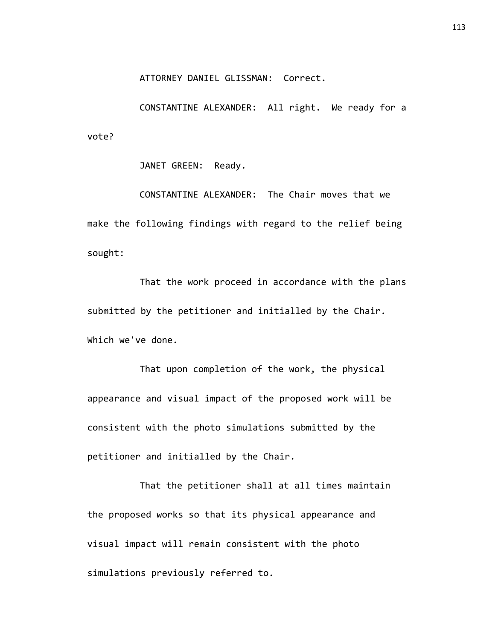ATTORNEY DANIEL GLISSMAN: Correct.

CONSTANTINE ALEXANDER: All right. We ready for a vote?

JANET GREEN: Ready.

CONSTANTINE ALEXANDER: The Chair moves that we make the following findings with regard to the relief being sought:

That the work proceed in accordance with the plans submitted by the petitioner and initialled by the Chair. Which we've done.

That upon completion of the work, the physical appearance and visual impact of the proposed work will be consistent with the photo simulations submitted by the petitioner and initialled by the Chair.

That the petitioner shall at all times maintain the proposed works so that its physical appearance and visual impact will remain consistent with the photo simulations previously referred to.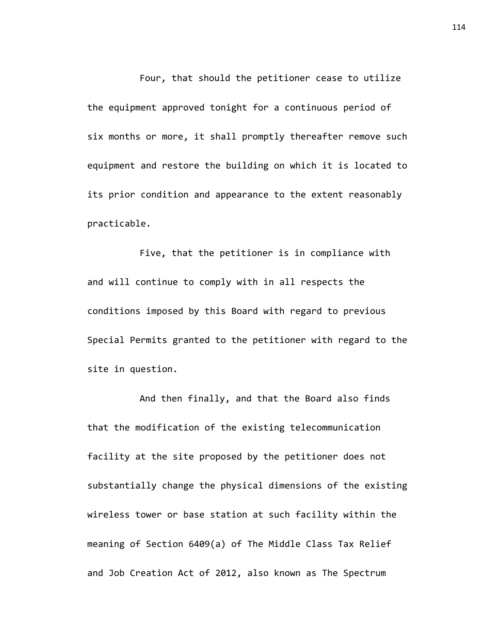Four, that should the petitioner cease to utilize the equipment approved tonight for a continuous period of six months or more, it shall promptly thereafter remove such equipment and restore the building on which it is located to its prior condition and appearance to the extent reasonably practicable.

Five, that the petitioner is in compliance with and will continue to comply with in all respects the conditions imposed by this Board with regard to previous Special Permits granted to the petitioner with regard to the site in question.

And then finally, and that the Board also finds that the modification of the existing telecommunication facility at the site proposed by the petitioner does not substantially change the physical dimensions of the existing wireless tower or base station at such facility within the meaning of Section 6409(a) of The Middle Class Tax Relief and Job Creation Act of 2012, also known as The Spectrum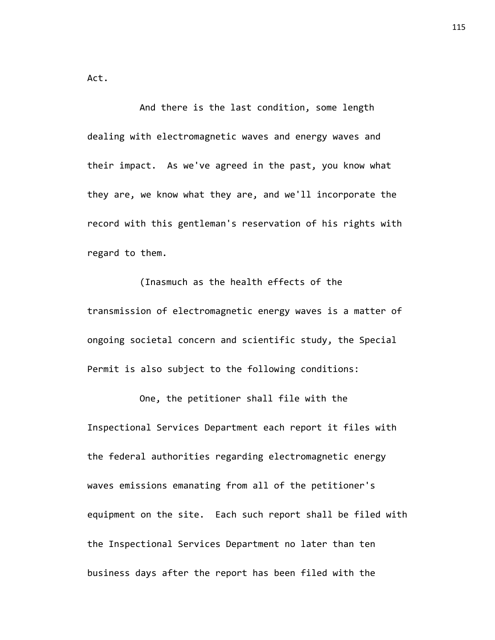Act.

And there is the last condition, some length dealing with electromagnetic waves and energy waves and their impact. As we've agreed in the past, you know what they are, we know what they are, and we'll incorporate the record with this gentleman's reservation of his rights with regard to them.

(Inasmuch as the health effects of the transmission of electromagnetic energy waves is a matter of ongoing societal concern and scientific study, the Special Permit is also subject to the following conditions:

One, the petitioner shall file with the Inspectional Services Department each report it files with the federal authorities regarding electromagnetic energy waves emissions emanating from all of the petitioner's equipment on the site. Each such report shall be filed with the Inspectional Services Department no later than ten business days after the report has been filed with the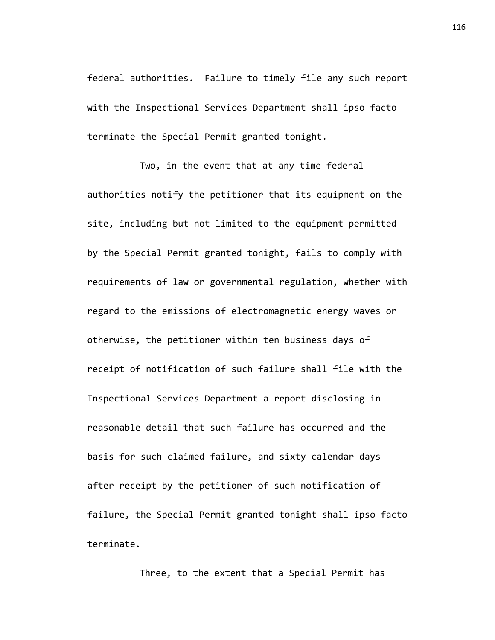federal authorities. Failure to timely file any such report with the Inspectional Services Department shall ipso facto terminate the Special Permit granted tonight.

Two, in the event that at any time federal authorities notify the petitioner that its equipment on the site, including but not limited to the equipment permitted by the Special Permit granted tonight, fails to comply with requirements of law or governmental regulation, whether with regard to the emissions of electromagnetic energy waves or otherwise, the petitioner within ten business days of receipt of notification of such failure shall file with the Inspectional Services Department a report disclosing in reasonable detail that such failure has occurred and the basis for such claimed failure, and sixty calendar days after receipt by the petitioner of such notification of failure, the Special Permit granted tonight shall ipso facto terminate.

Three, to the extent that a Special Permit has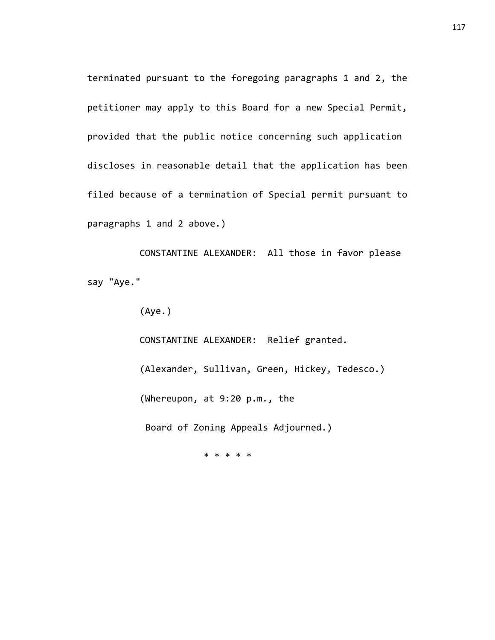terminated pursuant to the foregoing paragraphs 1 and 2, the petitioner may apply to this Board for a new Special Permit, provided that the public notice concerning such application discloses in reasonable detail that the application has been filed because of a termination of Special permit pursuant to paragraphs 1 and 2 above.)

CONSTANTINE ALEXANDER: All those in favor please say "Aye."

(Aye.)

CONSTANTINE ALEXANDER: Relief granted. (Alexander, Sullivan, Green, Hickey, Tedesco.) (Whereupon, at 9:20 p.m., the Board of Zoning Appeals Adjourned.)

\* \* \* \* \*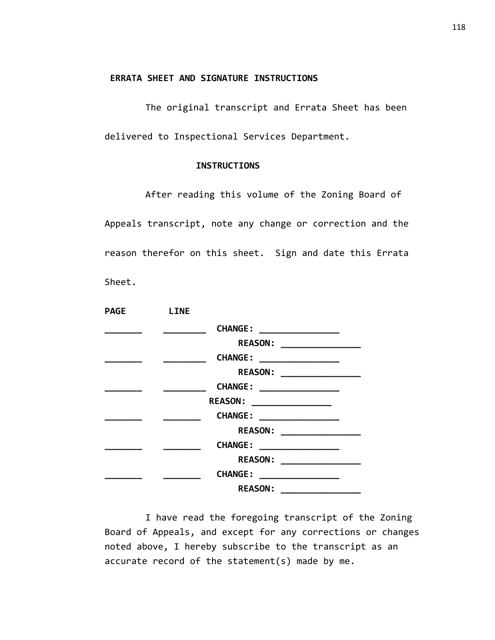#### **ERRATA SHEET AND SIGNATURE INSTRUCTIONS**

The original transcript and Errata Sheet has been delivered to Inspectional Services Department.

#### **INSTRUCTIONS**

After reading this volume of the Zoning Board of Appeals transcript, note any change or correction and the reason therefor on this sheet. Sign and date this Errata Sheet.

| <b>PAGE</b> | <b>LINE</b> |                                                                                                                                                                                                                                                                                                                                                                                                                                                                         |  |
|-------------|-------------|-------------------------------------------------------------------------------------------------------------------------------------------------------------------------------------------------------------------------------------------------------------------------------------------------------------------------------------------------------------------------------------------------------------------------------------------------------------------------|--|
|             |             | <b>CHANGE:</b>                                                                                                                                                                                                                                                                                                                                                                                                                                                          |  |
|             |             | REASON: __________________                                                                                                                                                                                                                                                                                                                                                                                                                                              |  |
|             |             | <b>CHANGE:</b>                                                                                                                                                                                                                                                                                                                                                                                                                                                          |  |
|             |             |                                                                                                                                                                                                                                                                                                                                                                                                                                                                         |  |
|             |             | <b>CHANGE:</b>                                                                                                                                                                                                                                                                                                                                                                                                                                                          |  |
|             |             | <b>REASON:</b>                                                                                                                                                                                                                                                                                                                                                                                                                                                          |  |
|             |             | <b>CHANGE:</b><br>$\begin{tabular}{ccccc} \multicolumn{2}{c }{\textbf{1} & \multicolumn{2}{c }{\textbf{2} & \multicolumn{2}{c }{\textbf{3} & \multicolumn{2}{c }{\textbf{4} & \multicolumn{2}{c }{\textbf{5} & \multicolumn{2}{c }{\textbf{6} & \multicolumn{2}{c }{\textbf{6} & \multicolumn{2}{c }{\textbf{6} & \multicolumn{2}{c }{\textbf{6} & \multicolumn{2}{c }{\textbf{6} & \multicolumn{2}{c }{\textbf{6} & \multicolumn{2}{c }{\textbf{6} & \multicolumn{2}{$ |  |
|             |             |                                                                                                                                                                                                                                                                                                                                                                                                                                                                         |  |
|             |             | <b>CHANGE:</b><br>____________________                                                                                                                                                                                                                                                                                                                                                                                                                                  |  |
|             |             | <b>REASON:</b>                                                                                                                                                                                                                                                                                                                                                                                                                                                          |  |
|             |             | <b>CHANGE:</b><br><u> 1980 - Jan Barbarat, manala</u>                                                                                                                                                                                                                                                                                                                                                                                                                   |  |
|             |             | <b>REASON:</b>                                                                                                                                                                                                                                                                                                                                                                                                                                                          |  |

I have read the foregoing transcript of the Zoning Board of Appeals, and except for any corrections or changes noted above, I hereby subscribe to the transcript as an accurate record of the statement(s) made by me.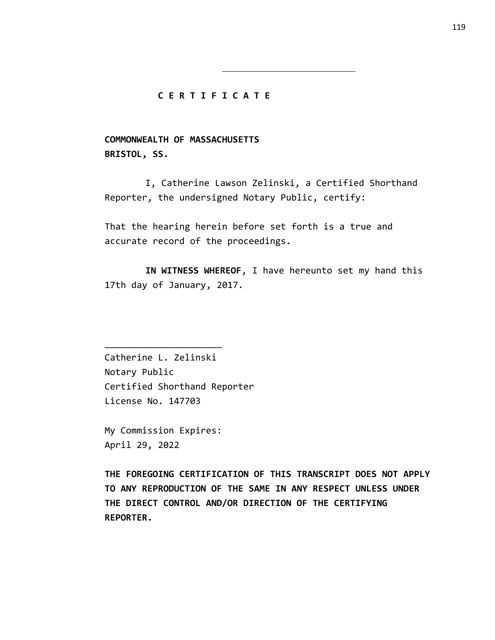#### **C E R T I F I C A T E**

**COMMONWEALTH OF MASSACHUSETTS BRISTOL, SS.**

I, Catherine Lawson Zelinski, a Certified Shorthand Reporter, the undersigned Notary Public, certify:

That the hearing herein before set forth is a true and accurate record of the proceedings.

**IN WITNESS WHEREOF**, I have hereunto set my hand this 17th day of January, 2017.

Catherine L. Zelinski Notary Public Certified Shorthand Reporter License No. 147703

My Commission Expires: April 29, 2022

\_\_\_\_\_\_\_\_\_\_\_\_\_\_\_\_\_\_\_\_\_\_

**THE FOREGOING CERTIFICATION OF THIS TRANSCRIPT DOES NOT APPLY TO ANY REPRODUCTION OF THE SAME IN ANY RESPECT UNLESS UNDER THE DIRECT CONTROL AND/OR DIRECTION OF THE CERTIFYING REPORTER.**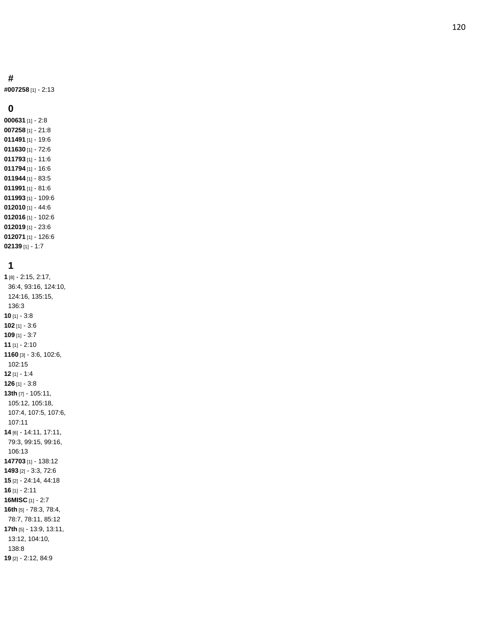#### **#**

**#007258** [1] - 2:13

#### 

 [1] - 2:8 [1] - 21:8 [1] - 19:6 [1] - 72:6 [1] - 11:6 [1] - 16:6 [1] - 83:5 [1] - 81:6 [1] - 109:6 [1] - 44:6 [1] - 102:6 [1] - 23:6 [1] - 126:6 [1] - 1:7

### 

 [8] - 2:15, 2:17, 36:4, 93:16, 124:10, 124:16, 135:15, 136:3 [1] - 3:8 [1] - 3:6 [1] - 3:7 [1] - 2:10 [3] - 3:6, 102:6, 102:15 [1] - 1:4 [1] - 3:8 **13th** [7] - 105:11, 105:12, 105:18, 107:4, 107:5, 107:6, 107:11 [6] - 14:11, 17:11, 79:3, 99:15, 99:16, 106:13 [1] - 138:12 [2] - 3:3, 72:6 [2] - 24:14, 44:18 [1] - 2:11 **16MISC** [1] - 2:7 **16th** [5] - 78:3, 78:4, 78:7, 78:11, 85:12 **17th** [5] - 13:9, 13:11, 13:12, 104:10, 138:8 [2] - 2:12, 84:9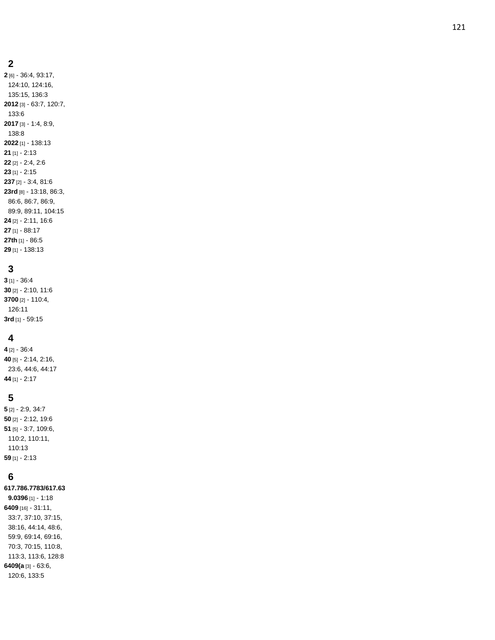#### **2**

**2** [6] - 36:4, 93:17, 124:10, 124:16, 135:15, 136:3 **2012** [3] - 63:7, 120:7, 133:6 **2017** [3] - 1:4, 8:9, 138:8 **2022** [1] - 138:13 **21** [1] - 2:13 **22** [2] - 2:4, 2:6 **23** [1] - 2:15 **237** [2] - 3:4, 81:6 **23rd** [8] - 13:18, 86:3, 86:6, 86:7, 86:9, 89:9, 89:11, 104:15 **24** [2] - 2:11, 16:6 **27** [1] - 88:17 **27th** [1] - 86:5 **29** [1] - 138:13

## **3**

**3** [1] - 36:4 **30** [2] - 2:10, 11:6 **3700** [2] - 110:4, 126:11 **3rd** [1] - 59:15

### **4**

 [2] - 36:4 [5] - 2:14, 2:16, 23:6, 44:6, 44:17 [1] - 2:17

### **5**

 [2] - 2:9, 34:7 [2] - 2:12, 19:6 [5] - 3:7, 109:6, 110:2, 110:11, 110:13 [1] - 2:13

## **6**

**617.786.7783/617.63 9.0396** [1] - 1:18 **6409** [16] - 31:11, 33:7, 37:10, 37:15, 38:16, 44:14, 48:6, 59:9, 69:14, 69:16, 70:3, 70:15, 110:8, 113:3, 113:6, 128:8 **6409(a** [3] - 63:6, 120:6, 133:5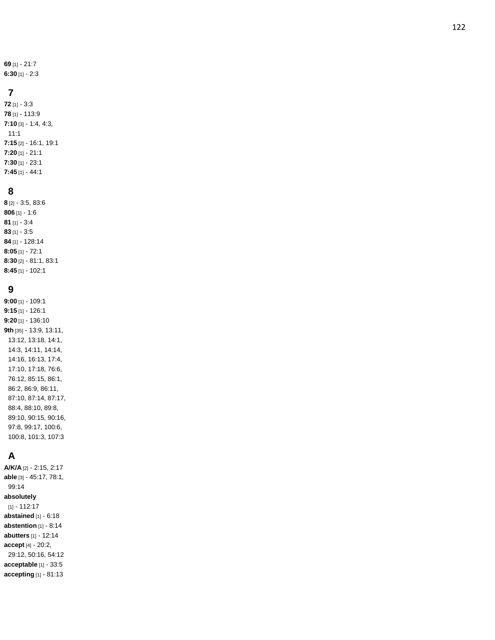**69** [1] - 21:7 **6:30** [1] - 2:3

## **7**

**72** [1] - 3:3 **78** [1] - 113:9 **7:10** [3] - 1:4, 4:3, 11:1 **7:15** [2] - 16:1, 19:1 **7:20** [1] - 21:1 **7:30** [1] - 23:1 **7:45** [1] - 44:1

### **8**

 [2] - 3:5, 83:6 [1] - 1:6 [1] - 3:4 [1] - 3:5 [1] - 128:14 **8:05** [1] - 72:1 **8:30** [2] - 81:1, 83:1 **8:45** [1] - 102:1

## **9**

**9:00** [1] - 109:1 **9:15** [1] - 126:1 **9:20** [1] - 136:10 **9th** [35] - 13:9, 13:11, 13:12, 13:18, 14:1, 14:3, 14:11, 14:14, 14:16, 16:13, 17:4, 17:10, 17:18, 76:6, 76:12, 85:15, 86:1, 86:2, 86:9, 86:11, 87:10, 87:14, 87:17, 88:4, 88:10, 89:8, 89:10, 90:15, 90:16, 97:8, 99:17, 100:6, 100:8, 101:3, 107:3

# **A**

**A/K/A** [2] - 2:15, 2:17 **able** [3] - 45:17, 78:1, 99:14 **absolutely** [1] - 112:17 **abstained** [1] - 6:18 **abstention** [1] - 8:14 **abutters** [1] - 12:14 **accept** [4] - 20:2, 29:12, 50:16, 54:12 **acceptable** [1] - 33:5 **accepting** [1] - 81:13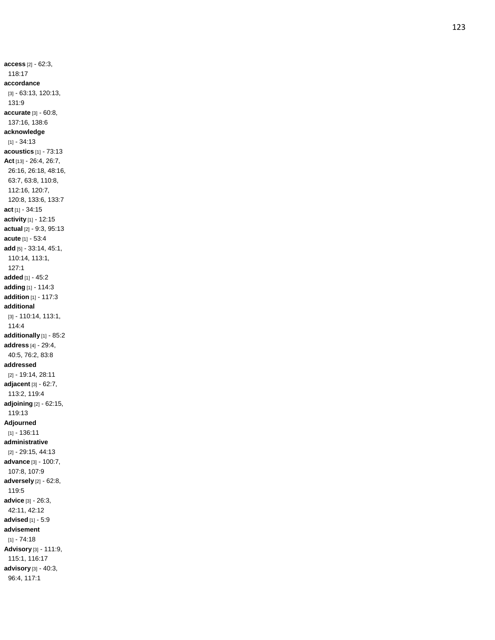**access** [2] - 62:3, 118:17 **accordance** [3] - 63:13, 120:13, 131:9 **accurate** [3] - 60:8, 137:16, 138:6 **acknowledge** [1] - 34:13 **acoustics** [1] - 73:13 **Act** [13] - 26:4, 26:7, 26:16, 26:18, 48:16, 63:7, 63:8, 110:8, 112:16, 120:7, 120:8, 133:6, 133:7 **act** [1] - 34:15 **activity** [1] - 12:15 **actual** [2] - 9:3, 95:13 **acute** [1] - 53:4 **add** [5] - 33:14, 45:1, 110:14, 113:1, 127:1 **added** [1] - 45:2 **adding** [1] - 114:3 **addition** [1] - 117:3 **additional** [3] - 110:14, 113:1, 114:4 **additionally** [1] - 85:2 **address** [4] - 29:4, 40:5, 76:2, 83:8 **addressed** [2] - 19:14, 28:11 **adjacent** [3] - 62:7, 113:2, 119:4 **adjoining** [2] - 62:15, 119:13 **Adjourned** [1] - 136:11 **administrative** [2] - 29:15, 44:13 **advance** [3] - 100:7, 107:8, 107:9 **adversely** [2] - 62:8, 119:5 **advice** [3] - 26:3, 42:11, 42:12 **advised** [1] - 5:9 **advisement** [1] - 74:18 **Advisory** [3] - 111:9, 115:1, 116:17 **advisory** [3] - 40:3, 96:4, 117:1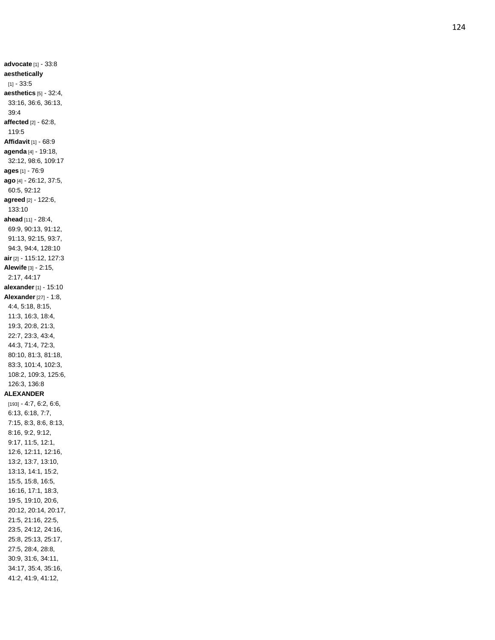**advocate** [1] - 33:8 **aesthetically** [1] - 33:5 **aesthetics** [5] - 32:4, 33:16, 36:6, 36:13, 39:4 **affected** [2] - 62:8, 119:5 **Affidavit** [1] - 68:9 **agenda** [4] - 19:18, 32:12, 98:6, 109:17 **ages** [1] - 76:9 **ago** [4] - 26:12, 37:5, 60:5, 92:12 **agreed** [2] - 122:6, 133:10 **ahead** [11] - 28:4, 69:9, 90:13, 91:12, 91:13, 92:15, 93:7, 94:3, 94:4, 128:10 **air** [2] - 115:12, 127:3 **Alewife** [3] - 2:15, 2:17, 44:17 **alexander** [1] - 15:10 **Alexander** [27] - 1:8, 4:4, 5:18, 8:15, 11:3, 16:3, 18:4, 19:3, 20:8, 21:3, 22:7, 23:3, 43:4, 44:3, 71:4, 72:3, 80:10, 81:3, 81:18, 83:3, 101:4, 102:3, 108:2, 109:3, 125:6, 126:3, 136:8 **ALEXANDER** [193] - 4:7, 6:2, 6:6, 6:13, 6:18, 7:7, 7:15, 8:3, 8:6, 8:13, 8:16, 9:2, 9:12, 9:17, 11:5, 12:1, 12:6, 12:11, 12:16, 13:2, 13:7, 13:10, 13:13, 14:1, 15:2, 15:5, 15:8, 16:5, 16:16, 17:1, 18:3, 19:5, 19:10, 20:6, 20:12, 20:14, 20:17, 21:5, 21:16, 22:5, 23:5, 24:12, 24:16, 25:8, 25:13, 25:17, 27:5, 28:4, 28:8, 30:9, 31:6, 34:11, 34:17, 35:4, 35:16, 41:2, 41:9, 41:12,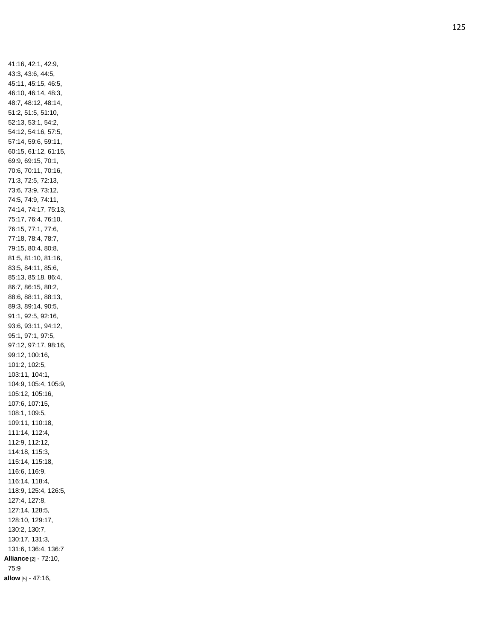41:16, 42:1, 42:9, 43:3, 43:6, 44:5, 45:11, 45:15, 46:5, 46:10, 46:14, 48:3, 48:7, 48:12, 48:14, 51:2, 51:5, 51:10, 52:13, 53:1, 54:2, 54:12, 54:16, 57:5, 57:14, 59:6, 59:11, 60:15, 61:12, 61:15, 69:9, 69:15, 70:1, 70:6, 70:11, 70:16, 71:3, 72:5, 72:13, 73:6, 73:9, 73:12, 74:5, 74:9, 74:11, 74:14, 74:17, 75:13, 75:17, 76:4, 76:10, 76:15, 77:1, 77:6, 77:18, 78:4, 78:7, 79:15, 80:4, 80:8, 81:5, 81:10, 81:16, 83:5, 84:11, 85:6, 85:13, 85:18, 86:4, 86:7, 86:15, 88:2, 88:6, 88:11, 88:13, 89:3, 89:14, 90:5, 91:1, 92:5, 92:16, 93:6, 93:11, 94:12, 95:1, 97:1, 97:5, 97:12, 97:17, 98:16, 99:12, 100:16, 101:2, 102:5, 103:11, 104:1, 104:9, 105:4, 105:9, 105:12, 105:16, 107:6, 107:15, 108:1, 109:5, 109:11, 110:18, 111:14, 112:4, 112:9, 112:12, 114:18, 115:3, 115:14, 115:18, 116:6, 116:9, 116:14, 118:4, 118:9, 125:4, 126:5, 127:4, 127:8, 127:14, 128:5, 128:10, 129:17, 130:2, 130:7, 130:17, 131:3, 131:6, 136:4, 136:7 **Alliance** [2] - 72:10, 75:9 **allow** [5] - 47:16,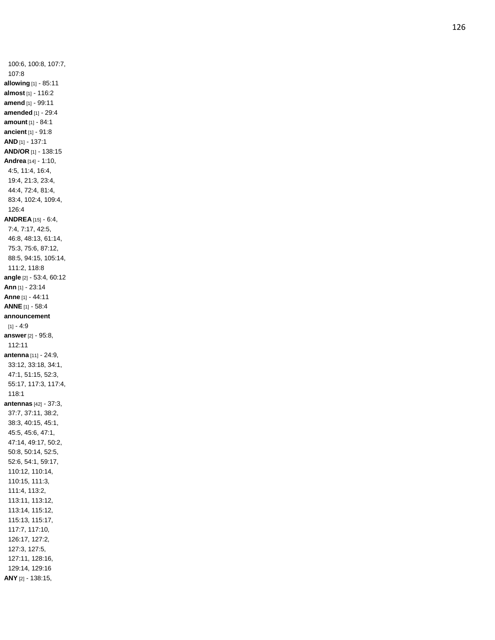100:6, 100:8, 107:7, 107:8 **allowing** [1] - 85:11 **almost** [1] - 116:2 **amend** [1] - 99:11 **amended** [1] - 29:4 **amount** [1] - 84:1 **ancient** [1] - 91:8 **AND** [1] - 137:1 **AND/OR** [1] - 138:15 **Andrea** [14] - 1:10, 4:5, 11:4, 16:4, 19:4, 21:3, 23:4, 44:4, 72:4, 81:4, 83:4, 102:4, 109:4, 126:4 **ANDREA** [15] - 6:4, 7:4, 7:17, 42:5, 46:8, 48:13, 61:14, 75:3, 75:6, 87:12, 88:5, 94:15, 105:14, 111:2, 118:8 **angle** [2] - 53:4, 60:12 **Ann** [1] - 23:14 **Anne** [1] - 44:11 **ANNE** [1] - 58:4 **announcement** [1] - 4:9 **answer** [2] - 95:8, 112:11 **antenna** [11] - 24:9, 33:12, 33:18, 34:1, 47:1, 51:15, 52:3, 55:17, 117:3, 117:4, 118:1 **antennas** [42] - 37:3, 37:7, 37:11, 38:2, 38:3, 40:15, 45:1, 45:5, 45:6, 47:1, 47:14, 49:17, 50:2, 50:8, 50:14, 52:5, 52:6, 54:1, 59:17, 110:12, 110:14, 110:15, 111:3, 111:4, 113:2, 113:11, 113:12, 113:14, 115:12, 115:13, 115:17, 117:7, 117:10, 126:17, 127:2, 127:3, 127:5, 127:11, 128:16, 129:14, 129:16 **ANY** [2] - 138:15,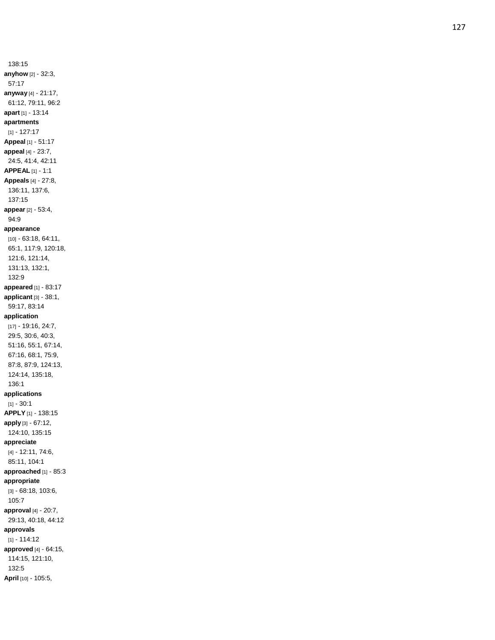138:15 **anyhow** [2] - 32:3, 57:17 **anyway** [4] - 21:17, 61:12, 79:11, 96:2 **apart** [1] - 13:14 **apartments** [1] - 127:17 **Appeal** [1] - 51:17 **appeal** [4] - 23:7, 24:5, 41:4, 42:11 **APPEAL** [1] - 1:1 **Appeals** [4] - 27:8, 136:11, 137:6, 137:15 **appear** [2] - 53:4, 94:9 **appearance** [10] - 63:18, 64:11, 65:1, 117:9, 120:18, 121:6, 121:14, 131:13, 132:1, 132:9 **appeared** [1] - 83:17 **applicant** [3] - 38:1, 59:17, 83:14 **application** [17] - 19:16, 24:7, 29:5, 30:6, 40:3, 51:16, 55:1, 67:14, 67:16, 68:1, 75:9, 87:8, 87:9, 124:13, 124:14, 135:18, 136:1 **applications** [1] - 30:1 **APPLY** [1] - 138:15 **apply** [3] - 67:12, 124:10, 135:15 **appreciate** [4] - 12:11, 74:6, 85:11, 104:1 **approached** [1] - 85:3 **appropriate** [3] - 68:18, 103:6, 105:7 **approval** [4] - 20:7, 29:13, 40:18, 44:12 **approvals** [1] - 114:12 **approved** [4] - 64:15, 114:15, 121:10, 132:5 **April** [10] - 105:5,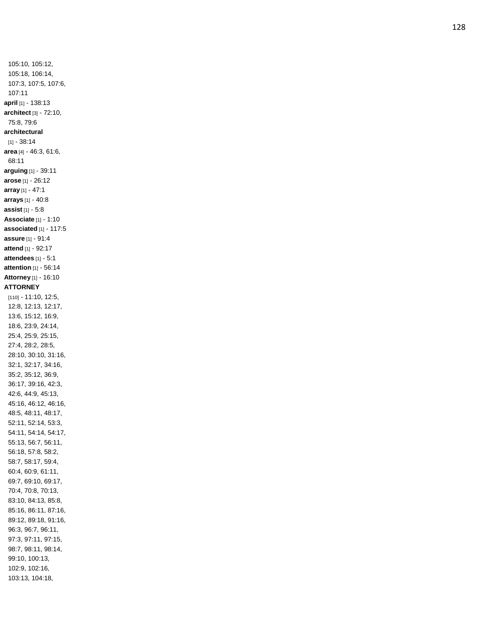105:10, 105:12, 105:18, 106:14, 107:3, 107:5, 107:6, 107:11 **april** [1] - 138:13 **architect** [3] - 72:10, 75:8, 79:6 **architectural** [1] - 38:14 **area** [4] - 46:3, 61:6, 68:11 **arguing** [1] - 39:11 **arose** [1] - 26:12 **array** [1] - 47:1 **arrays** [1] - 40:8 **assist** [1] - 5:8 **Associate** [1] - 1:10 **associated** [1] - 117:5 **assure** [1] - 91:4 **attend** [1] - 92:17 **attendees** [1] - 5:1 **attention** [1] - 56:14 **Attorney** [1] - 16:10 **ATTORNEY** [110] - 11:10, 12:5, 12:8, 12:13, 12:17, 13:6, 15:12, 16:9, 18:6, 23:9, 24:14, 25:4, 25:9, 25:15, 27:4, 28:2, 28:5, 28:10, 30:10, 31:16, 32:1, 32:17, 34:16, 35:2, 35:12, 36:9, 36:17, 39:16, 42:3, 42:6, 44:9, 45:13, 45:16, 46:12, 46:16, 48:5, 48:11, 48:17, 52:11, 52:14, 53:3, 54:11, 54:14, 54:17, 55:13, 56:7, 56:11, 56:18, 57:8, 58:2, 58:7, 58:17, 59:4, 60:4, 60:9, 61:11, 69:7, 69:10, 69:17, 70:4, 70:8, 70:13, 83:10, 84:13, 85:8, 85:16, 86:11, 87:16, 89:12, 89:18, 91:16, 96:3, 96:7, 96:11, 97:3, 97:11, 97:15, 98:7, 98:11, 98:14, 99:10, 100:13, 102:9, 102:16, 103:13, 104:18,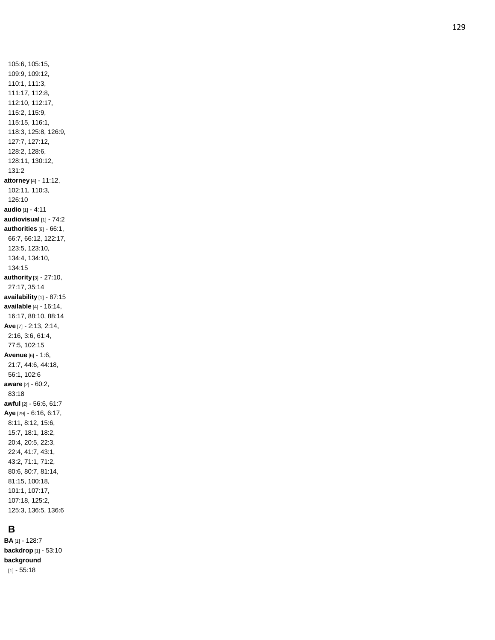105:6, 105:15, 109:9, 109:12, 110:1, 111:3, 111:17, 112:8, 112:10, 112:17, 115:2, 115:9, 115:15, 116:1, 118:3, 125:8, 126:9, 127:7, 127:12, 128:2, 128:6, 128:11, 130:12, 131:2 **attorney** [4] - 11:12, 102:11, 110:3, 126:10 **audio** [1] - 4:11 **audiovisual** [1] - 74:2 **authorities** [9] - 66:1, 66:7, 66:12, 122:17, 123:5, 123:10, 134:4, 134:10, 134:15 **authority** [3] - 27:10, 27:17, 35:14 **availability** [1] - 87:15 **available** [4] - 16:14, 16:17, 88:10, 88:14 **Ave** [7] - 2:13, 2:14, 2:16, 3:6, 61:4, 77:5, 102:15 **Avenue** [6] - 1:6, 21:7, 44:6, 44:18, 56:1, 102:6 **aware** [2] - 60:2, 83:18 **awful** [2] - 56:6, 61:7 **Aye** [29] - 6:16, 6:17, 8:11, 8:12, 15:6, 15:7, 18:1, 18:2, 20:4, 20:5, 22:3, 22:4, 41:7, 43:1, 43:2, 71:1, 71:2, 80:6, 80:7, 81:14, 81:15, 100:18, 101:1, 107:17, 107:18, 125:2, 125:3, 136:5, 136:6

# **B**

**BA** [1] - 128:7 **backdrop** [1] - 53:10 **background** [1] - 55:18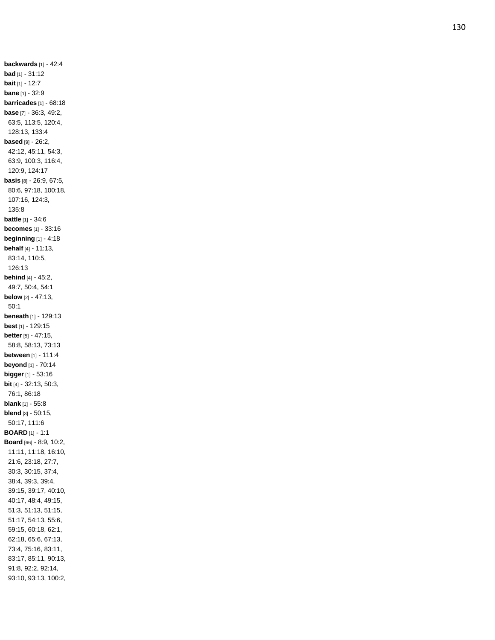**backwards** [1] - 42:4 **bad** [1] - 31:12 **bait** [1] - 12:7 **bane** [1] - 32:9 **barricades** [1] - 68:18 **base** [7] - 36:3, 49:2, 63:5, 113:5, 120:4, 128:13, 133:4 **based** [9] - 26:2, 42:12, 45:11, 54:3, 63:9, 100:3, 116:4, 120:9, 124:17 **basis** [8] - 26:9, 67:5, 80:6, 97:18, 100:18, 107:16, 124:3, 135:8 **battle** [1] - 34:6 **becomes** [1] - 33:16 **beginning** [1] - 4:18 **behalf** [4] - 11:13, 83:14, 110:5, 126:13 **behind** [4] - 45:2, 49:7, 50:4, 54:1 **below** [2] - 47:13, 50:1 **beneath** [1] - 129:13 **best** [1] - 129:15 **better** [5] - 47:15, 58:8, 58:13, 73:13 **between** [1] - 111:4 **beyond** [1] - 70:14 **bigger** [1] - 53:16 **bit** [4] - 32:13, 50:3, 76:1, 86:18 **blank** [1] - 55:8 **blend** [3] - 50:15, 50:17, 111:6 **BOARD** [1] - 1:1 **Board** [66] - 8:9, 10:2, 11:11, 11:18, 16:10, 21:6, 23:18, 27:7, 30:3, 30:15, 37:4, 38:4, 39:3, 39:4, 39:15, 39:17, 40:10, 40:17, 48:4, 49:15, 51:3, 51:13, 51:15, 51:17, 54:13, 55:6, 59:15, 60:18, 62:1, 62:18, 65:6, 67:13, 73:4, 75:16, 83:11, 83:17, 85:11, 90:13, 91:8, 92:2, 92:14, 93:10, 93:13, 100:2,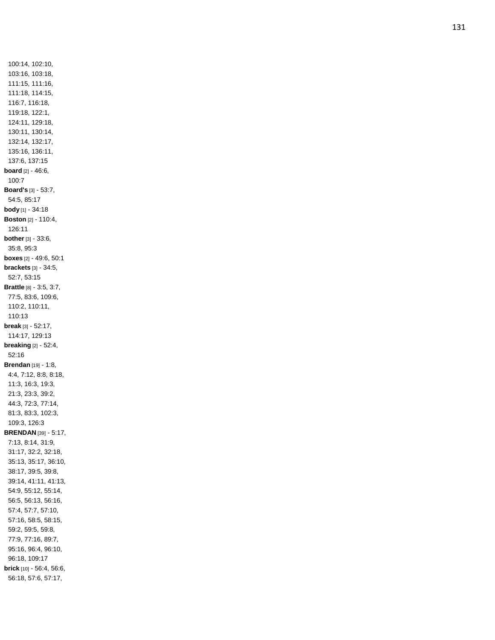100:14, 102:10, 103:16, 103:18, 111:15, 111:16, 111:18, 114:15, 116:7, 116:18, 119:18, 122:1, 124:11, 129:18, 130:11, 130:14, 132:14, 132:17, 135:16, 136:11, 137:6, 137:15 **board** [2] - 46:6, 100:7 **Board's** [3] - 53:7, 54:5, 85:17 **body** [1] - 34:18 **Boston** [2] - 110:4, 126:11 **bother** [3] - 33:6, 35:8, 95:3 **boxes** [2] - 49:6, 50:1 **brackets** [3] - 34:5, 52:7, 53:15 **Brattle** [8] - 3:5, 3:7, 77:5, 83:6, 109:6, 110:2, 110:11, 110:13 **break** [3] - 52:17, 114:17, 129:13 **breaking** [2] - 52:4, 52:16 **Brendan** [19] - 1:8, 4:4, 7:12, 8:8, 8:18, 11:3, 16:3, 19:3, 21:3, 23:3, 39:2, 44:3, 72:3, 77:14, 81:3, 83:3, 102:3, 109:3, 126:3 **BRENDAN** [39] - 5:17, 7:13, 8:14, 31:9, 31:17, 32:2, 32:18, 35:13, 35:17, 36:10, 38:17, 39:5, 39:8, 39:14, 41:11, 41:13, 54:9, 55:12, 55:14, 56:5, 56:13, 56:16, 57:4, 57:7, 57:10, 57:16, 58:5, 58:15, 59:2, 59:5, 59:8, 77:9, 77:16, 89:7, 95:16, 96:4, 96:10, 96:18, 109:17 **brick** [10] - 56:4, 56:6, 56:18, 57:6, 57:17,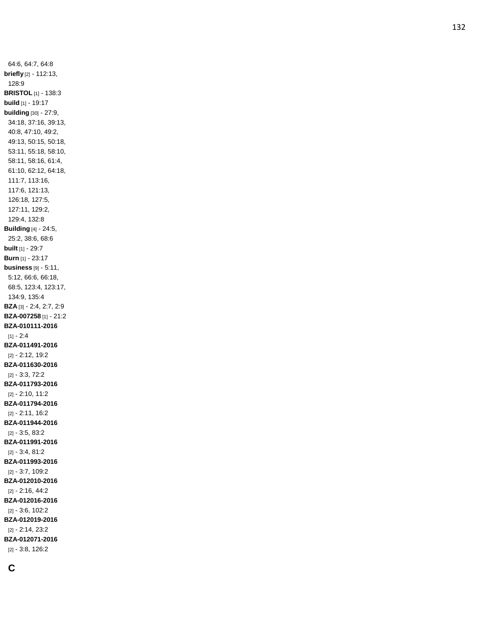64:6, 64:7, 64:8 **briefly** [2] - 112:13, 128:9 **BRISTOL** [1] - 138:3 **build** [1] - 19:17 **building** [30] - 27:9, 34:18, 37:16, 39:13, 40:8, 47:10, 49:2, 49:13, 50:15, 50:18, 53:11, 55:18, 58:10, 58:11, 58:16, 61:4, 61:10, 62:12, 64:18, 111:7, 113:16, 117:6, 121:13, 126:18, 127:5, 127:11, 129:2, 129:4, 132:8 **Building** [4] - 24:5, 25:2, 38:6, 68:6 **built** [1] - 29:7 **Burn** [1] - 23:17 **business** [9] - 5:11, 5:12, 66:6, 66:18, 68:5, 123:4, 123:17, 134:9, 135:4 **BZA** [3] - 2:4, 2:7, 2:9 **BZA -007258** [1] - 21:2 **BZA -010111 -2016** [1] - 2:4 **BZA -011491 -2016** [2] - 2:12, 19:2 **BZA -011630 -2016** [2] - 3:3, 72:2 **BZA -011793 -2016** [2] - 2:10, 11:2 **BZA -011794 -2016** [2] - 2:11, 16:2 **BZA -011944 -2016** [2] - 3:5, 83:2 **BZA -011991 -2016** [2] - 3:4, 81:2 **BZA -011993 -2016** [2] - 3:7, 109:2 **BZA -012010 -2016** [2] - 2:16, 44:2 **BZA -012016 -2016** [2] - 3:6, 102:2 **BZA -012019 -201 6** [2] - 2:14, 23:2 **BZA -012071 -2016** [2] - 3:8, 126:2

**C**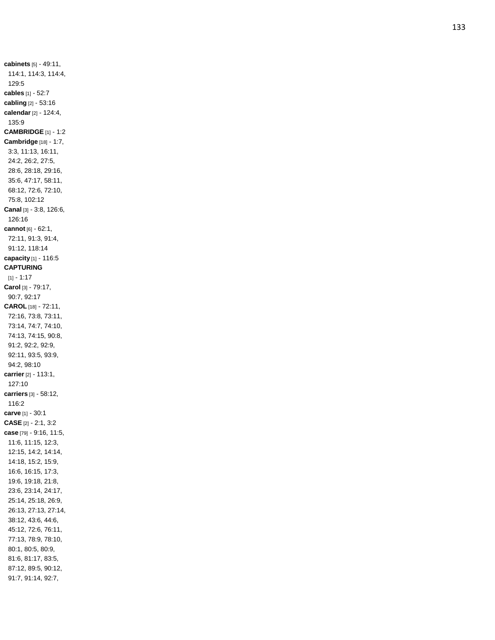**cabinets** [5] - 49:11, 114:1, 114:3, 114:4, 129:5 **cables** [1] - 52:7 **cabling** [2] - 53:16 **calendar** [2] - 124:4, 135:9 **CAMBRIDGE** [1] - 1:2 **Cambridge** [18] - 1:7, 3:3, 11:13, 16:11, 24:2, 26:2, 27:5, 28:6, 28:18, 29:16, 35:6, 47:17, 58:11, 68:12, 72:6, 72:10, 75:8, 102:12 **Canal** [3] - 3:8, 126:6, 126:16 **cannot** [6] - 62:1, 72:11, 91:3, 91:4, 91:12, 118:14 **capacity** [1] - 116:5 **CAPTURING** [1] - 1:17 **Carol** [3] - 79:17, 90:7, 92:17 **CAROL** [18] - 72:11, 72:16, 73:8, 73:11, 73:14, 74:7, 74:10, 74:13, 74:15, 90:8, 91:2, 92:2, 92:9, 92:11, 93:5, 93:9, 94:2, 98:10 **carrier** [2] - 113:1, 127:10 **carriers** [3] - 58:12, 116:2 **carve** [1] - 30:1 **CASE** [2] - 2:1, 3:2 **case** [79] - 9:16, 11:5, 11:6, 11:15, 12:3, 12:15, 14:2, 14:14, 14:18, 15:2, 15:9, 16:6, 16:15, 17:3, 19:6, 19:18, 21:8, 23:6, 23:14, 24:17, 25:14, 25:18, 26:9, 26:13, 27:13, 27:14, 38:12, 43:6, 44:6, 45:12, 72:6, 76:11, 77:13, 78:9, 78:10, 80:1, 80:5, 80:9, 81:6, 81:17, 83:5, 87:12, 89:5, 90:12, 91:7, 91:14, 92:7,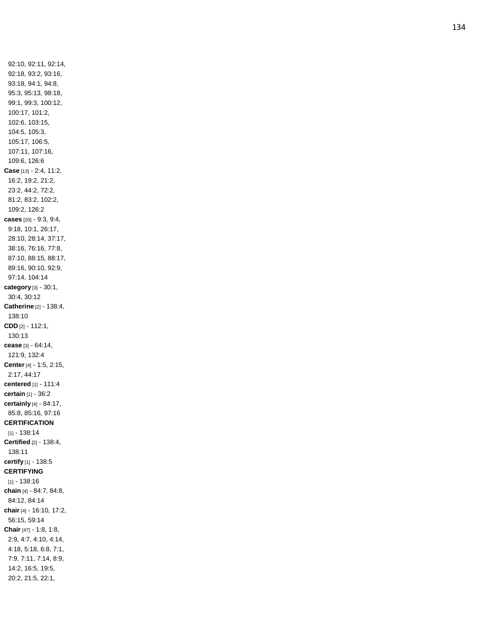92:10, 92:11, 92:14, 92:18, 93:2, 93:16, 93:18, 94:1, 94:8, 95:3, 95:13, 98:18, 99:1, 99:3, 100:12, 100:17, 101:2, 102:6, 103:15, 104:5, 105:3, 105:17, 106:5, 107:11, 107:16, 109:6, 126:6 **Case** [13] - 2:4, 11:2, 16:2, 19:2, 21:2, 23:2, 44:2, 72:2, 81:2, 83:2, 102:2, 109:2, 126:2 **cases** [20] - 9:3, 9:4, 9:18, 10:1, 26:17, 28:10, 28:14, 37:17, 38:16, 76:16, 77:8, 87:10, 88:15, 88:17, 89:16, 90:10, 92:9, 97:14, 104:14 **category** [3] - 30:1, 30:4, 30:12 **Catherine** [2] - 138:4, 138:10 **CDD** [2] - 112:1, 130:13 **cease** [3] - 64:14, 121:9, 132:4 **Center** [4] - 1:5, 2:15, 2:17, 44:17 **centered** [1] - 111:4 **certain** [1] - 36:2 **certainly** [4] - 84:17, 85:8, 85:16, 97:16 **CERTIFICATION** [1] - 138:14 **Certified** [2] - 138:4, 138:11 **certify** [1] - 138:5 **CERTIFYING** [1] - 138:16 **chain** [4] - 84:7, 84:8, 84:12, 84:14 **chair** [4] - 16:10, 17:2, 56:15, 59:14 **Chair** [47] - 1:8, 1:8, 2:9, 4:7, 4:10, 4:14, 4:18, 5:18, 6:8, 7:1, 7:9, 7:11, 7:14, 8:9, 14:2, 16:5, 19:5, 20:2, 21:5, 22:1,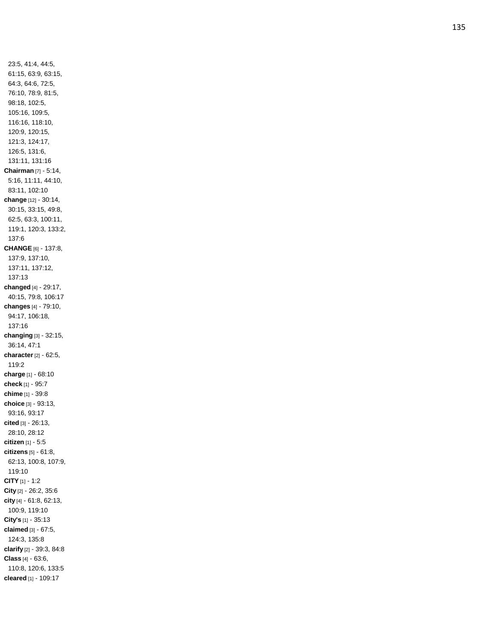23:5, 41:4, 44:5, 61:15, 63:9, 63:15, 64:3, 64:6, 72:5, 76:10, 78:9, 81:5, 98:18, 102:5, 105:16, 109:5, 116:16, 118:10, 120:9, 120:15, 121:3, 124:17, 126:5, 131:6, 131:11, 131:16 **Chairman** [7] - 5:14, 5:16, 11:11, 44:10, 83:11, 102:10 **change** [12] - 30:14, 30:15, 33:15, 49:8, 62:5, 63:3, 100:11, 119:1, 120:3, 133:2, 137:6 **CHANGE** [6] - 137:8, 137:9, 137:10, 137:11, 137:12, 137:13 **changed** [4] - 29:17, 40:15, 79:8, 106:17 **changes** [4] - 79:10, 94:17, 106:18, 137:16 **changing** [3] - 32:15, 36:14, 47:1 **character** [2] - 62:5, 119:2 **charge** [1] - 68:10 **check** [1] - 95:7 **chime** [1] - 39:8 **choice** [3] - 93:13, 93:16, 93:17 **cited** [3] - 26:13, 28:10, 28:12 **citizen** [1] - 5:5 **citizens** [5] - 61:8, 62:13, 100:8, 107:9, 119:10 **CITY** [1] - 1:2 **City** [2] - 26:2, 35:6 **city** [4] - 61:8, 62:13, 100:9, 119:10 **City's** [1] - 35:13 **claimed** [3] - 67:5, 124:3, 135:8 **clarify** [2] - 39:3, 84:8 **Class** [4] - 63:6, 110:8, 120:6, 133:5 **cleared** [1] - 109:17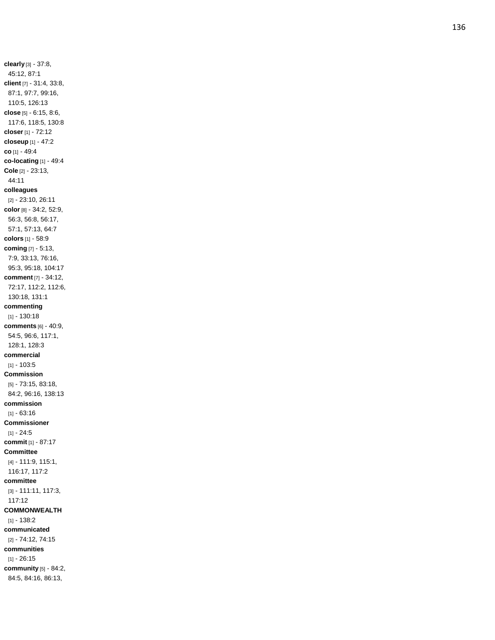**clearly** [3] - 37:8, 45:12, 87:1 **client** [7] - 31:4, 33:8, 87:1, 97:7, 99:16, 110:5, 126:13 **close** [5] - 6:15, 8:6, 117:6, 118:5, 130:8 **closer** [1] - 72:12 **closeup** [1] - 47:2 **co** [1] - 49:4 **co -locating** [1] - 49:4 **Cole** [2] - 23:13, 44:11 **colleagues** [2] - 23:10, 26:11 **color** [8] - 34:2, 52:9, 56:3, 56:8, 56:17, 57:1, 57:13, 64:7 **colors** [1] - 58:9 **coming** [7] - 5:13, 7:9, 33:13, 76:16, 95:3, 95:18, 104:17 **comment** [7] - 34:12, 72:17, 112:2, 112:6, 130:18, 131:1 **commenting** [1] - 130:18 **comments** [6] - 40:9, 54:5, 96:6, 117:1, 128:1, 128:3 **commercial** [1] - 103:5 **Commission** [5] - 73:15, 83:18, 84:2, 96:16, 138:13 **commission** [1] - 63:16 **Commissioner** [1] - 24:5 **commit** [1] - 87:17 **Committee** [4] - 111:9, 115:1, 116:17, 117:2 **committee** [3] - 111:11, 117:3, 117:12 **COMMONWEALTH** [1] - 138:2 **communicated** [2] - 74:12, 74:15 **communities** [1] - 26:15 **community** [5] - 84:2, 84:5, 84:16, 86:13,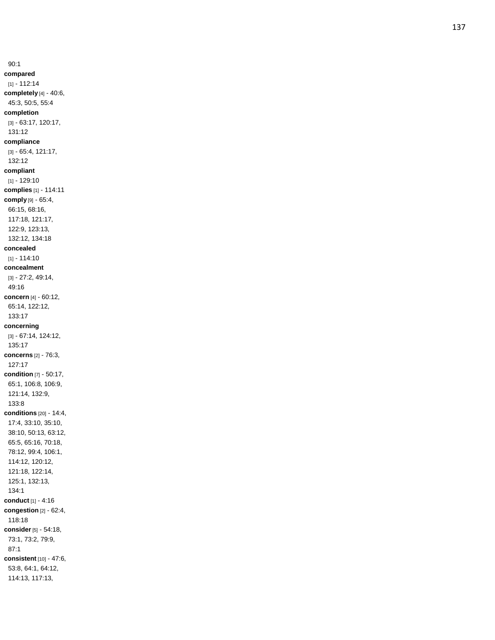90:1 **compared** [1] - 112:14 **completely** [4] - 40:6, 45:3, 50:5, 55:4 **completion** [3] - 63:17, 120:17, 131:12 **compliance** [3] - 65:4, 121:17, 132:12 **compliant** [1] - 129:10 **complies** [1] - 114:11 **comply** [9] - 65:4, 66:15, 68:16, 117:18, 121:17, 122:9, 123:13, 132:12, 134:18 **concealed** [1] - 114:10 **concealment** [3] - 27:2, 49:14, 49:16 **concern** [4] - 60:12, 65:14, 122:12, 133:17 **concerning** [3] - 67:14, 124:12, 135:17 **concerns** [2] - 76:3, 127:17 **condition** [7] - 50:17, 65:1, 106:8, 106:9, 121:14, 132:9, 133:8 **conditions** [20] - 14:4, 17:4, 33:10, 35:10, 38:10, 50:13, 63:12, 65:5, 65:16, 70:18, 78:12, 99:4, 106:1, 114:12, 120:12, 121:18, 122:14, 125:1, 132:13, 134:1 **conduct** [1] - 4:16 **congestion** [2] - 62:4, 118:18 **consider** [5] - 54:18, 73:1, 73:2, 79:9, 87:1 **consistent** [10] - 47:6, 53:8, 64:1, 64:12, 114:13, 117:13,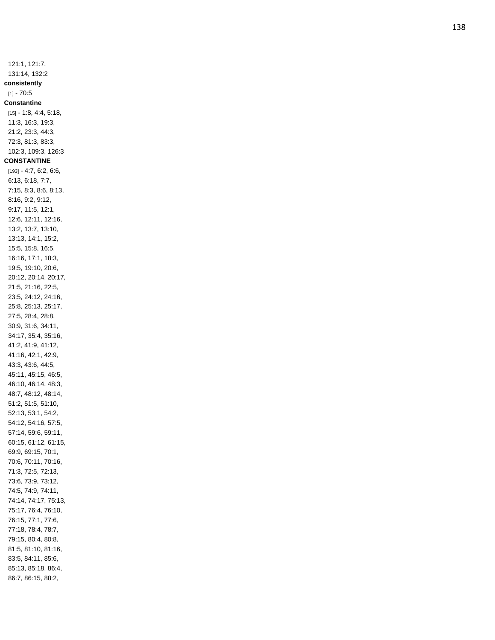121:1, 121:7, 131:14, 132:2 **consistently** [1] - 70:5 **Constantine** [15] - 1:8, 4:4, 5:18, 11:3, 16:3, 19:3, 21:2, 23:3, 44:3, 72:3, 81:3, 83:3, 102:3, 109:3, 126:3 **CONSTANTINE** [193] - 4:7, 6:2, 6:6, 6:13, 6:18, 7:7, 7:15, 8:3, 8:6, 8:13, 8:16, 9:2, 9:12, 9:17, 11:5, 12:1, 12:6, 12:11, 12:16, 13:2, 13:7, 13:10, 13:13, 14:1, 15:2, 15:5, 15:8, 16:5, 16:16, 17:1, 18:3, 19:5, 19:10, 20:6, 20:12, 20:14, 20:17, 21:5, 21:16, 22:5, 23:5, 24:12, 24:16, 25:8, 25:13, 25:17, 27:5, 28:4, 28:8, 30:9, 31:6, 34:11, 34:17, 35:4, 35:16, 41:2, 41:9, 41:12, 41:16, 42:1, 42:9, 43:3, 43:6, 44:5, 45:11, 45:15, 46:5, 46:10, 46:14, 48:3, 48:7, 48:12, 48:14, 51:2, 51:5, 51:10, 52:13, 53:1, 54:2, 54:12, 54:16, 57:5, 57:14, 59:6, 59:11, 60:15, 61:12, 61:15, 69:9, 69:15, 70:1, 70:6, 70:11, 70:16, 71:3, 72:5, 72:13, 73:6, 73:9, 73:12, 74:5, 74:9, 74:11, 74:14, 74:17, 75:13, 75:17, 76:4, 76:10, 76:15, 77:1, 77:6, 77:18, 78:4, 78:7, 79:15, 80:4, 80:8, 81:5, 81:10, 81:16, 83:5, 84:11, 85:6, 85:13, 85:18, 86:4, 86:7, 86:15, 88:2,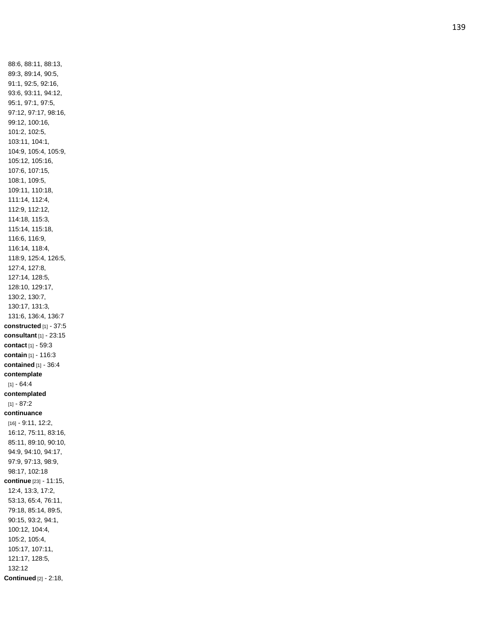88:6, 88:11, 88:13, 89:3, 89:14, 90:5, 91:1, 92:5, 92:16, 93:6, 93:11, 94:12, 95:1, 97:1, 97:5, 97:12, 97:17, 98:16, 99:12, 100:16, 101:2, 102:5, 103:11, 104:1, 104:9, 105:4, 105:9, 105:12, 105:16, 107:6, 107:15, 108:1, 109:5, 109:11, 110:18, 111:14, 112:4, 112:9, 112:12, 114:18, 115:3, 115:14, 115:18, 116:6, 116:9, 116:14, 118:4, 118:9, 125:4, 126:5, 127:4, 127:8, 127:14, 128:5, 128:10, 129:17, 130:2, 130:7, 130:17, 131:3, 131:6, 136:4, 136:7 **constructed** [1] - 37:5 **consultant** [1] - 23:15 **contact** [1] - 59:3 **contain** [1] - 116:3 **contained** [1] - 36:4 **contemplate** [1] - 64:4 **contemplated** [1] - 87:2 **continuance** [16] - 9:11, 12:2, 16:12, 75:11, 83:16, 85:11, 89:10, 90:10, 94:9, 94:10, 94:17, 97:9, 97:13, 98:9, 98:17, 102:18 **continue** [23] - 11:15, 12:4, 13:3, 17:2, 53:13, 65:4, 76:11, 79:18, 85:14, 89:5, 90:15, 93:2, 94:1, 100:12, 104:4, 105:2, 105:4, 105:17, 107:11, 121:17, 128:5, 132:12 **Continued** [2] - 2:18,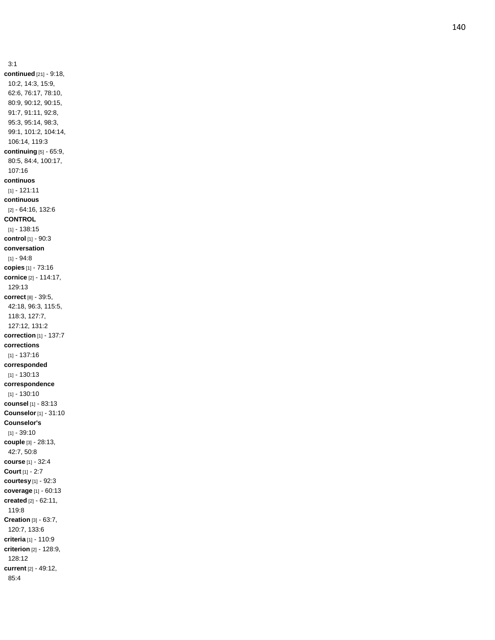3:1 **continued** [21] - 9:18, 10:2, 14:3, 15:9, 62:6, 76:17, 78:10, 80:9, 90:12, 90:15, 91:7, 91:11, 92:8, 95:3, 95:14, 98:3, 99:1, 101:2, 104:14, 106:14, 119:3 **continuing** [5] - 65:9, 80:5, 84:4, 100:17, 107:16 **continuos** [1] - 121:11 **continuous** [2] - 64:16, 132:6 **CONTROL** [1] - 138:15 **control** [1] - 90:3 **conversation** [1] - 94:8 **copies** [1] - 73:16 **cornice** [2] - 114:17, 129:13 **correct** [8] - 39:5, 42:18, 96:3, 115:5, 118:3, 127:7, 127:12, 131:2 **correction** [1] - 137:7 **corrections** [1] - 137:16 **corresponded** [1] - 130:13 **correspondence** [1] - 130:10 **counsel** [1] - 83:13 **Counselor** [1] - 31:10 **Counselor's** [1] - 39:10 **couple** [3] - 28:13, 42:7, 50:8 **course** [1] - 32:4 **Court** [1] - 2:7 **courtesy** [1] - 92:3 **coverage** [1] - 60:13 **created** [2] - 62:11, 119:8 **Creation** [3] - 63:7, 120:7, 133:6 **criteria** [1] - 110:9 **criterion** [2] - 128:9, 128:12 **current** [2] - 49:12, 85:4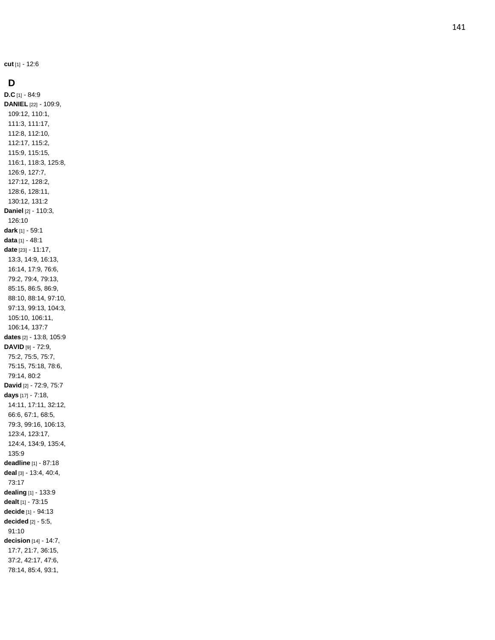**cut** [1] - 12:6

### **D**

**D.C** [1] - 84:9 **DANIEL** [22] - 109:9, 109:12, 110:1, 111:3, 111:17, 112:8, 112:10, 112:17, 115:2, 115:9, 115:15, 116:1, 118:3, 125:8, 126:9, 127:7, 127:12, 128:2, 128:6, 128:11, 130:12, 131:2 **Daniel** [2] - 110:3, 126:10 **dark** [1] - 59:1 **data** [1] - 48:1 **date** [23] - 11:17, 13:3, 14:9, 16:13, 16:14, 17:9, 76:6, 79:2, 79:4, 79:13, 85:15, 86:5, 86:9, 88:10, 88:14, 97:10, 97:13, 99:13, 104:3, 105:10, 106:11, 106:14, 137:7 **dates** [2] - 13:8, 105:9 **DAVID** [9] - 72:9, 75:2, 75:5, 75:7, 75:15, 75:18, 78:6, 79:14, 80:2 **David** [2] - 72:9, 75:7 **days** [17] - 7:18, 14:11, 17:11, 32:12, 66:6, 67:1, 68:5, 79:3, 99:16, 106:13, 123:4, 123:17, 124:4, 134:9, 135:4, 135:9 **deadline** [1] - 87:18 **deal** [3] - 13:4, 40:4, 73:17 **dealing** [1] - 133:9 **dealt** [1] - 73:15 **decide** [1] - 94:13 **decided** [2] - 5:5, 91:10 **decision** [14] - 14:7, 17:7, 21:7, 36:15, 37:2, 42:17, 47:6, 78:14, 85:4, 93:1,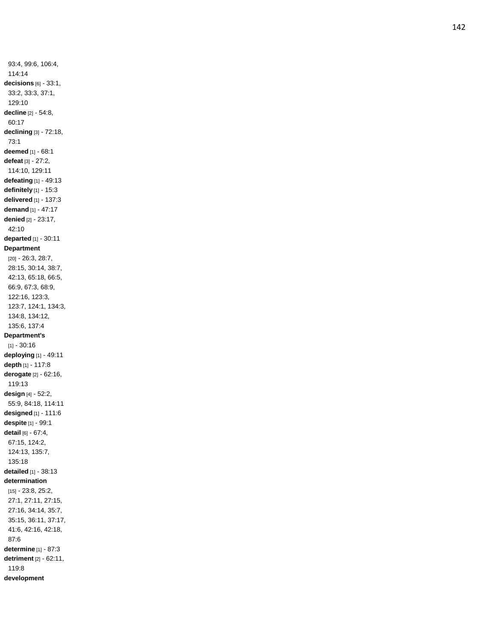93:4, 99:6, 106:4, 114:14 **decisions** [6] - 33:1, 33:2, 33:3, 37:1, 129:10 **decline** [2] - 54:8, 60:17 **declining** [3] - 72:18, 73:1 **deemed** [1] - 68:1 **defeat** [3] - 27:2, 114:10, 129:11 **defeating** [1] - 49:13 **definitely** [1] - 15:3 **delivered** [1] - 137:3 **demand** [1] - 47:17 **denied** [2] - 23:17, 42:10 **departed** [1] - 30:11 **Department** [20] - 26:3, 28:7, 28:15, 30:14, 38:7, 42:13, 65:18, 66:5, 66:9, 67:3, 68:9, 122:16, 123:3, 123:7, 124:1, 134:3, 134:8, 134:12, 135:6, 137:4 **Department's** [1] - 30:16 **deploying** [1] - 49:11 **depth** [1] - 117:8 **derogate** [2] - 62:16, 119:13 **design** [4] - 52:2, 55:9, 84:18, 114:11 **designed** [1] - 111:6 **despite** [1] - 99:1 **detail** [6] - 67:4, 67:15, 124:2, 124:13, 135:7, 135:18 **detailed** [1] - 38:13 **determination** [15] - 23:8, 25:2, 27:1, 27:11, 27:15, 27:16, 34:14, 35:7, 35:15, 36:11, 37:17, 41:6, 42:16, 42:18, 87:6 **determine** [1] - 87:3 **detriment** [2] - 62:11, 119:8 **development**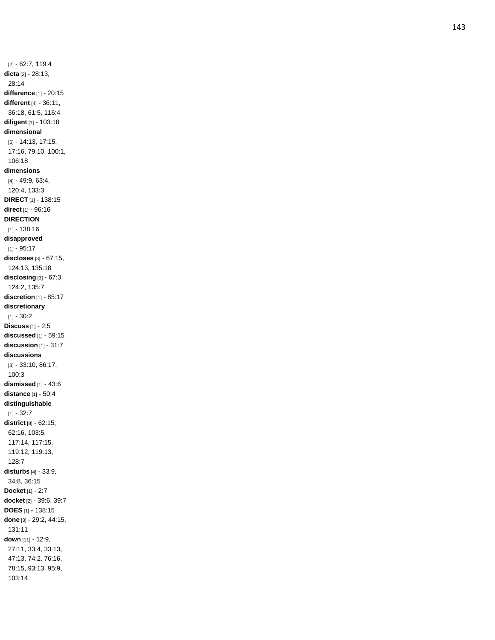[2] - 62:7, 119:4 **dicta** [2] - 28:13, 28:14 **difference** [1] - 20:15 **different** [4] - 36:11, 36:18, 61:5, 116:4 **diligent** [1] - 103:18 **dimensional** [6] - 14:13, 17:15, 17:16, 79:10, 100:1, 106:1 8 **dimensions** [4] - 49:9, 63:4, 120:4, 133:3 **DIRECT** [1] - 138:15 **direct** [1] - 96:16 **DIRECTION** [1] - 138:16 **disapproved** [1] - 95:17 **discloses** [3] - 67:15, 124:13, 135:18 **disclosing** [3] - 67:3, 124:2, 135:7 **discretion** [1] - 85:17 **discretionary** [1] - 30:2 **Discuss** [1] - 2:5 **discussed** [1] - 59:15 **discussion** [1] - 31:7 **discussions** [3] - 33:10, 86:17, 100:3 **dismissed** [1] - 43:6 **distance** [1] - 50:4 **distinguishable** [1] - 32:7 **district** [8] - 62:15, 62:16, 103:5, 117:14, 117:15, 119:12, 119:13, 128:7 **disturbs** [4] - 33:9, 34:8, 36:15 **Docket** [1] - 2:7 **docket** [2] - 39:6, 39:7 **DOES** [1] - 138:15 **done** [3] - 29:2, 44:15, 131:11 **down** [11] - 12:9, 27:11, 33:4, 33:13, 47:13, 74:2, 76:16, 78:15, 93:13, 95:9, 103:14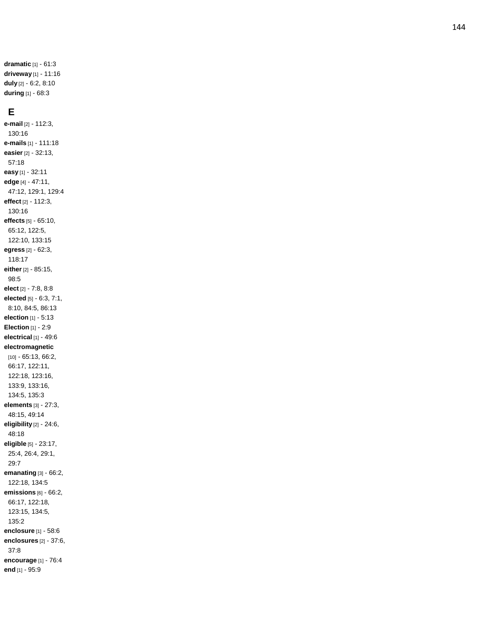**dramatic** [1] - 61:3 **driveway** [1] - 11:16 **duly** [2] - 6:2, 8:10 **during** [1] - 68:3

#### **E**

**e -mail** [2] - 112:3, 130:16 **e -mails** [1] - 111:18 **easier** [2] - 32:13, 57:18 **easy** [1] - 32:11 **edge** [4] - 47:11, 47:12, 129:1, 129:4 **effect** [2] - 112:3, 130:16 **effects** [5] - 65:10, 65:12, 122:5, 122:10, 133:15 **egress** [2] - 62:3, 118:17 **either** [2] - 85:15, 98:5 **elect** [2] - 7:8, 8:8 **elected** [5] - 6:3, 7:1, 8:10, 84:5, 86:13 **election** [1] - 5:13 **Election** [1] - 2:9 **electrical** [1] - 49:6 **electromagnetic** [10] - 65:13, 66:2, 66:17, 122:11, 122:18, 123:16, 133:9, 133:16, 134:5, 135:3 **elements** [3] - 27:3, 48:15, 49:14 **eligibility** [2] - 24:6, 48:18 **eligible** [5] - 23:17, 25:4, 26:4, 29:1, 29:7 **emanating** [3] - 66:2, 122:18, 134:5 **emissions** [6] - 66:2, 66:17, 122:18, 123:15, 134:5, 135:2 **enclosure** [1] - 58:6 **enclosures** [2] - 37:6, 37:8 **encourage** [1] - 76:4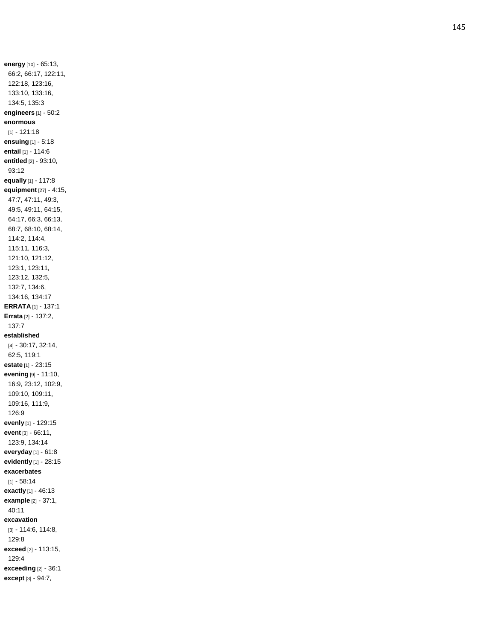**energy** [10] - 65:13, 66:2, 66:17, 122:11, 122:18, 123:16, 133:10, 133:16, 134:5, 135:3 **engineers** [1] - 50:2 **enormous** [1] - 121:18 **ensuing** [1] - 5:18 **entail** [1] - 114:6 **entitled** [2] - 93:10, 93:12 **equally** [1] - 117:8 **equipment** [27] - 4:15, 47:7, 47:11, 49:3, 49:5, 49:11, 64:15, 64:17, 66:3, 66:13, 68:7, 68:10, 68:14, 114:2, 114:4, 115:11, 116:3, 121:10, 121:12, 123:1, 123:11, 123:12, 132:5, 132:7, 134:6, 134:16, 134:17 **ERRATA** [1] - 137:1 **Errata** [2] - 137:2, 137:7 **established** [4] - 30:17, 32:14, 62:5, 119:1 **estate** [1] - 23:15 **evening** [9] - 11:10, 16:9, 23:12, 102:9, 109:10, 109:11, 109:16, 111:9, 126:9 **evenly** [1] - 129:15 **event** [3] - 66:11, 123:9, 134:14 **everyday** [1] - 61:8 **evidently** [1] - 28:15 **exacerbates** [1] - 58:14 **exactly** [1] - 46:13 **example** [2] - 37:1, 40:11 **excavation** [3] - 114:6, 114:8, 129:8 **exceed** [2] - 113:15, 129:4 **exceeding** [2] - 36:1 **except** [3] - 94:7,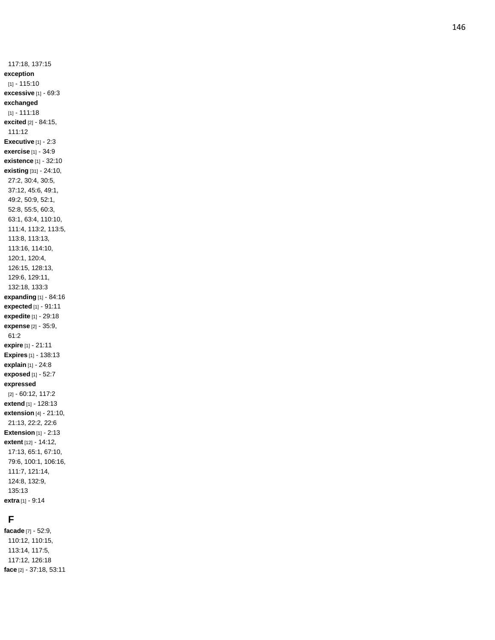117:18, 137:15 **exception** [1] - 115:10 **excessive** [1] - 69:3 **exchanged** [1] - 111:18 **excited** [2] - 84:15, 111:12 **Executive** [1] - 2:3 **exercise** [1] - 34:9 **existence** [1] - 32:10 **existing** [31] - 24:10, 27:2, 30:4, 30:5, 37:12, 45:6, 49:1, 49:2, 50:9, 52:1, 52:8, 55:5, 60:3, 63:1, 63:4, 110:10, 111:4, 113:2, 113:5, 113:8, 113:13, 113:16, 114:10, 120:1, 120:4, 126:15, 128:13, 129:6, 129:11, 132:18, 133:3 **expanding** [1] - 84:16 **expected** [1] - 91:11 **expedite** [1] - 29:18 **expense** [2] - 35:9, 61:2 **expire** [1] - 21:11 **Expires** [1] - 138:13 **explain** [1] - 24:8 **exposed** [1] - 52:7 **expressed** [2] - 60:12, 117:2 **extend** [1] - 128:13 **extension** [4] - 21:10, 21:13, 22:2, 22:6 **Extension** [1] - 2:13 **extent** [12] - 14:12, 17:13, 65:1, 67:10, 79:6, 100:1, 106:16, 111:7, 121:14, 124:8, 132:9, 135:13 **extra** [1] - 9:14

# **F**

**facade** [7] - 52:9, 110:12, 110:15, 113:14, 117:5, 117:12, 126:18 **face** [2] - 37:18, 53:11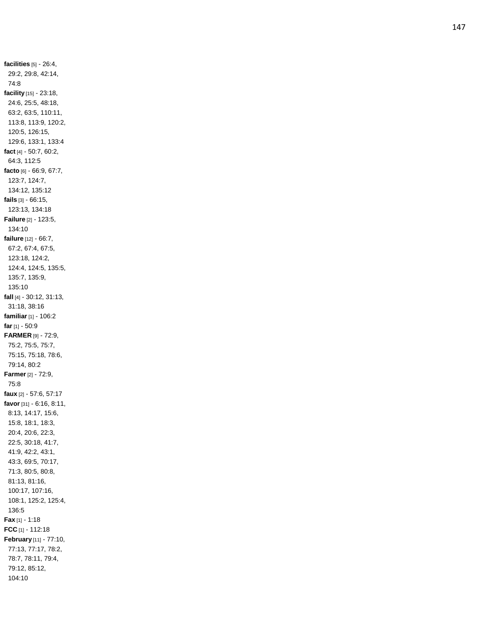**facilities** [5] - 26:4, 29:2, 29:8, 42:14, 74:8 **facility** [15] - 23:18, 24:6, 25:5, 48:18, 63:2, 63:5, 110:11, 113:8, 113:9, 120:2, 120:5, 126:15, 129:6, 133:1, 133:4 **fact** [4] - 50:7, 60:2, 64:3, 112:5 **facto** [6] - 66:9, 67:7, 123:7, 124:7, 134:12, 135:12 **fails** [3] - 66:15, 123:13, 134:18 **Failure** [2] - 123:5, 134:10 **failure** [12] - 66:7, 67:2, 67:4, 67:5, 123:18, 124:2, 124:4, 124:5, 135:5, 135:7, 135:9, 135:10 **fall** [4] - 30:12, 31:13, 31:18, 38:16 **familiar** [1] - 106:2 **far** [1] - 50:9 **FARMER** [9] - 72:9, 75:2, 75:5, 75:7, 75:15, 75:18, 78:6, 79:14, 80:2 **Farmer** [2] - 72:9, 75:8 **faux** [2] - 57:6, 57:17 **favor** [31] - 6:16, 8:11, 8:13, 14:17, 15:6, 15:8, 18:1, 18:3, 20:4, 20:6, 22:3, 22:5, 30:18, 41:7, 41:9, 42:2, 43:1, 43:3, 69:5, 70:17, 71:3, 80:5, 80:8, 81:13, 81:16, 100:17, 107:16, 108:1, 125:2, 125:4, 136:5 **Fax** [1] - 1:18 **FCC** [1] - 112:18 **February** [11] - 77:10, 77:13, 77:17, 78:2, 78:7, 78:11, 79:4, 79:12, 85:12, 104:10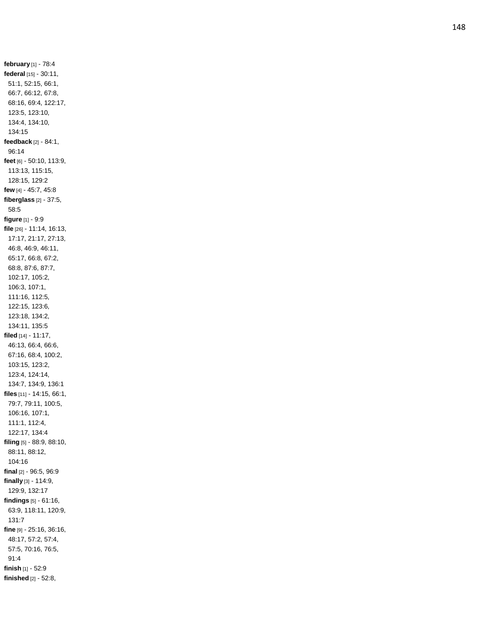**february** [1] - 78:4 **federal** [15] - 30:11, 51:1, 52:15, 66:1, 66:7, 66:12, 67:8, 68:16, 69:4, 122:17, 123:5, 123:10, 134:4, 134:10, 134:15 **feedback** [2] - 84:1, 96:14 **feet** [6] - 50:10, 113:9, 113:13, 115:15, 128:15, 129:2 **few** [4] - 45:7, 45:8 **fiberglass** [2] - 37:5, 58:5 **figure** [1] - 9:9 **file** [26] - 11:14, 16:13, 17:17, 21:17, 27:13, 46:8, 46:9, 46:11, 65:17, 66:8, 67:2, 68:8, 87:6, 87:7, 102:17, 105:2, 106:3, 107:1, 111:16, 112:5, 122:15, 123:6, 123:18, 134:2, 134:11, 135:5 **filed** [14] - 11:17, 46:13, 66:4, 66:6, 67:16, 68:4, 100:2, 103:15, 123:2, 123:4, 124:14, 134:7, 134:9, 136:1 **files** [11] - 14:15, 66:1, 79:7, 79:11, 100:5, 106:16, 107:1, 111:1, 112:4, 122:17, 134:4 **filing** [5] - 88:9, 88:10, 88:11, 88:12, 104:16 **final** [2] - 96:5, 96:9 **finally** [3] - 114:9, 129:9, 132:17 **findings** [5] - 61:16, 63:9, 118:11, 120:9, 131:7 **fine** [9] - 25:16, 36:16, 48:17, 57:2, 57:4, 57:5, 70:16, 76:5, 91:4 **finish** [1] - 52:9 **finished** [2] - 52:8,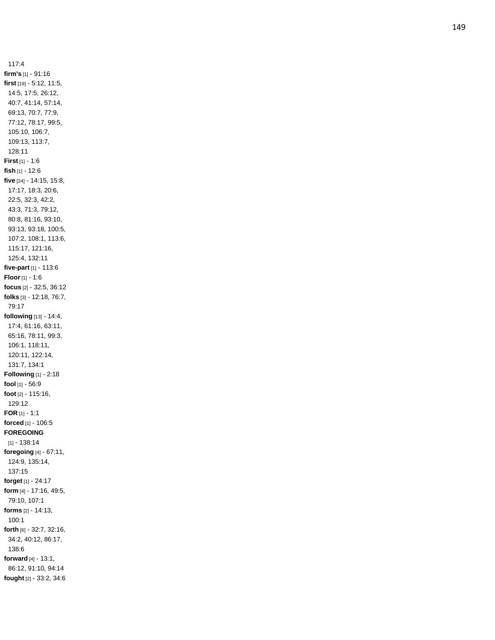117:4 **firm's** [1] - 91:16 **first** [19] - 5:12, 11:5, 14:5, 17:5, 26:12, 40:7, 41:14, 57:14, 69:13, 70:7, 77:9, 77:12, 78:17, 99:5, 105:10, 106:7, 109:13, 113:7, 128:11 **First** [1] - 1:6 **fish** [1] - 12:6 **five** [24] - 14:15, 15:8, 17:17, 18:3, 20:6, 22:5, 32:3, 42:2, 43:3, 71:3, 79:12, 80:8, 81:16, 93:10, 93:13, 93:18, 100:5, 107:2, 108:1, 113:6, 115:17, 121:16, 125:4, 132:11 **five -par t** [1] - 113:6 **Floor** [1] - 1:6 **focus** [2] - 32:5, 36:12 **folks** [3] - 12:18, 76:7, 79:17 **following** [13] - 14:4, 17:4, 61:16, 63:11, 65:16, 78:11, 99:3, 106:1, 118:11, 120:11, 122:14, 131:7, 134:1 **Following** [1] - 2:18 **fool** [1] - 56:9 **foot** [2] - 115:16, 129:12 **FOR** [1] - 1:1 **forced** [1] - 106:5 **FOREGOING** [1] - 138:14 **foregoing** [4] - 67:11, 124:9, 135:14, 137:15 **forget** [1] - 24:17 **form** [4] - 17:16, 49:5, 79:10, 107:1 **forms** [2] - 14:13, 100:1 **forth** [6] - 32:7, 32:16, 34:2, 40:12, 86:17, 138:6 **forward** [4] - 13:1, 86:12, 91:10, 94:14 **fought** [2] - 33:2, 34:6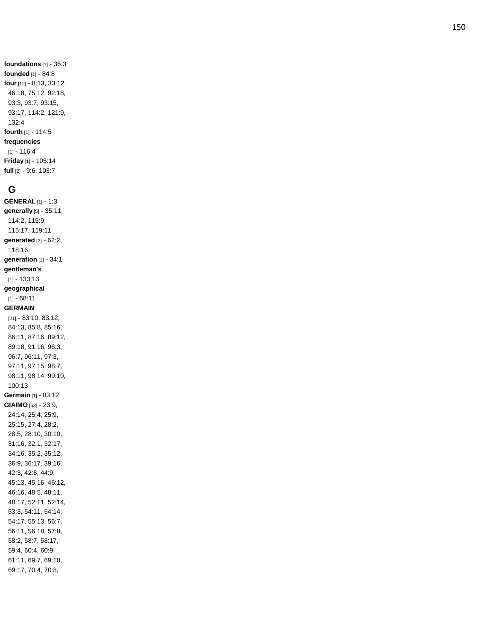**foundations** [1] - 36:3 **founded** [1] - 84:8 **four** [12] - 8:13, 33:12, 46:18, 75:12, 92:18, 93:3, 93:7, 93:15, 93:17, 114:2, 121:9, 132:4 **fourth** [1] - 114:5 **frequencies** [1] - 116:4 **Friday** [1] - 105:14 **full** [2] - 9:6, 103:7

#### **G**

**GENERAL** [1] - 1:3 **generally** [5] - 35:11, 114:2, 115:9, 115:17, 119:11 **generated** [2] - 62:2, 118:16 **generation** [1] - 34:1 **gentleman's** [1] - 133:13 **geographical** [1] - 68:11 **GERMAIN** [21] - 83:10, 83:12, 84:13, 85:8, 85:16, 86:11, 87:16, 89:12, 89:18, 91:16, 96:3, 96:7, 96:11, 97:3, 97:11, 97:15, 98:7, 98:11, 98:14, 99:10, 100:13 **Germain** [1] - 83:12 **GIAIMO** [53] - 23:9, 24:14, 25:4, 25:9, 25:15, 27:4, 28:2, 28:5, 28:10, 30:10, 31:16, 32:1, 32:17, 34:16, 35:2, 35:12, 36:9, 36:17, 39:16, 42:3, 42:6, 44:9, 45:13, 45:16, 46:12, 46:16, 48:5, 48:11, 48:17, 52:11, 52:14, 53:3, 54:11, 54:14, 54:17, 55:13, 56:7, 56:11, 56:18, 57:8, 58:2, 58:7, 58:17, 59:4, 60:4, 60:9, 61:11, 69:7, 69:10, 69:17, 70:4, 70:8,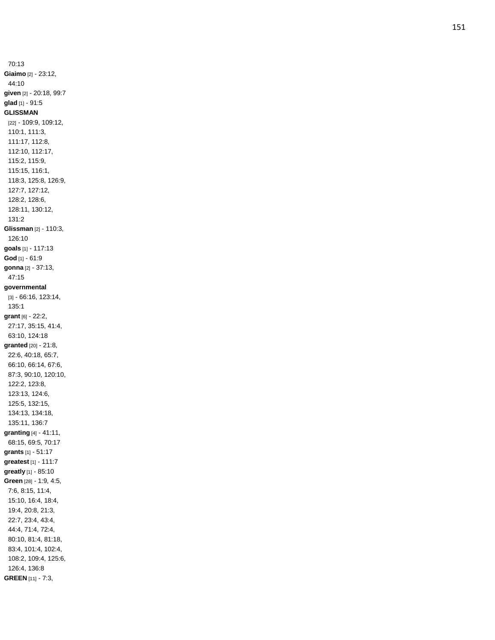70:13 **Giaimo** [2] - 23:12, 44:10 **given** [2] - 20:18, 99:7 **glad** [1] - 91:5 **GLISSMAN** [22] - 109:9, 109:12, 110:1, 111:3, 111:17, 112:8, 112:10, 112:17, 115:2, 115:9, 115:15, 116:1, 118:3, 125:8, 126:9, 127:7, 127:12, 128:2, 128:6, 128:11, 130:12, 131:2 **Glissman** [2] - 110:3, 126:10 **goals** [1] - 117:13 **God** [1] - 61:9 **gonna** [2] - 37:13, 47:15 **governmental** [3] - 66:16, 123:14, 135:1 **grant** [6] - 22:2, 27:17, 35:15, 41:4, 63:10, 124:18 **granted** [20] - 21:8, 22:6, 40:18, 65:7, 66:10, 66:14, 67:6, 87:3, 90:10, 120:10, 122:2, 123:8, 123:13, 124:6, 125:5, 132:15, 134:13, 134:18, 135:11, 136:7 **granting** [4] - 41:11, 68:15, 69:5, 70:17 **grants** [1] - 51:17 **greatest** [1] - 111:7 **greatly** [1] - 85:10 **Green** [28] - 1:9, 4:5, 7:6, 8:15, 11:4, 15:10, 16:4, 18:4, 19:4, 20:8, 21:3, 22:7, 23:4, 43:4, 44:4, 71:4, 72:4, 80:10, 81:4, 81:18, 83:4, 101:4, 102:4, 108:2, 109:4, 125:6, 126:4, 136:8 **GREEN** [11] - 7:3,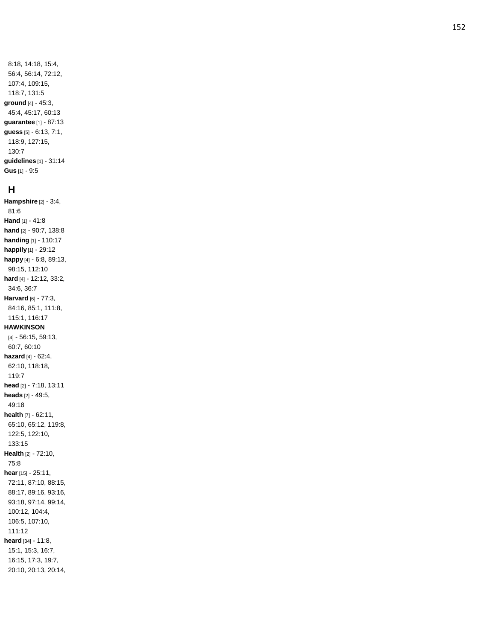8:18, 14:18, 15:4, 56:4, 56:14, 72:12, 107:4, 109:15, 118:7, 131:5 **ground** [4] - 45:3, 45:4, 45:17, 60:13 **guarantee** [1] - 87:13 **guess** [5] - 6:13, 7:1, 118:9, 127:15, 130:7 **guidelines** [1] - 31:14 **Gus** [1] - 9:5

#### **H**

**Hampshire** [2] - 3:4, 81:6 **Hand** [1] - 41:8 **hand** [2] - 90:7, 138:8 **handing** [1] - 110:17 **happily** [1] - 29:12 **happy** [4] - 6:8, 89:13, 98:15, 112:10 **hard** [4] - 12:12, 33:2, 34:6, 36:7 **Harvard** [6] - 77:3, 84:16, 85:1, 111:8, 115:1, 116:17 **HAWKINSON** [4] - 56:15, 59:13, 60:7, 60:10 **hazard** [4] - 62:4, 62:10, 118:18, 119:7 **head** [2] - 7:18, 13:11 **heads** [2] - 49:5, 49:18 **health** [7] - 62:11, 65:10, 65:12, 119:8, 122:5, 122:10, 133:15 **Health** [2] - 72:10, 75:8 **hear** [15] - 25:11, 72:11, 87:10, 88:15, 88:17, 89:16, 93:16, 93:18, 97:14, 99:14, 100:12, 104:4, 106:5, 107:10, 111:12 **heard** [34] - 11:8, 15:1, 15:3, 16:7, 16:15, 17:3, 19:7, 20:10, 20:13, 20:14,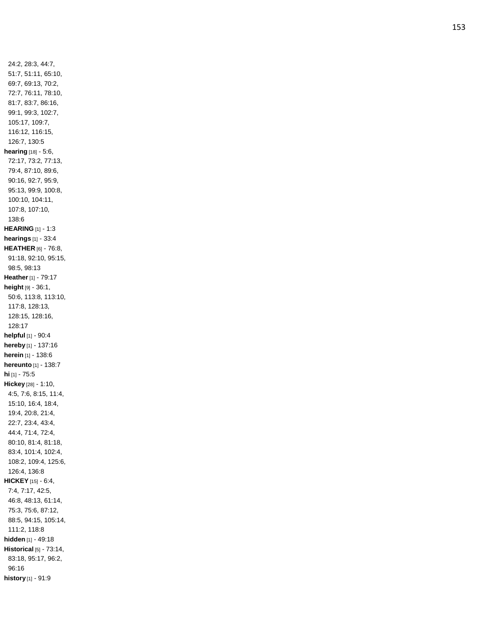24:2, 28:3, 44:7, 51:7, 51:11, 65:10, 69:7, 69:13, 70:2, 72:7, 76:11, 78:10, 81:7, 83:7, 86:16, 99:1, 99:3, 102:7, 105:17, 109:7, 116:12, 116:15, 126:7, 130:5 **hearing** [18] - 5:6, 72:17, 73:2, 77:13, 79:4, 87:10, 89:6, 90:16, 92:7, 95:9, 95:13, 99:9, 100:8, 100:10, 104:11, 107:8, 107:10, 138:6 **HEARING** [1] - 1:3 **hearings** [1] - 33:4 **HEATHER** [6] - 76:8, 91:18, 92:10, 95:15, 98:5, 98:13 **Heather** [1] - 79:17 **height** [9] - 36:1, 50:6, 113:8, 113:10, 117:8, 128:13, 128:15, 128:16, 128:17 **helpful** [1] - 90:4 **hereby** [1] - 137:16 **herein** [1] - 138:6 **hereunto** [1] - 138:7 **hi** [1] - 75:5 **Hickey** [28] - 1:10, 4:5, 7:6, 8:15, 11:4, 15:10, 16:4, 18:4, 19:4, 20:8, 21:4, 22:7, 23:4, 43:4, 44:4, 71:4, 72:4, 80:10, 81:4, 81:18, 83:4, 101:4, 102:4, 108:2, 109:4, 125:6, 126:4, 136:8 **HICKEY** [15] - 6:4, 7:4, 7:17, 42:5, 46:8, 48:13, 61:14, 75:3, 75:6, 87:12, 88:5, 94:15, 105:14, 111:2, 118:8 **hidden** [1] - 49:18 **Historical** [5] - 73:14, 83:18, 95:17, 96:2, 96:16 **history** [1] - 91:9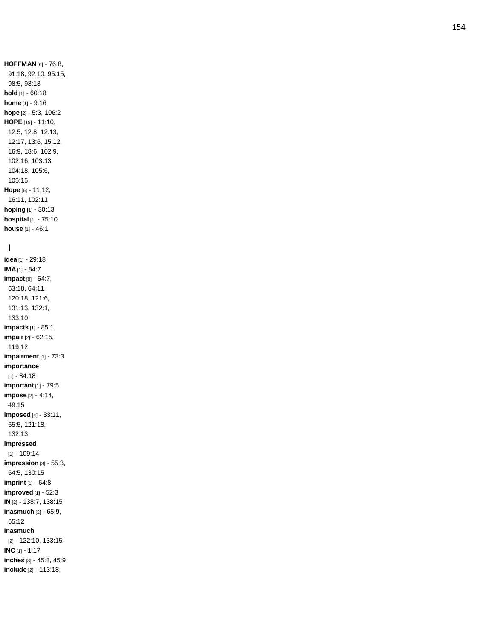**HOFFMAN** [6] - 76:8, 91:18, 92:10, 95:15, 98:5, 98:13 **hold** [1] - 60:18 **home** [1] - 9:16 **hope** [2] - 5:3, 106:2 **HOPE** [15] - 11:10, 12:5, 12:8, 12:13, 12:17, 13:6, 15:12, 16:9, 18:6, 102:9, 102:16, 103:13, 104:18, 105:6, 105:15 **Hope** [6] - 11:12, 16:11, 102:11 **hoping** [1] - 30:13 **hospital** [1] - 75:10 **house** [1] - 46:1

#### **I**

**idea** [1] - 29:18 **IMA** [1] - 84:7 **impact** [8] - 54:7, 63:18, 64:11, 120:18, 121:6, 131:13, 132:1, 133:10 **impacts** [1] - 85:1 **impair** [2] - 62:15, 119:12 **impairment** [1] - 73:3 **importance** [1] - 84:18 **important** [1] - 79:5 **impose** [2] - 4:14, 49:15 **imposed** [4] - 33:11, 65:5, 121:18, 132:13 **impressed** [1] - 109:14 **impression** [3] - 55:3, 64:5, 130:15 **imprint** [1] - 64:8 **improved** [1] - 52:3 **IN** [2] - 138:7, 138:15 **inasmuch** [2] - 65:9, 65:12 **Inasmuch** [2] - 122:10, 133:15 **INC** [1] - 1:17 **inches** [3] - 45:8, 45:9 **include** [2] - 113:18,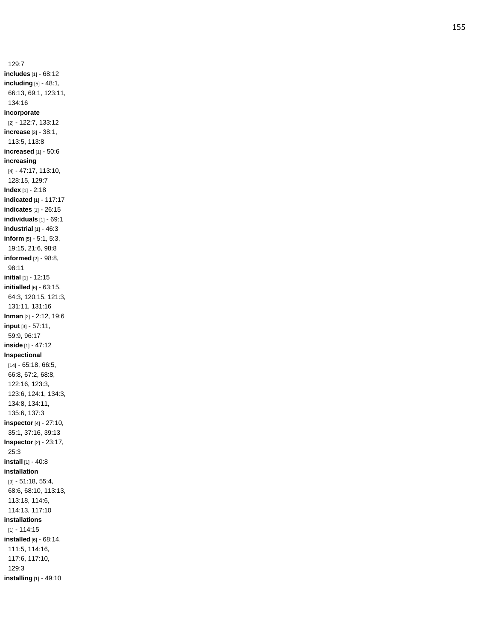129:7 **includes** [1] - 68:12 **including** [5] - 48:1, 66:13, 69:1, 123:11, 134:16 **incorporate** [2] - 122:7, 133:12 **increase** [3] - 38:1, 113:5, 113:8 **increased** [1] - 50:6 **increasing** [4] - 47:17, 113:10, 128:15, 129:7 **Index** [1] - 2:18 **indicated** [1] - 117:17 **indicates** [1] - 26:15 **individuals** [1] - 69:1 **industrial** [1] - 46:3 **inform** [5] - 5:1, 5:3, 19:15, 21:6, 98:8 **informed** [2] - 98:8, 98:11 **initial** [1] - 12:15 **initialled** [6] - 63:15, 64:3, 120:15, 121:3, 131:11, 131:16 **Inman** [2] - 2:12, 19:6 **input** [3] - 57:11, 59:9, 96:17 **inside** [1] - 47:12 **Inspectional** [14] - 65:18, 66:5, 66:8, 67:2, 68:8, 122:16, 123:3, 123:6, 124:1, 134:3, 134:8, 134:11, 135:6, 137:3 **inspector** [4] - 27:10, 35:1, 37:16, 39:13 **Inspector** [2] - 23:17, 25:3 **install** [1] - 40:8 **installation** [9] - 51:18, 55:4, 68:6, 68:10, 113:13, 113:18, 114:6, 114:13, 117:10 **installations** [1] - 114:15 **installed** [6] - 68:14, 111:5, 114:16, 117:6, 117:10, 129:3 **installing** [1] - 49:10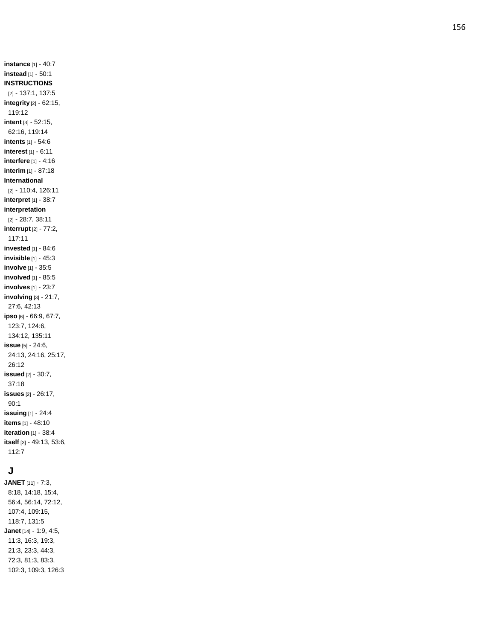**instance** [1] - 40:7 **instead** [1] - 50:1 **INSTRUCTIONS** [2] - 137:1, 137:5 **integrity** [2] - 62:15, 119:12 **intent** [3] - 52:15, 62:16, 119:14 **intents** [1] - 54:6 **interest** [1] - 6:11 **interfere** [1] - 4:16 **interim** [1] - 87:18 **International** [2] - 110:4, 126:11 **interpret** [1] - 38:7 **interpretation** [2] - 28:7, 38:11 **interrupt** [2] - 77:2, 117:11 **invested** [1] - 84:6 **invisible** [1] - 45:3 **involve** [1] - 35:5 **involved** [1] - 85:5 **involves** [1] - 23:7 **involving** [3] - 21:7, 27:6, 42:13 **ipso** [6] - 66:9, 67:7, 123:7, 124:6, 134:12, 135:11 **issue** [5] - 24:6, 24:13, 24:16, 25:17, 26:12 **issued** [2] - 30:7, 37:18 **issues** [2] - 26:17, 90:1 **issuing** [1] - 24:4 **items** [1] - 48:10 **iteration** [1] - 38:4 **itself** [3] - 49:13, 53:6, 112:7

## **J**

**JANET** [11] - 7:3, 8:18, 14:18, 15:4, 56:4, 56:14, 72:12, 107:4, 109:15, 118:7, 131:5 **Janet** [14] - 1:9, 4:5, 11:3, 16:3, 19:3, 21:3, 23:3, 44:3, 72:3, 81:3, 83:3, 102:3, 109:3, 126:3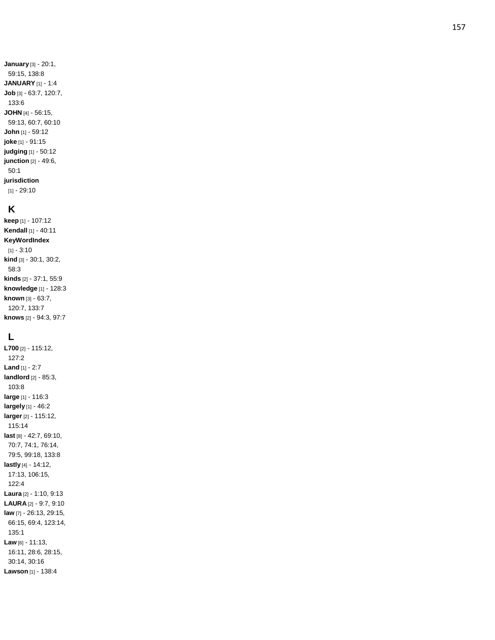## **K**

**keep** [1] - 107:12 **Kendall** [1] - 40:11 **KeyWordIndex** [1] - 3:10 **kind** [3] - 30:1, 30:2, 58:3 **kinds** [2] - 37:1, 55:9 **knowledge** [1] - 128:3 **known** [3] - 63:7, 120:7, 133:7 **knows** [2] - 94:3, 97:7

# **L**

**L700** [2] - 115:12, 127:2 **Land** [1] - 2:7 **landlord** [2] - 85:3, 103:8 **large** [1] - 116:3 **largely** [1] - 46: 2 **larger** [2] - 115:12, 115:14 **last** [8] - 42:7, 69:10, 70:7, 74:1, 76:14, 79:5, 99:18, 133:8 **lastly** [4] - 14:12, 17:13, 106:15, 122:4 **Laura** [2] - 1:10, 9:13 **LAURA** [2] - 9:7, 9:10 **law** [7] - 26:13, 29:15, 66:15, 69:4, 123:14, 135:1 **Law** [6] - 11:13, 16:11, 28:6, 28:15, 30:14, 30:16 **Lawson** [1] - 138:4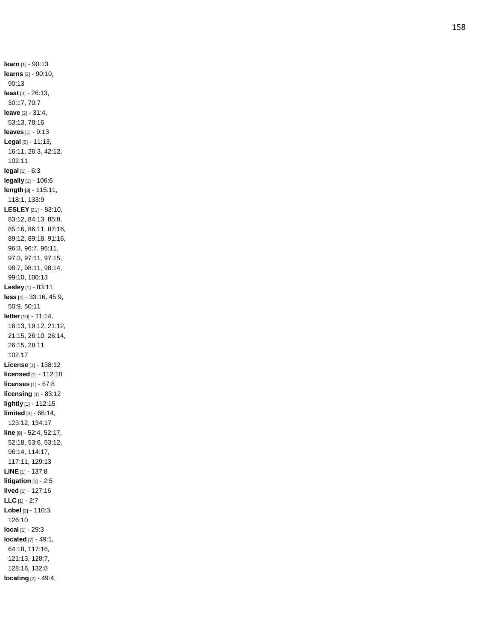**learn** [1] - 90:13 **learns** [2] - 90:10, 90:13 **least** [3] - 26:13, 30:17, 70:7 **leave** [3] - 31:4, 53:13, 78:16 **leaves** [1] - 9:13 **Legal** [5] - 11:13, 16:11, 26:3, 42:12, 102:11 **legal** [1] - 6:3 **legally** [1] - 106:6 **length** [3] - 115:11, 118:1, 133:9 **LESLEY** [21] - 83:10, 83:12, 84:13, 85:8, 85:16, 86:11, 87:16, 89:12, 89:18, 91:16, 96:3, 96:7, 96:11, 97:3, 97:11, 97:15, 98:7, 98:11, 98:14, 99:10, 100:13 **Lesley** [1] - 83:11 **less** [4] - 33:16, 45:9, 50:9, 50:1 1 **letter** [10] - 11:14, 16:13, 19:12, 21:12, 21:15, 26:10, 26:14, 26:15, 28:11, 102:17 **License** [1] - 138:12 **licensed** [1] - 112:18 **licenses** [1] - 67:8 **licensing** [1] - 83:12 **lightly** [1] - 112:15 **limited** [3] - 66:14, 123:12, 134:17 **line** [9] - 52:4, 52:17, 52:18, 53:6, 53:12, 96:14, 114:17, 117:11, 129:13 **LINE** [1] - 137:8 **litigation** [1] - 2:5 **lived** [1] - 127:16 **LLC** [1] - 2:7 **Lobel** [2] - 110:3, 126:10 **local** [1] - 29:3 **located** [7] - 49:1, 64:18, 117:16, 121:13, 128:7, 128:16, 132:8 **locating** [2] - 49:4,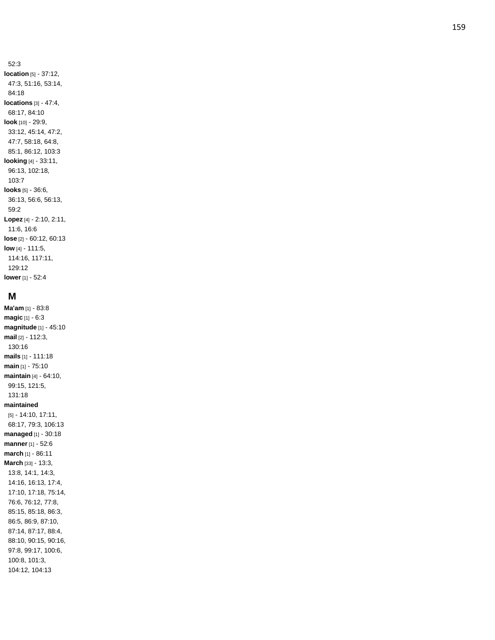52:3 **location** [5] - 37:12, 47:3, 51:16, 53:14, 84:18 **locations** [3] - 47:4, 68:17, 84:10 **look** [10] - 29:9, 33:12, 45:14, 47:2, 47:7, 58:18, 64:8, 85:1, 86:12, 103:3 **looking** [4] - 33:11, 96:13, 102:18, 103:7 **looks** [5] - 36:6, 36:13, 56:6, 56:13, 59:2 **Lopez** [4] - 2:10, 2:11, 11:6, 16:6 **lose** [2] - 60:12, 60:13 **low** [4] - 111:5, 114:16, 117:11, 129:12 **lower** [1] - 52:4

#### **M**

**Ma'am** [1] - 83:8 **magic** [1] - 6:3 **magnitude** [1] - 45:10 **mail** [2] - 112:3, 130:16 **mails** [1] - 111:18 **main** [1] - 75:10 **maintain** [4] - 64:10, 99:15, 121:5, 131:18 **maintained** [5] - 14:10, 17:11, 68:17, 79:3, 106:13 **managed** [1] - 30:18 **manner** [1] - 52:6 **march** [1] - 86:11 **March** [33] - 13:3, 13:8, 14:1, 14:3, 14:16, 16:13, 17:4, 17:10, 17:18, 75:14, 76:6, 76:12, 77:8, 85:15, 85:18, 86:3, 86:5, 86:9, 87:10, 87:14, 87:17, 88:4, 88:10, 90:15, 90:16, 97:8, 99:17, 100:6, 100:8, 101:3, 104:12, 104:13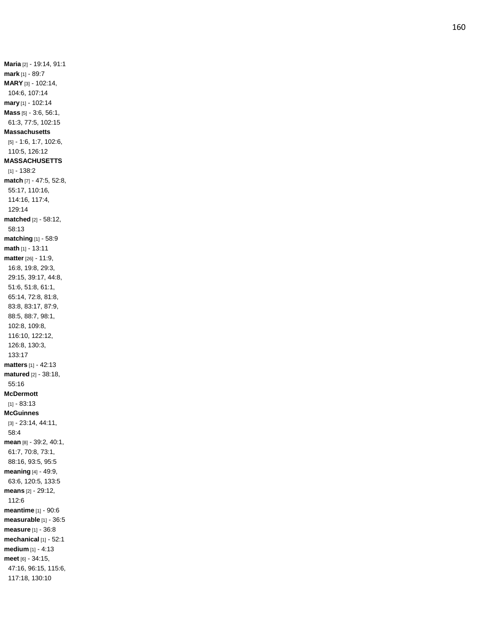**Maria** [2] - 19:14, 91:1 **mark** [1] - 89:7 **MARY** [3] - 102:14, 104:6, 107:14 **mary** [1] - 102:14 **Mass** [5] - 3:6, 56:1, 61:3, 77:5, 102:15 **Massachusetts** [5] - 1:6, 1:7, 102:6, 110:5, 126:12 **MASSACHUSETTS** [1] - 138:2 **match** [7] - 47:5, 52:8, 55:17, 110:16, 114:16, 117:4, 129:14 **matched** [2] - 58:12, 58:13 **matching** [1] - 58:9 **math** [1] - 13:11 **matter** [26] - 11:9, 16:8, 19:8, 29:3, 29:15, 39:17, 44:8, 51:6, 51:8, 61:1, 65:14, 72:8, 81:8, 83:8, 83:17, 87:9, 88:5, 88:7, 98:1, 102:8, 109:8, 116:10, 122:12, 126:8, 130:3, 133:17 **matters** [1] - 42:13 **matured** [2] - 38:18, 55:16 **McDermott** [1] - 83:13 **McGuinnes** [3] - 23:14, 44:11, 58:4 **mean** [8] - 39:2, 40:1, 61:7, 70:8, 73:1, 88:16, 93:5, 95:5 **meaning** [4] - 49:9, 63:6, 120:5, 133:5 **means** [2] - 29:12, 112:6 **meantime** [1] - 90:6 **measurable** [1] - 36:5 **measure** [1] - 36:8 **mechanical** [1] - 52:1 **medium** [1] - 4:13 **meet** [6] - 34:15, 47:16, 96:15, 115:6, 117:18, 130:10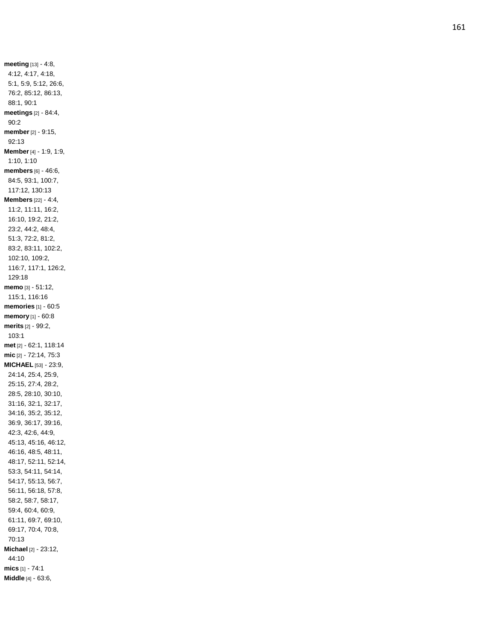**meeting** [13] - 4:8, 4:12, 4:17, 4:18, 5:1, 5:9, 5:12, 26:6, 76:2, 85:12, 86:13, 88:1, 90:1 **meetings** [2] - 84:4, 90:2 **member** [2] - 9:15, 92:13 **Member** [4] - 1:9, 1:9, 1:10, 1:10 **members** [6] - 46:6, 84:5, 93:1, 100:7, 117:12, 130:13 **Members** [22] - 4:4, 11:2, 11:11, 16:2, 16:10, 19:2, 21:2, 23:2, 44:2, 48:4, 51:3, 72:2, 81:2, 83:2, 83:11, 102:2, 102:10, 109:2, 116:7, 117:1, 126:2, 129:18 **memo** [3] - 51:12, 115:1, 116:16 **memories** [1] - 60:5 **memory** [1] - 60:8 **merits** [2] - 99:2, 103:1 **met** [2] - 62:1, 118:14 **mic** [2] - 72:14, 75:3 **MICHAEL** [53] - 23:9, 24:14, 25:4, 25:9, 25:15, 27:4, 28:2, 28:5, 28:10, 30:10, 31:16, 32:1, 32:17, 34:16, 35:2, 35:12, 36:9, 36:17, 39:16, 42:3, 42:6, 44:9, 45:13, 45:16, 46:12, 46:16, 48:5, 48:11, 48:17, 52:11, 52:14, 53:3, 54:11, 54:14, 54:17, 55:13, 56:7, 56:11, 56:18, 57:8, 58:2, 58:7, 58:17, 59:4, 60:4, 60:9, 61:11, 69:7, 69:10, 69:17, 70:4, 70:8, 70:13 **Michael** [2] - 23:12, 44:10 **mics** [1] - 74:1 **Middle** [4] - 63:6,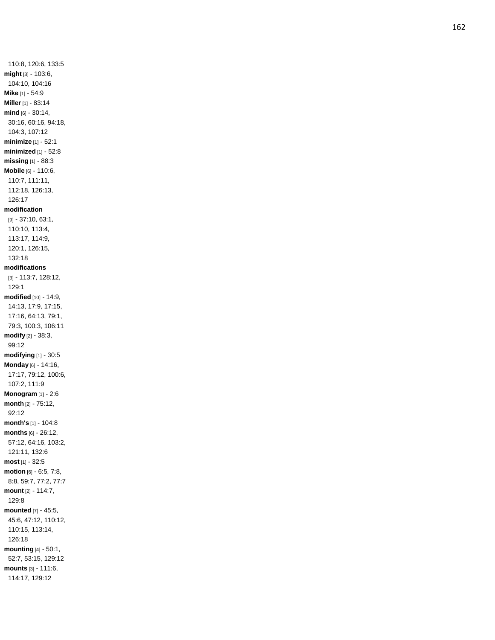110:8, 120:6, 133:5 **might** [3] - 103:6, 104:10, 104:16 **Mike** [1] - 54:9 **Miller** [1] - 83:14 **mind** [6] - 30:14, 30:16, 60:16, 94:18, 104:3, 107:12 **minimize** [1] - 52:1 **minimized** [1] - 52:8 **missing** [1] - 88:3 **Mobile** [6] - 110:6, 110:7, 111:11, 112:18, 126:13, 126:17 **modification** [9] - 37:10, 63:1, 110:10, 113:4, 113:17, 114:9, 120:1, 126:15, 132:18 **modifications** [3] - 113:7, 128:12, 129:1 **modified** [10] - 14:9, 14:13, 17:9, 17:15, 17:16, 64:13, 79:1, 79:3, 100:3, 106:11 **modify** [2] - 38:3, 99:12 **modifying** [1] - 30:5 **Monday** [6] - 14:16, 17:17, 79:12, 100:6, 107:2, 111:9 **Monogram** [1] - 2:6 **month** [2] - 75:12, 92:12 **month's** [1] - 104:8 **months** [6] - 26:12, 57:12, 64:16, 103:2, 121:11, 132:6 **most** [1] - 32:5 **motion** [6] - 6:5, 7:8, 8:8, 59:7, 77:2, 77:7 **mount** [2] - 114:7, 129:8 **mounted** [7] - 45:5, 45:6, 47:12, 110:12, 110:15, 113:14, 126:18 **mounting** [4] - 50:1, 52:7, 53:15, 129:12 **mounts** [3] - 111:6, 114:17, 129:12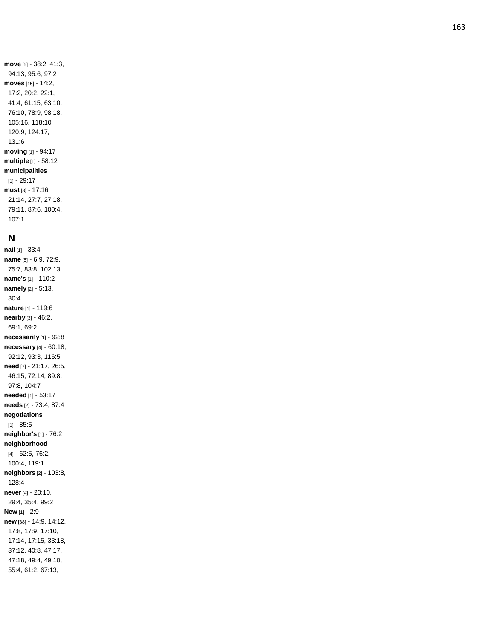**move** [5] - 38:2, 41:3, 94:13, 95:6, 97:2 **moves** [15] - 14:2, 17:2, 20:2, 22:1, 41:4, 61:15, 63:10, 76:10, 78:9, 98:18, 105:16, 118:10, 120:9, 124:17, 131:6 **moving** [1] - 94:17 **multiple** [1] - 58:12 **municipalities** [1] - 29:17 **must** [8] - 17:16, 21:14, 27:7, 27:18, 79:11, 87:6, 100:4, 107:1

#### **N**

**nail** [1] - 33:4 **name** [5] - 6:9, 72:9, 75:7, 83:8, 102:13 **name's** [1] - 110:2 **namely** [2] - 5:13, 30:4 **nature** [1] - 119:6 **nearby** [3] - 46:2, 69:1, 69:2 **necessarily** [1] - 92:8 **necessary** [4] - 60:18, 92:12, 93:3, 116:5 **need** [7] - 21:17, 26:5, 46:15, 72:14, 89:8, 97:8, 104:7 **needed** [1] - 53:17 **needs** [2] - 73:4, 87:4 **negotiations** [1] - 85:5 **neighbor's** [1] - 76:2 **neighborhood** [4] - 62:5, 76:2, 100:4, 119:1 **neighbors** [2] - 103:8, 128:4 **never** [4] - 20:10, 29:4, 35:4, 99:2 **New** [1] - 2:9 **new** [38] - 14:9, 14:12, 17:8, 17:9, 17:10, 17:14, 17:15, 33:18, 37:12, 40:8, 47:17, 47:18, 49:4, 49:10, 55:4, 61:2, 67:13,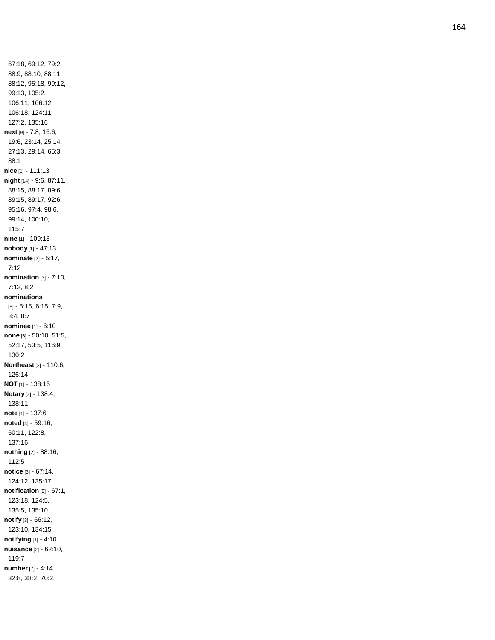67:18, 69:12, 79:2, 88:9, 88:10, 88:11, 88:12, 95:18, 99:12, 99:13, 105:2, 106:11, 106:12, 106:18, 124:11, 127:2, 135:16 **next** [9] - 7:8, 16:6, 19:6, 23:14, 25:14, 27:13, 29:14, 65:3, 88:1 **nice** [1] - 111:13 **night** [14] - 9:6, 87:11, 88:15, 88:17, 89:6, 89:15, 89:17, 92:6, 95:16, 97:4, 98:6, 99:14, 100:10, 115:7 **nine** [1] - 109:13 **nobody** [1] - 47:13 **nominate** [2] - 5:17, 7:12 **nomination** [3] - 7:10, 7:12, 8:2 **nominations** [5] - 5:15, 6:15, 7:9, 8:4, 8:7 **nominee** [1] - 6:10 **none** [6] - 50:10, 51:5, 52:17, 53:5, 116:9, 130:2 **Northeast** [2] - 110:6, 126:14 **NOT** [1] - 138:15 **Notary** [2] - 138:4, 138:11 **note** [1] - 137:6 **noted** [4] - 59:16, 60:11, 122:8, 137:16 **nothing** [2] - 88:16, 112:5 **notice** [3] - 67:14, 124:12, 135:17 **notification** [5] - 67:1, 123:18, 124:5, 135:5, 135:10 **notify** [3] - 66:12, 123:10, 134:15 **notifying** [1] - 4:10 **nuisance** [2] - 62:10, 119:7 **number** [7] - 4:14, 32:8, 38:2, 70:2,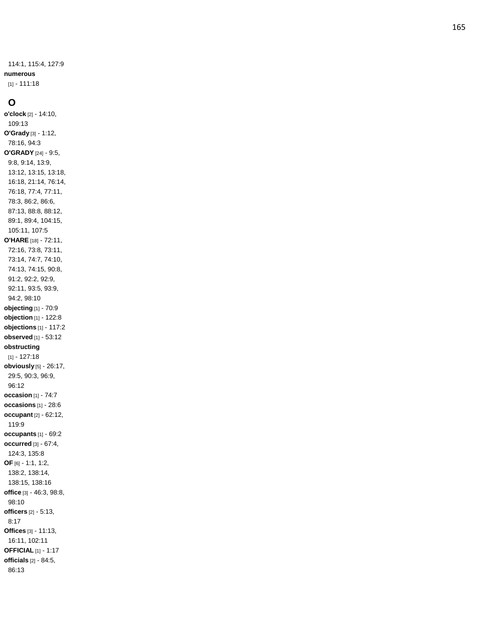114:1, 115:4, 127:9 **numerous** [1] - 111:18

#### **O**

**o'clock** [2] - 14:10, 109:13 **O'Grady** [3] - 1:12, 78:16, 94:3 **O'GRADY** [24] - 9:5, 9:8, 9:14, 13:9, 13:12, 13:15, 13:18, 16:18, 21:14, 76:14, 76:18, 77:4, 77:11, 78:3, 86:2, 86:6, 87:13, 88:8, 88:12, 89:1, 89:4, 104:15, 105:11, 107:5 **O'HARE** [18] - 72:11, 72:16, 73:8, 73:11, 73:14, 74:7, 74:10, 74:13, 74:15, 90:8, 91:2, 92:2, 92:9, 92:11, 93:5, 93:9, 94:2, 98:10 **objecting** [1] - 70:9 **objection** [1] - 122:8 **objections** [1] - 117:2 **observed** [1] - 53:12 **obstructing** [1] - 127:18 **obviously** [5] - 26:17, 29:5, 90:3, 96:9, 96:12 **occasion** [1] - 74:7 **occasions** [1] - 28:6 **occupant** [2] - 62:12, 119:9 **occupants** [1] - 69:2 **occurred** [3] - 67:4, 124:3, 135:8 **OF** [6] - 1:1, 1:2, 138:2, 138:14, 138:15, 138:16 **office** [3] - 46:3, 98:8, 98:10 **officers** [2] - 5:13, 8:17 **Offices** [3] - 11:13, 16:11, 102:11 **OFFICIAL** [1] - 1:17 **officials** [2] - 84:5, 86:13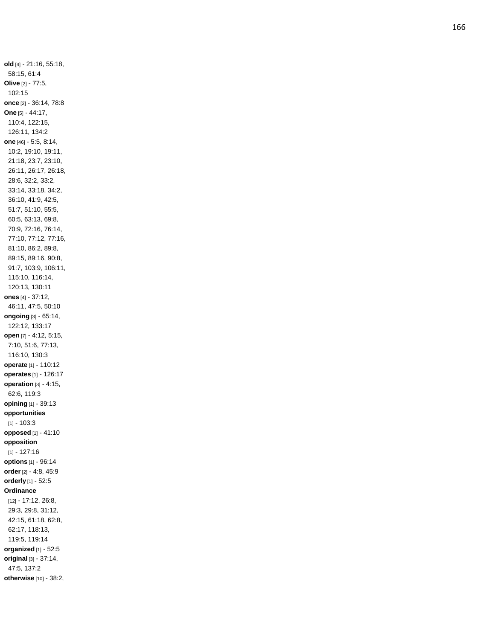**old** [4] - 21:16, 55:18, 58:15, 61:4 **Olive** [2] - 77:5, 102:15 **once** [2] - 36:14, 78:8 **One** [5] - 44:17, 110:4, 122:15, 126:11, 134:2 **one** [46] - 5:5, 8:14, 10:2, 19:10, 19:11, 21:18, 23:7, 23:10, 26:11, 26:17, 26:18, 28:6, 32:2, 33:2, 33:14, 33:18, 34:2, 36:10, 41:9, 42:5, 51:7, 51:10, 55:5, 60:5, 63:13, 69:8, 70:9, 72:16, 76:14, 77:10, 77:12, 77:16, 81:10, 86:2, 89:8, 89:15, 89:16, 90:8, 91:7, 103:9, 106:11, 115:10, 116:14, 120:13, 130:11 **ones** [4] - 37:12, 46:11, 47:5, 50:10 **ongoing** [3] - 65:14, 122:12, 133:17 **open** [7] - 4:12, 5:15, 7:10, 51:6, 77:13, 116:10, 130:3 **operate** [1] - 110:12 **operates** [1] - 126:17 **operation** [3] - 4:15, 62:6, 119:3 **opinin g** [1] - 39:13 **opportunities** [1] - 103:3 **opposed** [1] - 41:10 **opposition** [1] - 127:16 **options** [1] - 96:14 **order** [2] - 4:8, 45:9 **orderly** [1] - 52:5 **Ordinance** [12] - 17:12, 26:8, 29:3, 29:8, 31:12, 42:15, 61:18, 62:8, 62:17, 118:13, 119:5, 119:14 **organized** [1] - 52:5 **original** [3] - 37:14, 47:5, 137:2 **otherwise** [10] - 38:2,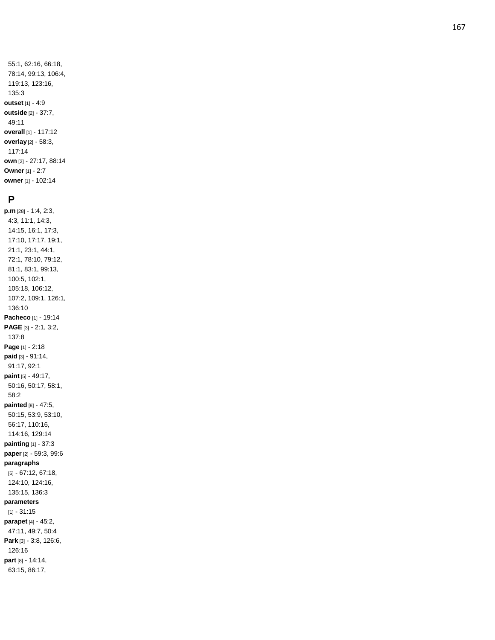55:1, 62:16, 66:18, 78:14, 99:13, 106:4, 119:13, 123:16, 135:3 **outset** [1] - 4:9 **outside** [2] - 37:7, 49:11 **overall** [1] - 117:12 **overlay** [2] - 58:3, 117:14 **own** [2] - 27:17, 88:14 **Owner** [1] - 2: 7 **owner** [1] - 102:14

#### **P**

**p.m** [28] - 1:4, 2:3, 4:3, 11:1, 14:3, 14:15, 16:1, 17:3, 17:10, 17:17, 19:1, 21:1, 23:1, 44:1, 72:1, 78:10, 79:12, 81:1, 83:1, 99:13, 100:5, 102:1, 105:18, 106:12, 107:2, 109:1, 126:1, 136:10 **Pacheco** [1] - 19:14 **PAGE** [3] - 2:1, 3:2, 137:8 **Page** [1] - 2:18 **paid** [3] - 91:14, 91:17, 92:1 **paint** [5] - 49:17, 50:16, 50:17, 58:1, 58:2 **painted** [8] - 47:5, 50:15, 53:9, 53:10, 56:17, 110:16, 114:16, 129:14 **painting** [1] - 37:3 **paper** [2] - 59:3, 99:6 **paragraphs** [6] - 67:12, 67:18, 124:10, 124:16, 135:15, 136:3 **parameters** [1] - 31:15 **parapet** [4] - 45:2, 47:11, 49:7, 50:4 **Park** [3] - 3:8, 126:6, 126:16 **part** [8] - 14:14, 63:15, 86:17,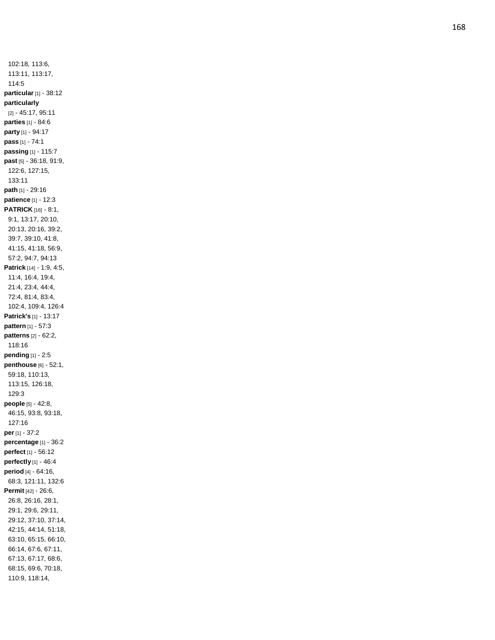102:18, 113:6, 113:11, 113:17, 114:5 **particular** [1] - 38:12 **particularly** [2] - 45:17, 95:11 **parties** [1] - 84:6 **party** [1] - 94:17 **pass** [1] - 74:1 **passing** [1] - 115:7 **past** [5] - 36:18, 91:9, 122:6, 127:15, 133:11 **path** [1] - 29:16 **patience** [1] - 12:3 **PATRICK** [16] - 8:1, 9:1, 13:17, 20:10, 20:13, 20:16, 39:2, 39:7, 39:10, 41:8, 41:15, 41:18, 56:9, 57:2, 94:7, 94:13 **Patrick** [14] - 1:9, 4:5, 11:4, 16:4, 19:4, 21:4, 23:4, 44:4, 72:4, 81:4, 83:4, 102:4, 109:4, 126:4 **Patrick's** [1] - 13:17 **pattern** [1] - 57:3 **patterns** [2] - 62:2, 118:16 **pending** [1] - 2:5 **penthouse** [6] - 52:1, 59:18, 110:13, 113:15, 126:18, 129:3 **people** [5] - 42:8, 46:15, 93:8, 93:18, 127:16 **per** [1] - 37:2 **percentage** [1] - 36:2 **perfect** [1] - 56:12 **perfectly** [1] - 46:4 **period** [4] - 64:16, 68:3, 121:11, 132:6 **Permit** [42] - 26:6, 26:8, 26:16, 28:1, 29:1, 29:6, 29:11, 29:12, 37:10, 37:14, 42:15, 44:14, 51:18, 63:10, 65:15, 66:10, 66:14, 67:6, 67:11, 67:13, 67:17, 68:6, 68:15, 69:6, 70:18, 110:9, 118:14,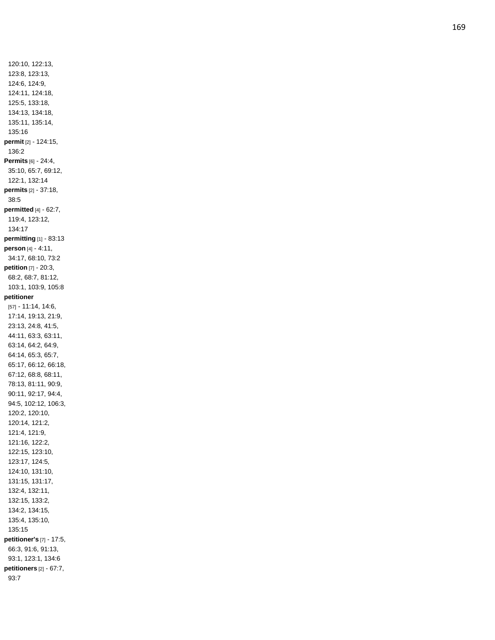120:10, 122:13, 123:8, 123:13, 124:6, 124:9, 124:11, 124:18, 125:5, 133:18, 134:13, 134:18, 135:11, 135:14, 135:16 **permit** [2] - 124:15, 136:2 **Permits** [6] - 24:4, 35:10, 65:7, 69:12, 122:1, 132:14 **permits** [2] - 37:18, 38:5 **permitted** [4] - 62:7, 119:4, 123:12, 134:17 **permitting** [1] - 83:13 **person** [4] - 4:11, 34:17, 68:10, 73:2 **petition** [7] - 20:3, 68:2, 68:7, 81:12, 103:1, 103:9, 105:8 **petitioner** [57] - 11:14, 14:6, 17:14, 19:13, 21:9, 23:13, 24:8, 41:5, 44:11, 63:3, 63:11, 63:14, 64:2, 64:9, 64:14, 65:3, 65:7, 65:17, 66:12, 66:18, 67:12, 68:8, 68:11, 78:13, 81:11, 90:9, 90:11, 92:17, 94:4, 94:5, 102:12, 106:3, 120:2, 120:10, 120:14, 121:2, 121:4, 121:9, 121:16, 122:2, 122:15, 123:10, 123:17, 124:5, 124:10, 131:10, 131:15, 131:17, 132:4, 132:11, 132:15, 133:2, 134:2, 134:15, 135:4, 135:10, 135:15 **petitioner's** [7] - 17:5, 66:3, 91:6, 91:13, 93:1, 123:1, 134:6 **petitioners** [2] - 67:7, 93:7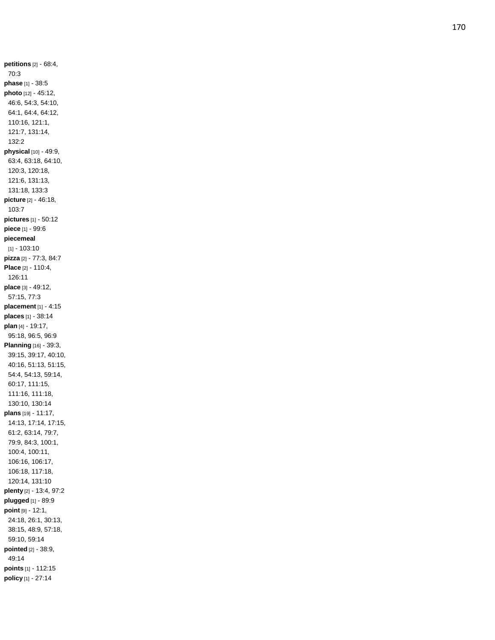**petitions** [2] - 68:4, 70:3 **phase** [1] - 38:5 **photo** [12] - 45:12, 46:6, 54:3, 54:10, 64:1, 64:4, 64:12, 110:16, 121:1, 121:7, 131:14, 132:2 **physical** [10] - 49:9, 63:4, 63:18, 64:10, 120:3, 120:18, 121:6, 131:13, 131:18, 133:3 **picture** [2 ] - 46:18, 103:7 **pictures** [1] - 50:12 **piece** [1] - 99:6 **piecemeal** [1] - 103:10 **pizza** [2] - 77:3, 84:7 **Place** [2] - 110:4, 126:11 **place** [3] - 49:12, 57:15, 77:3 **placement** [1] - 4:15 **places** [1] - 38:14 **plan** [4] - 19:17, 95:18, 96:5, 96:9 **Planning** [16] - 39:3, 39:15, 39:17, 40:10, 40:16, 51:13, 51:15, 54:4, 54:13, 59:14, 60:17, 111:15, 111:16, 111:18, 130:10, 130:14 **plans** [19] - 11:17, 14:13, 17:14, 17:15, 61:2, 63:14, 79:7, 79:9, 84:3, 100:1, 100:4, 100:11, 106:16, 106:17, 106:18, 117:18, 120:14, 131:10 **plenty** [2] - 13:4, 97:2 **plugged** [1] - 89:9 **point** [9] - 12:1, 24:18, 26:1, 30:13, 38:15, 48:9, 57:18, 59:10, 59:14 **pointed** [2] - 38:9, 49:14 **points** [1] - 112:15 **policy** [1] - 27:14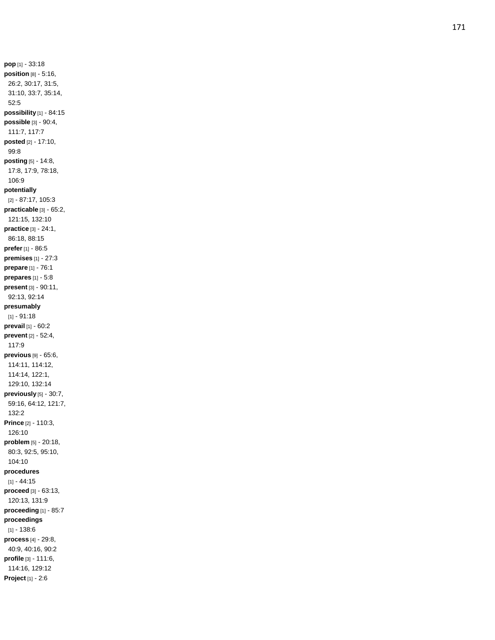**pop** [1] - 33:18 **position** [8] - 5:16, 26:2, 30:17, 31:5, 31:10, 33:7, 35:14, 52:5 **possibility** [1] - 84:15 **possible** [3] - 90:4, 111:7, 117:7 **posted** [2] - 17:10, 99:8 **posting** [5] - 14:8, 17:8, 17:9, 78:18, 106:9 **potentially** [2] - 87:17, 105:3 **practicable** [3] - 65:2, 121:15, 132:10 **practice** [3] - 24:1, 86:18, 88:15 **prefer** [1] - 86:5 **premises** [1] - 27:3 **prepare** [1] - 76:1 **prepares** [1] - 5:8 **present** [3] - 90:11, 92:13, 92:14 **presumably** [1] - 91:18 **prevail** [1] - 60:2 **prevent** [2] - 52:4, 117:9 **previous** [9] - 65:6, 114:11, 114:12, 114:14, 122:1, 129:10, 132:14 **previously** [5] - 30:7, 59:16, 64:12, 121:7, 132:2 **Prince** [2] - 110:3, 126:10 **problem** [5] - 20:18, 80:3, 92:5, 95:10, 104:10 **procedures** [1] - 44:15 **proceed** [3] - 63:13, 120:13, 131:9 **proceeding** [1] - 85:7 **proceedings** [1] - 138:6 **process** [4] - 29:8, 40:9, 40:16, 90:2 **profil e** [3] - 111:6, 114:16, 129:12 **Project** [1] - 2:6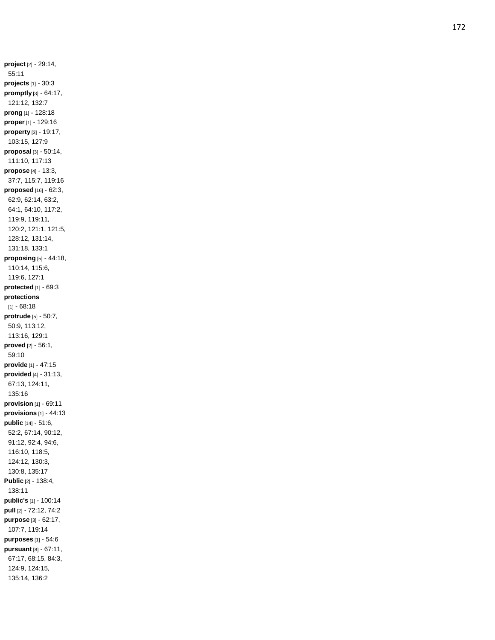**project** [2] - 29:14, 55:11 **projects** [1] - 30:3 **promptly** [3] - 64:17, 121:12, 132:7 **prong** [1] - 128:18 **proper** [1] - 129:16 **property** [3] - 19:17, 103:15, 127:9 **proposal** [3] - 50:14, 111:10, 117:13 **propose** [4] - 13:3, 37:7, 115:7, 119:16 **proposed** [16] - 62:3, 62:9, 62:14, 63:2, 64:1, 64:10, 117:2, 119:9, 119:11, 120:2, 121:1, 121:5, 128:12, 131:14, 131:18, 133:1 **proposing** [5] - 44:18, 110:14, 115:6, 119:6, 127:1 **protected** [1] - 69:3 **protections** [1] - 68:18 **protrude** [5] - 50:7, 50:9, 113:12, 113:16, 129:1 **proved** [2] - 56:1, 59:10 **provide** [1] - 47:15 **provided** [4] - 31:13, 67:13, 124:11, 135:16 **provision** [1] - 69:11 **provisions** [1] - 44:13 **public** [14] - 51:6, 52:2, 67:14, 90:12, 91:12, 92:4, 94:6, 116:10, 118:5, 124:12, 130:3, 130:8, 135:17 **Public** [2] - 138:4, 138:11 **public's** [1] - 100:14 **pull** [2] - 72:12, 74:2 **purpose** [3] - 62:17, 107:7, 119:14 **purposes** [1] - 54:6 **pursuant** [8] - 67:11, 67:17, 68:15, 84:3, 124:9, 124:15, 135:14, 136:2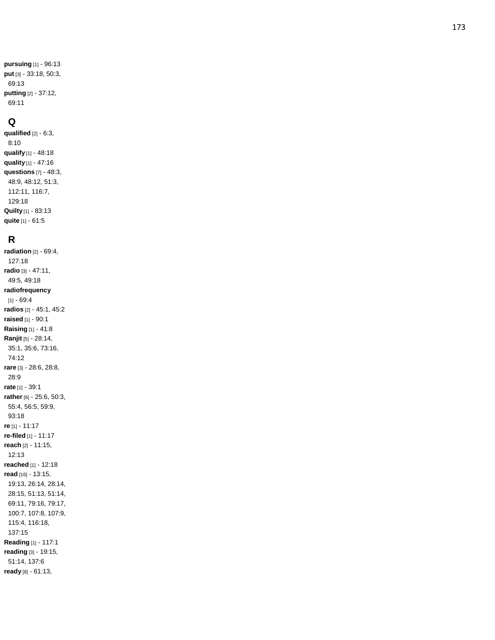```
pursuing [1]
- 96:13
put [3]
- 33:18, 50:3, 
69:13
putting [2]
- 37:12, 
69:11
```
#### **Q**

**qualified** [2] - 6:3, 8:10 **qualify** [1] - 48:18 **quality** [1] - 47:16 **questions** [7] - 48:3, 48:9, 48:12, 51:3, 112:11, 116:7, 129:18 **Quilty** [1] - 83:13 **quite** [1] - 61:5

## **R**

**radiation** [2] - 69:4, 127:18 **radio** [3] - 47:11, 49:5, 49:18 **radiofrequency** [1] - 69:4 **radios** [2] - 45:1, 45:2 **raised** [1] - 90:1 **Raising** [1] - 41:8 **Ranjit** [5] - 28:14, 35:1, 35:6, 73:16, 74:12 **rare** [3] - 28:6, 28:8, 28:9 **rate** [1] - 39:1 **rather** [6] - 25:6, 50:3, 55:4, 56:5, 59:9, 93:18 **re** [1 ] - 11:17 **re -filed** [1] - 11:17 **reach** [2] - 11:15, 12:13 **reached** [1] - 12:18 **read** [16] - 13:15, 19:13, 26:14, 28:14, 28:15, 51:13, 51:14, 69:11, 79:16, 79:17, 100:7, 107:8, 107:9, 115:4, 116:18, 137:15 **Reading** [1] - 117:1 **reading** [3] - 19:15, 51:14, 137:6 **ready** [8] - 61:13,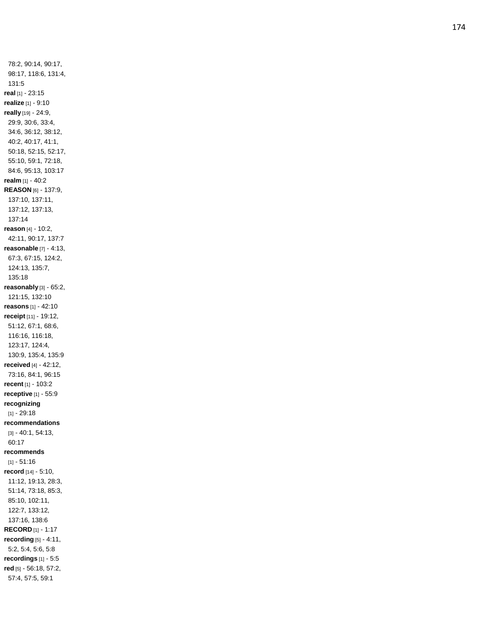78:2, 90:14, 90:17, 98:17, 118:6, 131:4, 131:5 **real** [1] - 23:15 **realize** [1] - 9:10 **really** [19] - 24:9, 29:9, 30:6, 33:4, 34:6, 36:12, 38:12, 40:2, 40:17, 41:1, 50:18, 52:15, 52:17, 55:10, 59:1, 72:18, 84:6, 95:13, 103:17 **realm** [1] - 40:2 **REASON** [6] - 137:9, 137:10, 137:11, 137:12, 137:13, 137:14 **reason** [4] - 10:2, 42:11, 90:17, 137:7 **reasonable** [7] - 4:13, 67:3, 67:15, 124:2, 124:13, 135:7, 135:18 **reasonably** [3] - 65:2, 121:15, 132:10 **reasons** [1] - 42:10 **receipt** [11] - 19:12, 51:12, 67:1, 68:6, 116:16, 116:18, 123:17, 124:4, 130:9, 135:4, 135:9 **received** [4] - 42:12, 73:16, 84:1, 96:15 **recent** [1] - 103:2 **receptive** [1] - 55:9 **recognizing** [1] - 29:18 **recommendations** [3] - 40:1, 54:13, 60:17 **recommends** [1] - 51:16 **record** [14] - 5:10, 11:12, 19:13, 28:3, 51:14, 73:18, 85:3, 85:10, 102:11, 122:7, 133:12, 137:16, 138:6 **RECORD** [1] - 1:17 **recording** [5] - 4:11, 5:2, 5:4, 5:6, 5:8 **recordings** [1] - 5:5 **red** [5] - 56:18, 57:2, 57:4, 57:5, 59:1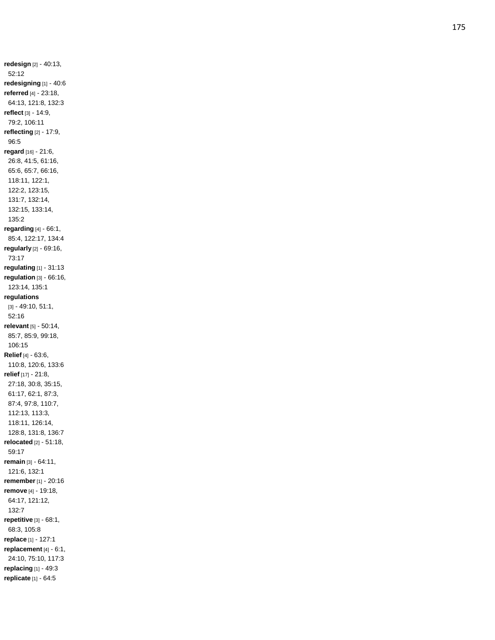**redesign** [2] - 40:13, 52:12 **redesigning** [1] - 40:6 **referred** [4] - 23:18, 64:13, 121:8, 132:3 **reflect** [3] - 14:9, 79:2, 106:11 **reflecting** [2] - 17:9, 96:5 **regard** [16] - 21:6, 26:8, 41:5, 61:16, 65:6, 65:7, 66:16, 118:11, 122:1, 122:2, 123:15, 131:7, 132:14, 132:15, 133:14, 135:2 **regarding** [4] - 66:1, 85:4, 122:17, 134:4 **regularly** [2] - 69:16, 73:17 **regulating** [1] - 31:13 **regulation** [3] - 66:16, 123:14, 135:1 **regulations** [3] - 49:10, 51:1, 52:16 **relevant** [5] - 50:14, 85:7, 85:9, 99:18, 106:15 **Relief** [4] - 63:6, 110:8, 120:6, 133:6 **relief** [17] - 21:8, 27:18, 30:8, 35:15, 61:17, 62:1, 87:3, 87:4, 97:8, 110:7, 112:13, 113:3, 118:11, 126:14, 128:8, 131:8, 136:7 **relocated** [2] - 51:18, 59:17 **remain** [3] - 64:11, 121:6, 132:1 **remember** [1] - 20:16 **remove** [4] - 19:18, 64:17, 121:12, 132:7 **repetitive** [3] - 68:1, 68:3, 105:8 **replace** [1] - 127:1 **replacement** [4] - 6:1, 24:10, 75:10, 117:3 **replacing** [1] - 49:3 **replicate** [1] - 64:5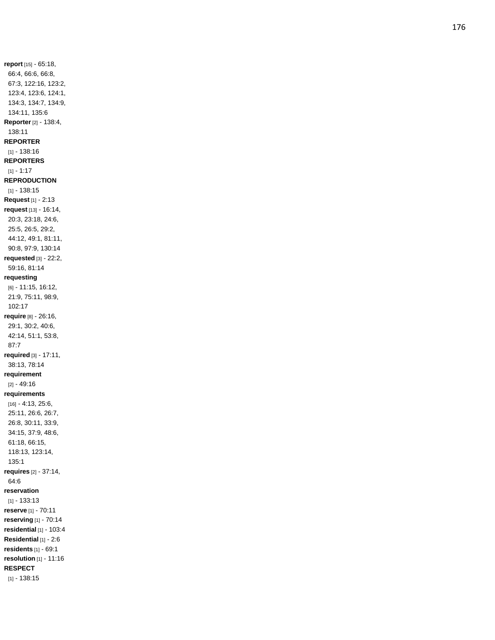**report** [15] - 65:18, 66:4, 66:6, 66:8, 67:3, 122:16, 123:2, 123:4, 123:6, 124:1, 134:3, 134:7, 134:9, 134:11, 135:6 **Reporter** [2] - 138:4, 138:11 **REPORTER** [1] - 138:16 **REPORTERS** [1] - 1:17 **REPRODUCTION** [1] - 138:15 **Request** [1] - 2:13 **request** [13] - 16:14, 20:3, 23:18, 24:6, 25:5, 26:5, 29:2, 44:12, 49:1, 81:11, 90:8, 97:9, 130:14 **requested** [3] - 22:2, 59:16, 81:14 **requesting** [6] - 11:15, 16:12, 21:9, 75:11, 98:9, 102:17 **require** [8] - 26:16, 29:1, 30:2, 40:6, 42:14, 51:1, 53:8, 87:7 **required** [3] - 17:11, 38:13, 78:14 **requirement** [2] - 49:16 **requirements** [16] - 4:13, 25:6, 25:11, 26:6, 26:7, 26:8, 30:11, 33:9, 34:15, 37:9, 48:6, 61:18, 66:15, 118:13, 123:14, 135:1 **requires** [2] - 37:14, 64:6 **reservation** [1] - 133:13 **reserve** [1] - 70:11 **reserving** [1] - 70:14 **residential** [1] - 103:4 **Residential** [1] - 2:6 **residents** [1] - 69:1 **resolution** [1] - 11:16 **RESPECT** [1] - 138:15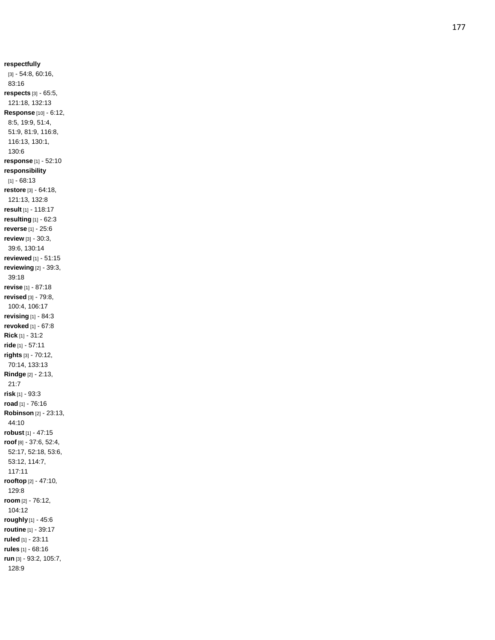**respectfully** [3] - 54:8, 60:16, 83:16 **respects** [3] - 65:5, 121:18, 132:13 **Response** [10] - 6:12, 8:5, 19:9, 51:4, 51:9, 81:9, 116:8, 116:13, 130:1, 130:6 **response** [1] - 52:10 **responsibility** [1] - 68:13 **restore** [3] - 64:18, 121:13, 132:8 **result** [1] - 118:17 **resulting** [1] - 62:3 **reverse** [1] - 25:6 **review** [3] - 30:3, 39:6, 130:14 **reviewed** [1] - 51:15 **reviewing** [2] - 39:3, 39:18 **revise** [1] - 87:18 **revised** [3] - 79:8, 100:4, 106:17 **revising** [1] - 84:3 **revoked** [1] - 67:8 **Rick** [1] - 31:2 **ride** [1] - 57:11 **rights** [3] - 70:12, 70:14, 133:13 **Rindge** [2] - 2:13, 21:7 **risk** [1] - 93:3 **road** [1] - 76:16 **Robinson** [2] - 23:13, 44:10 **robust** [1] - 47:15 **roof** [8] - 37:6, 52:4, 52:17, 52:18, 53:6, 53:12, 114:7, 117:11 **rooftop** [2] - 47:10, 129:8 **room** [2] - 76:12, 104:12 **roughly** [1] - 45:6 **routine** [1] - 39:17 **ruled** [1] - 23:11 **rules** [1] - 68:16 **run** [3] - 93:2, 105:7, 128:9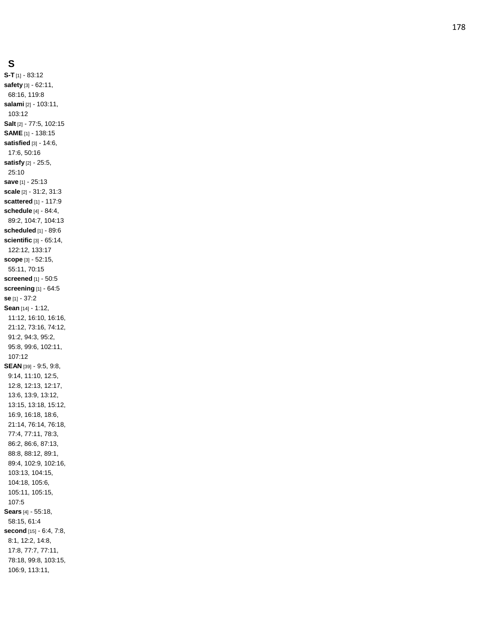## **S**

**S - T** [1] - 83:12 **safety** [3] - 62:11, 68:16, 119:8 **salami** [2] - 103:11, 103:12 **Salt** [2] - 77:5, 102:15 **SAME** [1] - 138:15 **satisfied** [3] - 14:6, 17:6, 50:16 **satisfy** [2] - 25:5, 25:10 **save** [1] - 25:13 **scale** [2] - 31:2, 31:3 **scattered** [1] - 117:9 **schedule** [4] - 84:4, 89:2, 104:7, 104:13 **scheduled** [1] - 89:6 **scientific** [3] - 65:14, 122:12, 133:17 **scope** [3] - 52:15, 55:11, 70:15 **screened** [1] - 50:5 **screening** [1] - 64:5 **se** [1] - 37:2 **Sean** [14] - 1:12, 11:12, 16:10, 16:16, 21:12, 73:16, 74:12, 91:2, 94:3, 95:2, 95:8, 99:6, 102:11, 107:12 **SEAN** [39] - 9:5, 9:8, 9:14, 11:10, 12:5, 12:8, 12:13, 12:17, 13:6, 13:9, 13:12, 13:15, 13:18, 15:12, 16:9, 16:18, 18:6, 21:14, 76:14, 76:18, 77:4, 77:11, 78:3, 86:2, 86:6, 87:13, 88:8, 88:12, 89:1, 89:4, 102:9, 102:16, 103:13, 104:15, 104:18, 105:6, 105:11, 105:15, 107:5 **Sears** [4] - 55:18, 58:15, 61:4 **second** [15] - 6:4, 7:8, 8:1, 12:2, 14:8, 17:8, 77:7, 77:11, 78:18, 99:8, 103:15, 106:9, 113:11,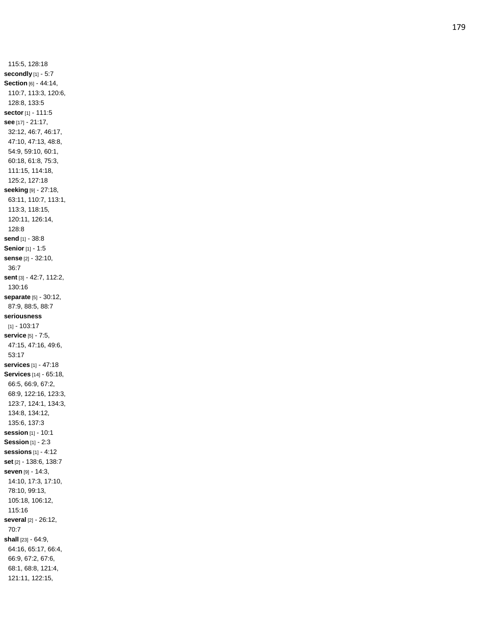115:5, 128:18 **secondly** [1] - 5:7 **Section** [6] - 44:14, 110:7, 113:3, 120:6, 128:8, 133:5 **sector** [1] - 111:5 **see** [17] - 21:17, 32:12, 46:7, 46:17, 47:10, 47:13, 48:8, 54:9, 59:10, 60:1, 60:18, 61:8, 75:3, 111:15, 114:18, 125:2, 127:18 **seeking** [9] - 27:18, 63:11, 110:7, 113:1, 113:3, 118:15, 120:11, 126:14, 128:8 **send** [1] - 38:8 **Senior** [1] - 1:5 **sense** [2] - 32:10, 36:7 **sent** [3] - 42:7, 112:2, 130:16 **separate** [5] - 30:12, 87:9, 88:5, 88:7 **seriousness** [1] - 103:17 **service** [5] - 7:5, 47:15, 47:16, 49:6, 53:17 **services** [1 ] - 47:18 **Services** [14] - 65:18, 66:5, 66:9, 67:2, 68:9, 122:16, 123:3, 123:7, 124:1, 134:3, 134:8, 134:12, 135:6, 137:3 **session** [1] - 10:1 **Session** [1] - 2:3 **sessions** [1] - 4:12 **set** [2] - 138:6, 138:7 **seven** [9] - 14:3, 14:10, 17:3, 17:10, 78:10, 99:13, 105:18, 106:12, 115:16 **several** [2] - 26:12, 70:7 **shall** [23] - 64:9, 64:16, 65:17, 66:4, 66:9, 67:2, 67:6, 68:1, 68:8, 121:4, 121:11, 122:15,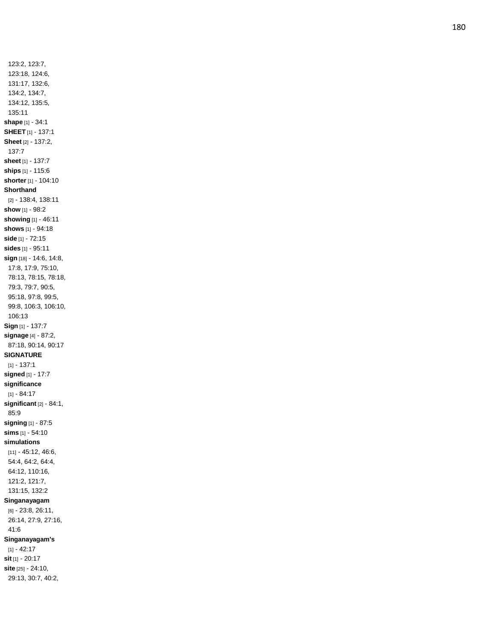123:2, 123:7, 123:18, 124:6, 131:17, 132:6, 134:2, 134:7, 134:12, 135:5, 135:11 **shape** [1] - 34:1 **SHEET** [1] - 137:1 **Sheet** [2] - 137:2, 137:7 **sheet** [1] - 137:7 **ships** [1] - 115:6 **shorter** [1] - 104:10 **Shorthand** [2] - 138:4, 138:11 **show** [1] - 98:2 **showing** [1] - 46:11 **shows** [1] - 94:18 **side** [1] - 72:15 **sides** [1] - 95:11 **sign** [18] - 14:6, 14:8, 17:8, 17:9, 75:10, 78:13, 78:15, 78:18, 79:3, 79:7, 90:5, 95:18, 97:8, 99:5, 99:8, 106:3, 106:10, 106:13 **Sign** [1] - 137:7 **signage** [4] - 87:2, 87:18, 90:14, 90:17 **SIGNATURE** [1] - 137:1 **signed** [1] - 17:7 **significance** [1] - 84:17 **significant** [2] - 84:1, 85:9 **signing** [1] - 87:5 **sims** [1] - 54:10 **simulations** [11] - 45:12, 46:6, 54:4, 64:2, 64:4, 64:12, 110:16, 121:2, 121:7, 131:15, 132:2 **Singanayagam** [6] - 23:8, 26:11, 26:14, 27:9, 27:16, 41:6 **Singanayagam's** [1] - 42:17 **sit** [1] - 20:17 **site** [25] - 24:10,

29:13, 30:7, 40:2,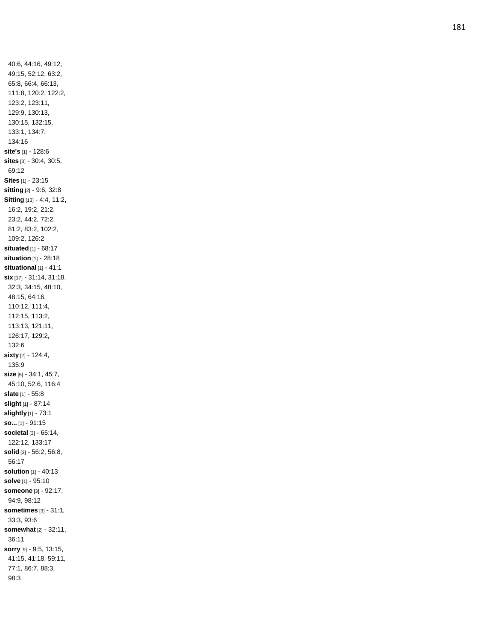40:6, 44:16, 49:12, 49:15, 52:12, 63:2, 65:8, 66:4, 66:13, 111:8, 120:2, 122:2, 123:2, 123:11, 129:9, 130:13, 130:15, 132:15, 133:1, 134:7, 134:16 **site's** [1] - 128:6 **sites** [3] - 30:4, 30:5, 69:12 **Sites** [1] - 23:15 **sitting** [2] - 9:6, 32:8 **Sitting** [13] - 4:4, 11:2, 16:2, 19:2, 21:2, 23:2, 44:2, 72:2, 81:2, 83:2, 102:2, 109:2, 126:2 **situated** [1] - 68:17 **situation** [1] - 28:18 **situational** [1] - 41:1 **six** [17] - 31:14, 31:18, 32:3, 34:15, 48:10, 48:15, 64:16, 110:12, 111:4, 112:15, 113:2, 113:13, 121:11, 126:17, 129:2, 132:6 **sixty** [2] - 124:4, 135:9 **size** [5] - 34:1, 45:7, 45:10, 52:6, 116:4 **slate** [1] - 55:8 **slight** [1] - 87:14 **slightly** [1] - 73:1 **so...** [1] - 91:15 **societal** [3] - 65:14, 122:12, 133:17 **solid** [3] - 56:2, 56:8, 56:17 **solutio n** [1] - 40:13 **solve** [1] - 95:10 **someone** [3] - 92:17, 94:9, 98:12 **sometimes** [3] - 31:1, 33:3, 93:6 **somewhat** [2] - 32:11, 36:11 **sorry** [9] - 9:5, 13:15, 41:15, 41:18, 59:11, 77:1, 86:7, 88:3, 98:3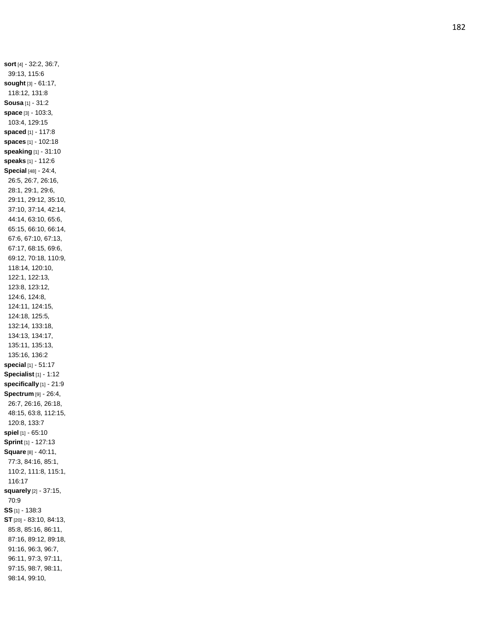**sort** [4] - 32:2, 36:7, 39:13, 115:6 **sought** [3] - 61:17, 118:12, 131:8 **Sousa** [1] - 31:2 **space** [3] - 103:3, 103:4, 129:15 **spaced** [1] - 117:8 **spaces** [1] - 102:18 **speaking** [1] - 31:10 **speaks** [1] - 112:6 **Special** [48] - 24:4, 26:5, 26:7, 26:16, 28:1, 29:1, 29:6, 29:11, 29:12, 35:10, 37:10, 37:14, 42:14, 44:14, 63:10, 65:6, 65:15, 66:10, 66:14, 67:6, 67:10, 67:13, 67:17, 68:15, 69:6, 69:12, 70:18, 110:9, 118:14, 120:10, 122:1, 122:13, 123:8, 123:12, 124:6, 124:8, 124:11, 124:15, 124:18, 125:5, 132:14, 133:18, 134:13, 134:17, 135:11, 135:13, 135:16, 136:2 **special** [1] - 51:17 **Specialist** [1] - 1:12 **specifically** [1] - 21:9 **Spectrum** [9] - 26:4, 26:7, 26:16, 26:18, 48:15, 63:8, 112:15, 120:8, 133:7 **spiel** [1] - 65:10 **Sprint** [1] - 127:13 **Square** [8] - 40:11, 77:3, 84:16, 85:1, 110:2, 111:8, 115:1, 116:17 **squarely** [2] - 37:15, 70:9 **SS** [1] - 138:3 **ST** [20] - 83:10, 84:13, 85:8, 85:16, 86:11, 87:16, 89:12, 89:18, 91:16, 96:3, 96:7, 96:11, 97:3, 97:11, 97:15, 98:7, 98:11, 98:14, 99:10,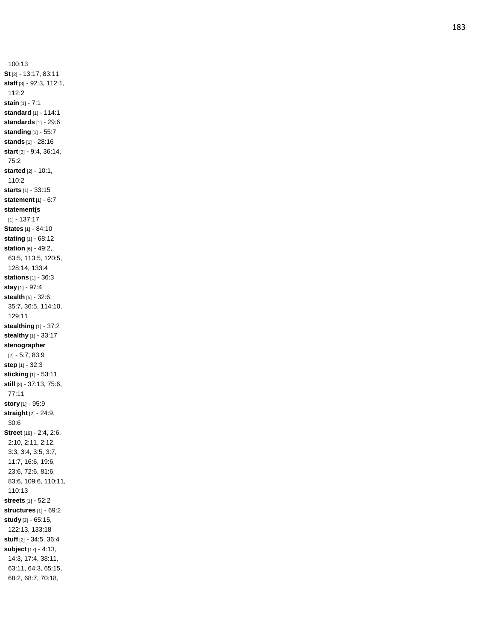100:13 **St** [2] - 13:17, 83:11 **staff** [3] - 92:3, 112:1, 112:2 **stain** [1] - 7:1 **standard** [1] - 114:1 **standards** [1] - 29:6 **standing** [1] - 55:7 **stands** [1] - 28:16 **start** [3] - 9:4, 36:14, 75:2 **started** [2] - 10:1, 110:2 **starts** [1] - 33:15 **statement** [1] - 6:7 **statement(s** [1] - 137:17 **States** [1] - 84:10 **stating** [1] - 68:12 **station** [6] - 49:2, 63:5, 113:5, 120:5, 128:14, 133:4 **stations** [1] - 36:3 **stay** [1] - 97:4 **stealth** [5] - 32:6, 35:7, 36:5, 114:10, 129:11 **stealthing** [1] - 37:2 **stealthy** [1] - 33:17 **stenographer** [2] - 5:7, 83:9 **step** [1] - 32:3 **sticking** [1] - 53:11 **still** [3] - 37:13, 75:6, 77:11 **story** [1] - 95:9 **straight** [2] - 24:9, 30:6 **Street** [19] - 2:4, 2:6, 2:10, 2:11, 2:12, 3:3, 3:4, 3:5, 3:7, 11:7, 16:6, 19:6, 23:6, 72:6, 81:6, 83:6, 109:6, 110:11, 110:13 **streets** [1] - 52:2 **structures** [1] - 69:2 **study** [3] - 65:15, 122:13, 133:18 **stuff** [2] - 34:5, 36:4 **subject** [17] - 4:13, 14:3, 17:4, 38:11, 63:11, 64:3, 65:15, 68:2, 68:7, 70:18,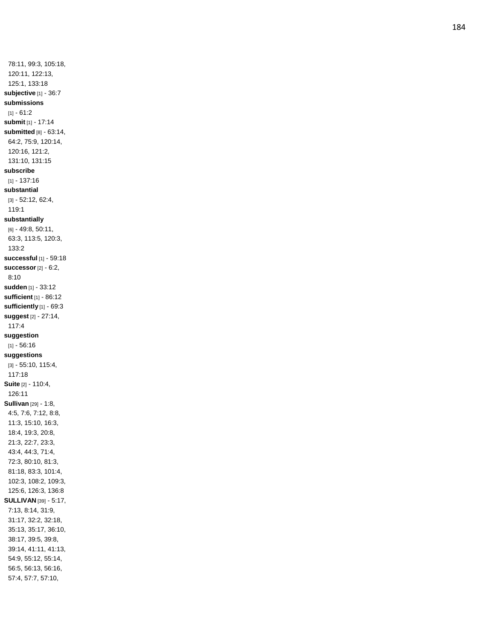78:11, 99:3, 105:18, 120:11, 122:13, 125:1, 133:18 **subjective** [1] - 36:7 **submissions** [1] - 61:2 **submit** [1] - 17:14 **submitted** [8] - 63:14, 64:2, 75:9, 120:14, 120:16, 121:2, 131:10, 131:15 **subscribe** [1] - 137:16 **substantial** [3] - 52:12, 62:4, 119:1 **substantially** [6] - 49:8, 50:11, 63:3, 113:5, 120:3, 133:2 **successful** [1] - 59:18 **successor** [2] - 6:2, 8:10 **sudden** [1] - 33:12 **sufficient** [1] - 86:12 **sufficiently** [1] - 69:3 **suggest** [2] - 27:14, 117:4 **suggestion** [1] - 56:16 **suggestions** [3] - 55:10, 115:4, 117:18 **Suite** [2] - 110:4, 126:11 **Sullivan** [29] - 1:8, 4:5, 7:6, 7:12, 8:8, 11:3, 15:10, 16:3, 18:4, 19:3, 20:8, 21:3, 22:7, 23:3, 43:4, 44:3, 71:4, 72:3, 80:10, 81:3, 81:18, 83:3, 101:4, 102:3, 108:2, 109:3, 125:6, 126:3, 136:8 **SULLIVAN** [39] - 5:17, 7:13, 8:14, 31:9, 31:17, 32:2, 32:18, 35:13, 35:17, 36:10, 38:17, 39:5, 39:8, 39:14, 41:11, 41:13, 54:9, 55:12, 55:14, 56:5, 56:13, 56:16, 57:4, 57:7, 57:10,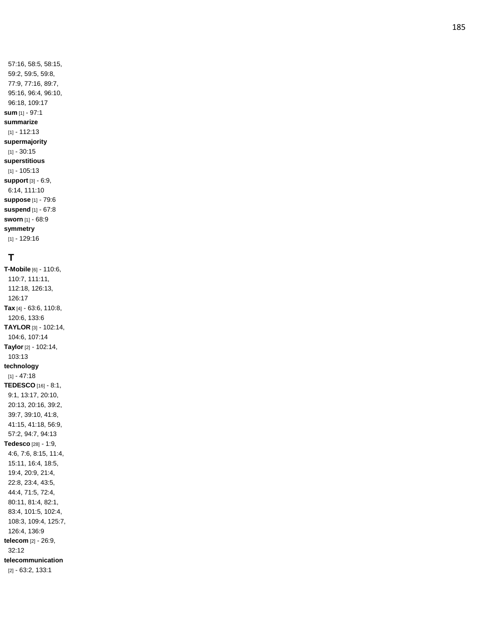57:16, 58:5, 58:15, 59:2, 59:5, 59:8, 77:9, 77:16, 89:7, 95:16, 96:4, 96:10, 96:18, 109:17 **sum** [1] - 97:1 **summarize** [1] - 112:13 **supermajority** [1] - 30:15 **superstitious** [1] - 105:13 **support** [3] - 6:9, 6:14, 111:10 **suppose** [1] - 79:6 **suspend** [1] - 67:8 **sworn** [1] - 68:9 **symmetry** [1] - 129:16

# **T**

**T -Mobile** [6] - 110:6, 110:7, 111:11, 112:18, 126:13, 126:17 **Tax** [4] - 63:6, 110:8, 120:6, 133:6 **TAYLOR** [3] - 102:14, 104:6, 107:14 **Taylor** [2] - 102:14, 103:13 **technology** [1] - 47:18 **TEDESCO** [16] - 8:1, 9:1, 13:17, 20:10, 20:13, 20:16, 39:2, 39:7, 39:10, 41:8, 41:15, 41:18, 56:9, 57:2, 94:7, 94:13 **Tedesco** [28] - 1:9, 4:6, 7:6, 8:15, 11:4, 15:11, 16:4, 18:5, 19:4, 20:9, 21:4, 22:8, 23:4, 43:5, 44:4, 71:5, 72:4, 80:11, 81:4, 82:1, 83:4, 101:5, 102:4, 108:3, 109:4, 125:7, 126:4, 136:9 **telecom** [2] - 26:9, 32:12 **telecommunication** [2] - 63:2, 133:1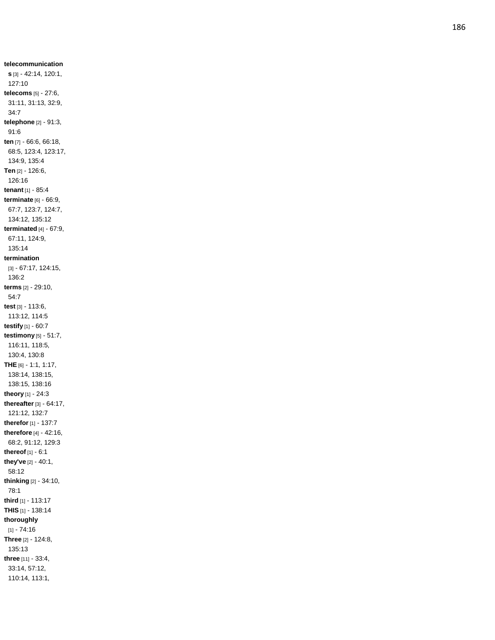**telecommunication s** [3] - 42:14, 120:1, 127:10 **telecoms** [5] - 27:6, 31:11, 31:13, 32:9, 34:7 **telephone** [2] - 91:3, 91:6 **ten** [7] - 66:6, 66:18, 68:5, 123:4, 123:17, 134:9, 135:4 **Ten** [2] - 126:6, 126:16 **tenant** [1] - 85:4 **terminate** [6] - 66:9, 67:7, 123:7, 124:7, 134:12, 135:12 **terminated** [4] - 67:9, 67:11, 124:9, 135:14 **termination** [3] - 67:17, 124:15, 136:2 **terms** [2] - 29:10, 54:7 **test** [3] - 113:6, 113:12, 114:5 **testify** [1] - 60:7 **testimony** [5] - 51:7, 116:11, 118:5, 130:4, 130:8 **THE** [6] - 1:1, 1:17, 138:14, 138:15, 138:15, 138:16 **theory** [1] - 24:3 **thereafter** [3] - 64:17, 121:12, 132:7 **therefor** [1] - 137:7 **therefore** [4] - 42:16, 68:2, 91:12, 129:3 **thereof** [1] - 6:1 **they've** [2] - 40:1, 58:12 **thinking** [2] - 34:10, 78:1 **third** [1] - 113:17 **THIS** [1] - 138:14 **thoroughly** [1] - 74:16 **Three** [2] - 124:8, 135:13 **three** [11] - 33:4, 33:14, 57:12, 110:14, 113:1,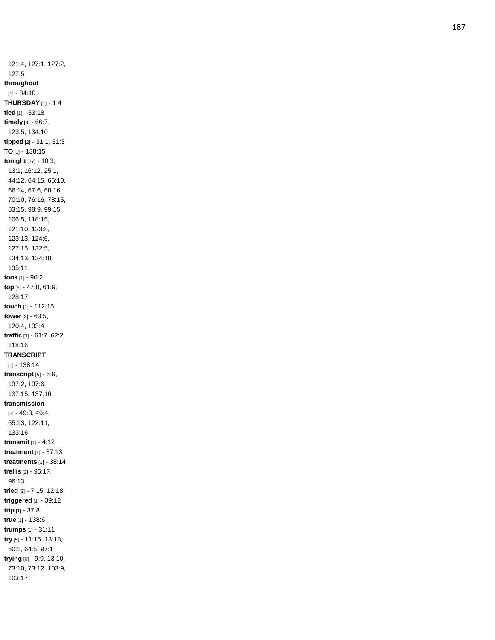121:4, 127:1, 127:2, 127:5 **throughout** [1] - 84:10 **THURSDAY** [1] - 1:4 **tied** [1] - 53:18 **timely** [3] - 66:7, 123:5, 134:10 **tipped** [2] - 31:1, 31:3 **TO** [1] - 138:15 **tonight** [27] - 10:3, 13:1, 16:12, 25:1, 44:12, 64:15, 66:10, 66:14, 67:6, 68:16, 70:10, 76:16, 78:15, 83:15, 98:9, 99:15, 106:5, 118:15, 121:10, 123:8, 123:13, 124:6, 127:15, 132:5, 134:13, 134:18, 135:11 **took** [1] - 90:2 **top** [3] - 47:8, 61:9, 128:17 **touch** [1] - 112:15 **tower** [3] - 63:5, 120:4, 133:4 **traffic** [3] - 61:7, 62:2, 118:16 **TRANSCRIPT** [1] - 138:14 **transcript** [5] - 5:9, 137:2, 137:6, 137:15, 137:16 **transmission** [5] - 49:3, 49:4, 65:13, 122:11, 133:16 **transmit** [1] - 4:12 **treatment** [1] - 37:13 **treatments** [1] - 38:14 **trellis** [2] - 95:17, 96:13 **tried** [2] - 7:15, 12:18 **triggered** [1] - 39:12 **trip** [1] - 37:8 **true** [1] - 138:6 **trumps** [1] - 31:11 **try** [5] - 11:15, 13:18, 60:1, 64:5, 97:1 **trying** [6] - 9:9, 13:10, 73:10, 73:12, 103:9, 103:17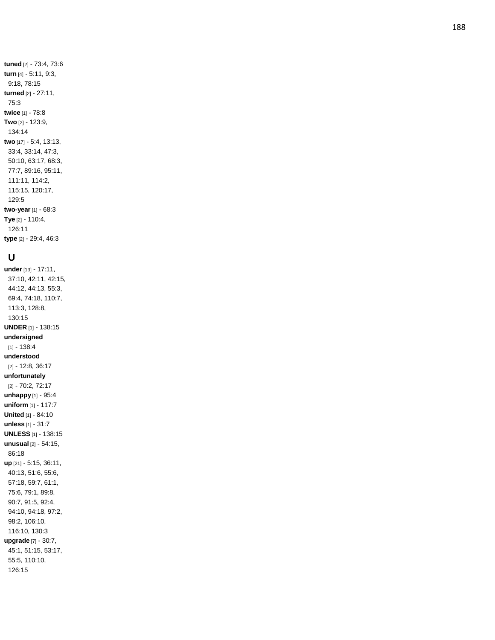**tuned** [2] - 73:4, 73:6 **turn** [4] - 5:11, 9:3, 9:18, 78:15 **turned** [2] - 27:11, 75:3 **twice** [1] - 78:8 **Two** [2] - 123:9, 134:14 **two** [17] - 5:4, 13:13, 33:4, 33:14, 47:3, 50:10, 63:17, 68:3, 77:7, 89:16, 95:11, 111:11, 114:2, 115:15, 120:17, 129:5 **two -year** [1] - 68:3 **Tye** [2] - 110:4, 126:11 **type** [2] - 29:4, 46:3

### **U**

**under** [13] - 17:11, 37:10, 42:11, 42:15, 44:12, 44:13, 55:3, 69:4, 74:18, 110:7, 113:3, 128:8, 130:15 **UNDER** [1] - 138:15 **undersigned** [1] - 138:4 **understood** [2] - 12:8, 36:17 **unfortunately** [2] - 70:2, 72:17 **unhappy** [1] - 95:4 **unifor m** [1] - 117:7 **United** [1] - 84:10 **unless** [1] - 31:7 **UNLESS** [1] - 138:15 **unusual** [2] - 54:15, 86:18 **up** [21] - 5:15, 36:11, 40:13, 51:6, 55:6, 57:18, 59:7, 61:1, 75:6, 79:1, 89:8, 90:7, 91:5, 92:4, 94:10, 94:18, 97:2, 98:2, 106:10, 116:10, 130:3 **upgrade** [7] - 30:7, 45:1, 51:15, 53:17, 55:5, 110:10, 126:15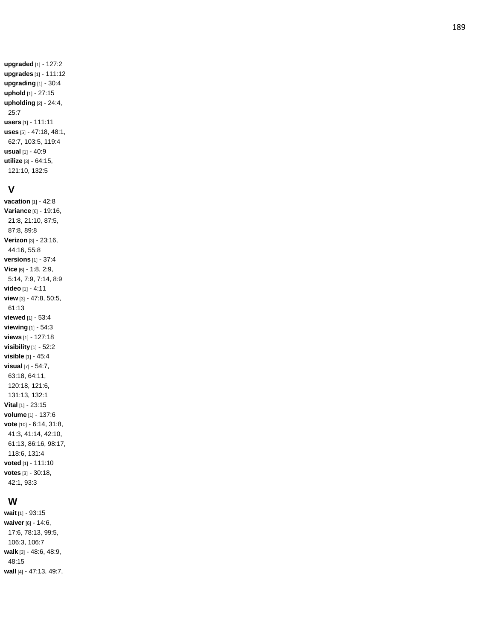**upgraded** [1] - 127:2 **upgrades** [1] - 111:12 **upgrading** [1] - 30:4 **uphold** [1] - 27:15 **upholding** [2] - 24:4, 25:7 **users** [1] - 111:11 **uses** [5] - 47:18, 48:1, 62:7, 103:5, 119:4 **usual** [1] - 40:9 **utilize** [3] - 64:15, 121:10, 132:5

#### **V**

**vacation** [1] - 42:8 **Variance** [6] - 19:16, 21:8, 21:10, 87:5, 87:8, 89:8 **Verizon** [3] - 23:16, 44:16, 55:8 **versions** [1] - 37:4 **Vice** [6] - 1:8, 2:9, 5:14, 7:9, 7:14, 8:9 **video** [1] - 4:11 **view** [3] - 47:8, 50:5, 61:13 **viewed** [1] - 53:4 **viewing** [1] - 54:3 **views** [1] - 127:18 **visibility** [1] - 52:2 **visible** [1] - 45:4 **visual** [7] - 54:7, 63:18, 64:11, 120:18, 121:6, 131:13, 132:1 **Vital** [1] - 23:15 **volume** [1] - 137:6 **vote** [10] - 6:14, 31:8, 41:3, 41:14, 42:10, 61:13, 86:16, 98:17, 118:6, 131:4 **voted** [1] - 111:10 **votes** [3] - 30:18, 42:1, 93:3

### **W**

**wait** [1] - 93:15 **waiver** [6] - 14:6, 17:6, 78:13, 99:5, 106:3, 106:7 **walk** [3] - 48:6, 48:9, 48:15 **wall** [4] - 47:13, 49:7,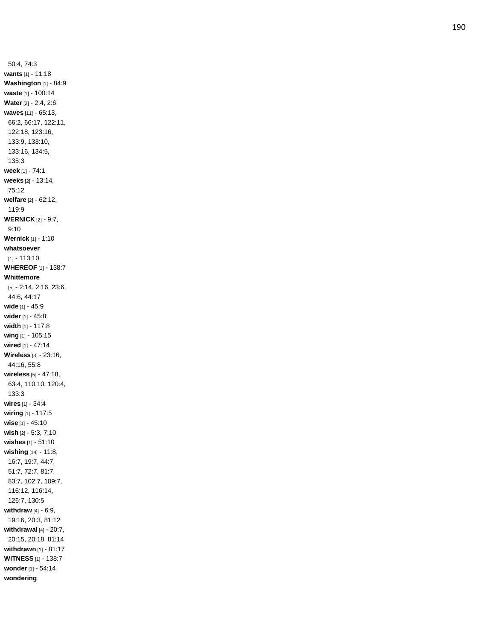50:4, 74:3 **wants** [1] - 11:18 **Washington** [1] - 84:9 **waste** [1] - 100:14 **Water** [2] - 2:4, 2:6 **waves** [11] - 65:13, 66:2, 66:17, 122:11, 122:18, 123:16, 133:9, 133:10, 133:16, 134:5, 135:3 **week** [1] - 74:1 **weeks** [2] - 13:14, 75:12 **welfare** [2] - 62:12, 119:9 **WERNICK** [2] - 9:7, 9:10 **Wernick** [1] - 1:10 **whatsoever** [1] - 113:10 **WHEREOF** [1] - 138:7 **Whittemore** [5] - 2:14, 2:16, 23:6, 44:6, 44:17 **wide** [1] - 45:9 **wider** [1] - 45:8 **width** [1] - 117:8 **wing** [1] - 105:15 **wired** [1] - 47:14 **Wireless** [3] - 23:16, 44:16, 55:8 **wireless** [5] - 47:18, 63:4, 110:10, 120:4, 133:3 **wires** [1] - 34:4 **wiring** [1] - 117:5 **wise** [1] - 45:10 **wish** [2] - 5:3, 7:10 **wishes** [1] - 51:10 **wishing** [14] - 11:8, 16:7, 19:7, 44:7, 51:7, 72:7, 81:7, 83:7, 102:7, 109:7, 116:12, 116:14, 126:7, 130:5 **withdraw** [4] - 6:9, 19:16, 20:3, 81:12 **withdrawal** [4] - 20:7, 20:15, 20:18, 81:14 **withdrawn** [1] - 81:17 **WITNESS** [1] - 138:7 **wonder** [1] - 54:14 **wondering**